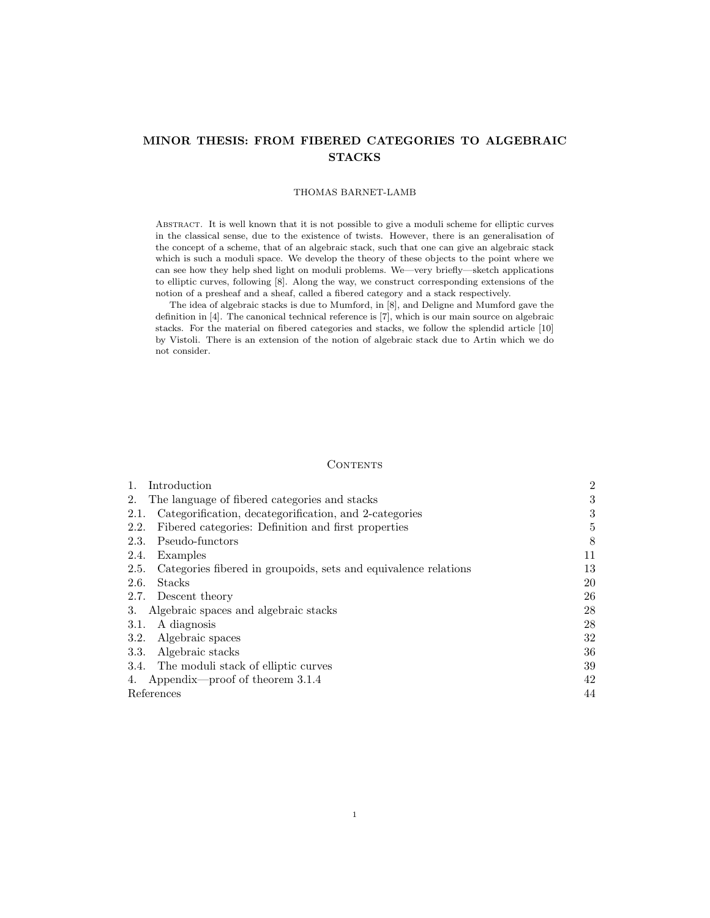# MINOR THESIS: FROM FIBERED CATEGORIES TO ALGEBRAIC **STACKS**

### THOMAS BARNET-LAMB

ABSTRACT. It is well known that it is not possible to give a moduli scheme for elliptic curves in the classical sense, due to the existence of twists. However, there is an generalisation of the concept of a scheme, that of an algebraic stack, such that one can give an algebraic stack which is such a moduli space. We develop the theory of these objects to the point where we can see how they help shed light on moduli problems. We—very briefly—sketch applications to elliptic curves, following [8]. Along the way, we construct corresponding extensions of the notion of a presheaf and a sheaf, called a fibered category and a stack respectively.

The idea of algebraic stacks is due to Mumford, in [8], and Deligne and Mumford gave the definition in [4]. The canonical technical reference is [7], which is our main source on algebraic stacks. For the material on fibered categories and stacks, we follow the splendid article [10] by Vistoli. There is an extension of the notion of algebraic stack due to Artin which we do not consider.

#### **CONTENTS**

| Introduction                                                            | $\overline{2}$ |
|-------------------------------------------------------------------------|----------------|
| The language of fibered categories and stacks<br>2.                     | 3              |
| Categorification, decategorification, and 2-categories<br>2.1.          | 3              |
| Fibered categories: Definition and first properties<br>2.2.             | 5              |
| Pseudo-functors<br>2.3.                                                 | 8              |
| 2.4.<br>Examples                                                        | 11             |
| 2.5.<br>Categories fibered in groupoids, sets and equivalence relations | 13             |
| Stacks<br>2.6.                                                          | 20             |
| 2.7. Descent theory                                                     | 26             |
| Algebraic spaces and algebraic stacks<br>3.                             | 28             |
| A diagnosis<br>3.1.                                                     | 28             |
| Algebraic spaces<br>3.2.                                                | 32             |
| Algebraic stacks<br><b>3.3.</b>                                         | 36             |
| 3.4. The moduli stack of elliptic curves                                | 39             |
| Appendix—proof of theorem $3.1.4$<br>4.                                 | 42             |
| References                                                              | 44             |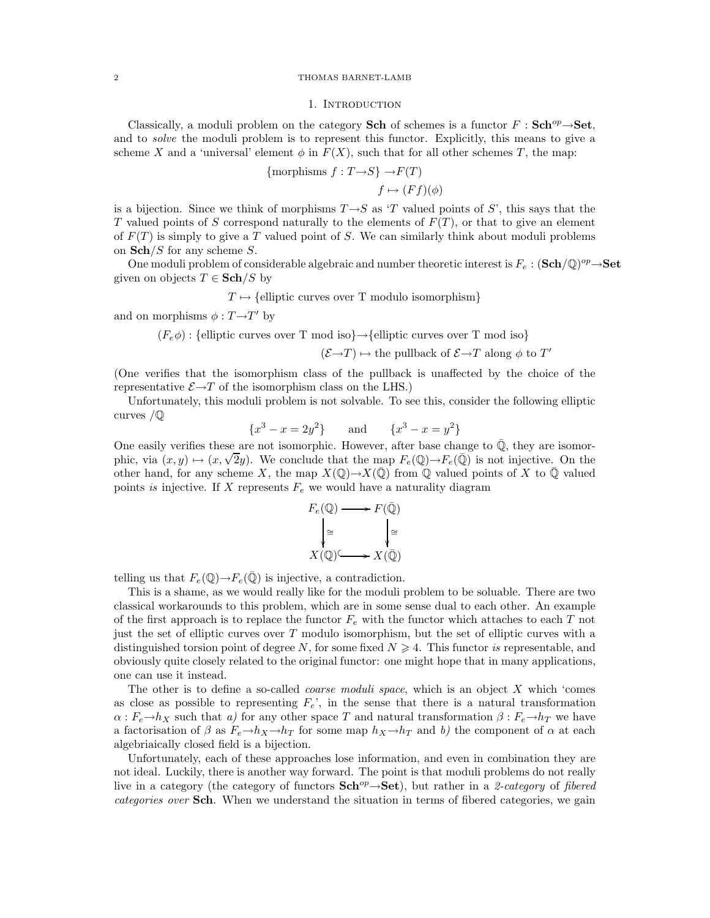### 2 THOMAS BARNET-LAMB

#### 1. INTRODUCTION

Classically, a moduli problem on the category Sch of schemes is a functor  $F : \mathbf{Sch}^{op} \rightarrow \mathbf{Set}$ , and to *solve* the moduli problem is to represent this functor. Explicitly, this means to give a scheme X and a 'universal' element  $\phi$  in  $F(X)$ , such that for all other schemes T, the map:

{morphisms 
$$
f: T \to S
$$
}  $\to F(T)$   
 $f \mapsto (Ff)(\phi)$ 

is a bijection. Since we think of morphisms  $T \rightarrow S$  as 'T valued points of S', this says that the T valued points of S correspond naturally to the elements of  $F(T)$ , or that to give an element of  $F(T)$  is simply to give a T valued point of S. We can similarly think about moduli problems on  $\mathbf{Sch}/S$  for any scheme S.

One moduli problem of considerable algebraic and number theoretic interest is  $F_e$ :  $(\mathbf{Sch}/\mathbb{Q})^{op} \rightarrow \mathbf{Set}$ given on objects  $T \in \mathbf{Sch}/S$  by

 $T \mapsto \{$ elliptic curves over T modulo isomorphism $\}$ 

and on morphisms  $\phi : T \rightarrow T'$  by

 $(F_e \phi)$ : {elliptic curves over T mod iso} $\rightarrow$ {elliptic curves over T mod iso}

 $(\mathcal{E}{\rightarrow} T)\mapsto$  the pullback of  $\mathcal{E}{\rightarrow} T$  along  $\phi$  to  $T'$ 

(One verifies that the isomorphism class of the pullback is unaffected by the choice of the representative  $\mathcal{E} \rightarrow T$  of the isomorphism class on the LHS.)

Unfortunately, this moduli problem is not solvable. To see this, consider the following elliptic curves /Q

$$
{x3 - x = 2y2}
$$
 and 
$$
{x3 - x = y2}
$$

One easily verifies these are not isomorphic. However, after base change to  $\mathbb Q$ , they are isomorphic, via  $(x, y) \mapsto (x, \sqrt{2}y)$ . We conclude that the map  $F_e(\mathbb{Q}) \to F_e(\mathbb{Q})$  is not injective. On the other hand, for any scheme X, the map  $X(\mathbb{Q}) \to X(\mathbb{Q})$  from  $\mathbb Q$  valued points of X to  $\mathbb Q$  valued points is injective. If X represents  $F_e$  we would have a naturality diagram

$$
F_e(\mathbb{Q}) \longrightarrow F(\bar{\mathbb{Q}})
$$

$$
\downarrow \cong \qquad \qquad \downarrow \cong
$$

$$
X(\mathbb{Q}) \longrightarrow X(\bar{\mathbb{Q}})
$$

telling us that  $F_e(\mathbb{Q}) \to F_e(\bar{\mathbb{Q}})$  is injective, a contradiction.

This is a shame, as we would really like for the moduli problem to be soluable. There are two classical workarounds to this problem, which are in some sense dual to each other. An example of the first approach is to replace the functor  $F_e$  with the functor which attaches to each T not just the set of elliptic curves over T modulo isomorphism, but the set of elliptic curves with a distinguished torsion point of degree N, for some fixed  $N \geq 4$ . This functor is representable, and obviously quite closely related to the original functor: one might hope that in many applications, one can use it instead.

The other is to define a so-called *coarse moduli space*, which is an object  $X$  which 'comes as close as possible to representing  $F_e$ , in the sense that there is a natural transformation  $\alpha : F_e \to h_X$  such that a) for any other space T and natural transformation  $\beta : F_e \to h_Y$  we have a factorisation of  $\beta$  as  $F_e \rightarrow h_X \rightarrow h_T$  for some map  $h_X \rightarrow h_T$  and b) the component of  $\alpha$  at each algebriaically closed field is a bijection.

Unfortunately, each of these approaches lose information, and even in combination they are not ideal. Luckily, there is another way forward. The point is that moduli problems do not really live in a category (the category of functors  $\mathbf{Sch}^{op} \rightarrow \mathbf{Set}$ ), but rather in a 2-category of fibered categories over **Sch**. When we understand the situation in terms of fibered categories, we gain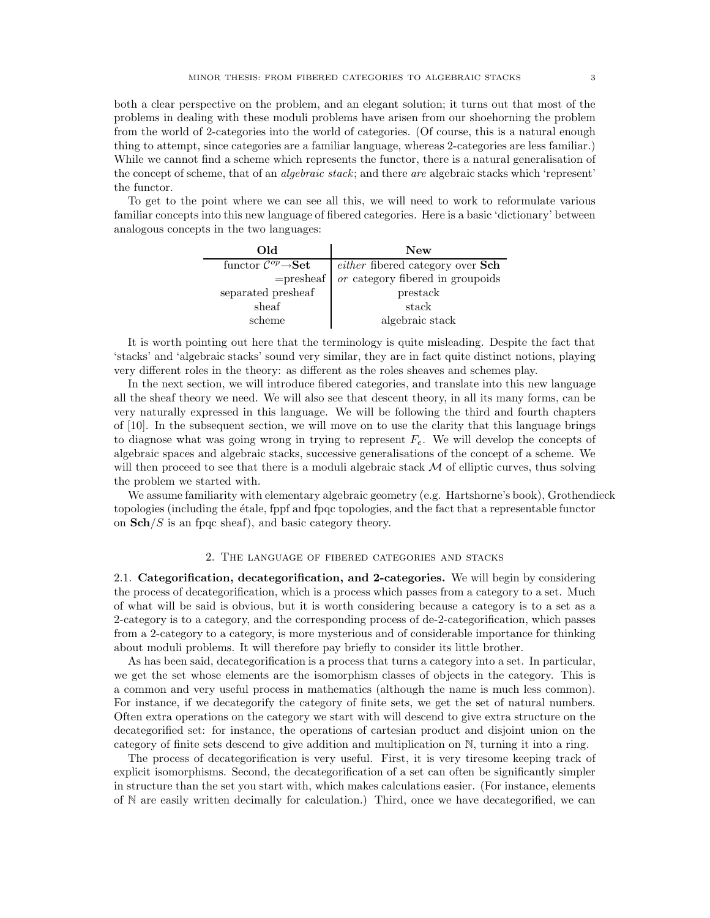both a clear perspective on the problem, and an elegant solution; it turns out that most of the problems in dealing with these moduli problems have arisen from our shoehorning the problem from the world of 2-categories into the world of categories. (Of course, this is a natural enough thing to attempt, since categories are a familiar language, whereas 2-categories are less familiar.) While we cannot find a scheme which represents the functor, there is a natural generalisation of the concept of scheme, that of an algebraic stack; and there are algebraic stacks which 'represent' the functor.

To get to the point where we can see all this, we will need to work to reformulate various familiar concepts into this new language of fibered categories. Here is a basic 'dictionary' between analogous concepts in the two languages:

| Old                                                          | <b>New</b>                       |
|--------------------------------------------------------------|----------------------------------|
| functor $\overline{\mathcal{C}^{op}\rightarrow\textbf{Set}}$ | either fibered category over Sch |
| $=$ presheaf                                                 | or category fibered in groupoids |
| separated presheaf                                           | prestack                         |
| sheaf                                                        | stack                            |
| scheme                                                       | algebraic stack                  |

It is worth pointing out here that the terminology is quite misleading. Despite the fact that 'stacks' and 'algebraic stacks' sound very similar, they are in fact quite distinct notions, playing very different roles in the theory: as different as the roles sheaves and schemes play.

In the next section, we will introduce fibered categories, and translate into this new language all the sheaf theory we need. We will also see that descent theory, in all its many forms, can be very naturally expressed in this language. We will be following the third and fourth chapters of [10]. In the subsequent section, we will move on to use the clarity that this language brings to diagnose what was going wrong in trying to represent  $F<sub>e</sub>$ . We will develop the concepts of algebraic spaces and algebraic stacks, successive generalisations of the concept of a scheme. We will then proceed to see that there is a moduli algebraic stack  $M$  of elliptic curves, thus solving the problem we started with.

We assume familiarity with elementary algebraic geometry (e.g. Hartshorne's book), Grothendieck topologies (including the ´etale, fppf and fpqc topologies, and the fact that a representable functor on  $\mathbf{Sch}/S$  is an fpqc sheaf), and basic category theory.

### 2. The language of fibered categories and stacks

2.1. Categorification, decategorification, and 2-categories. We will begin by considering the process of decategorification, which is a process which passes from a category to a set. Much of what will be said is obvious, but it is worth considering because a category is to a set as a 2-category is to a category, and the corresponding process of de-2-categorification, which passes from a 2-category to a category, is more mysterious and of considerable importance for thinking about moduli problems. It will therefore pay briefly to consider its little brother.

As has been said, decategorification is a process that turns a category into a set. In particular, we get the set whose elements are the isomorphism classes of objects in the category. This is a common and very useful process in mathematics (although the name is much less common). For instance, if we decategorify the category of finite sets, we get the set of natural numbers. Often extra operations on the category we start with will descend to give extra structure on the decategorified set: for instance, the operations of cartesian product and disjoint union on the category of finite sets descend to give addition and multiplication on N, turning it into a ring.

The process of decategorification is very useful. First, it is very tiresome keeping track of explicit isomorphisms. Second, the decategorification of a set can often be significantly simpler in structure than the set you start with, which makes calculations easier. (For instance, elements of N are easily written decimally for calculation.) Third, once we have decategorified, we can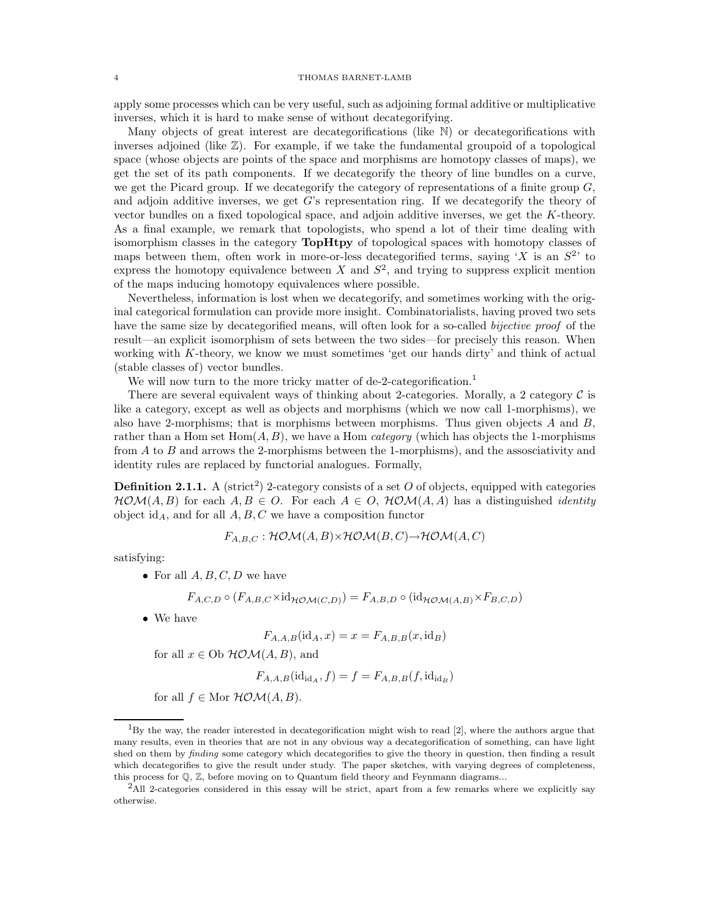### 4 THOMAS BARNET-LAMB

apply some processes which can be very useful, such as adjoining formal additive or multiplicative inverses, which it is hard to make sense of without decategorifying.

Many objects of great interest are decategorifications (like N) or decategorifications with inverses adjoined (like  $\mathbb{Z}$ ). For example, if we take the fundamental groupoid of a topological space (whose objects are points of the space and morphisms are homotopy classes of maps), we get the set of its path components. If we decategorify the theory of line bundles on a curve, we get the Picard group. If we decategorify the category of representations of a finite group  $G$ , and adjoin additive inverses, we get  $G$ 's representation ring. If we decategorify the theory of vector bundles on a fixed topological space, and adjoin additive inverses, we get the K-theory. As a final example, we remark that topologists, who spend a lot of their time dealing with isomorphism classes in the category TopHtpy of topological spaces with homotopy classes of maps between them, often work in more-or-less decategorified terms, saying 'X is an  $S<sup>2</sup>$ ' to express the homotopy equivalence between X and  $S^2$ , and trying to suppress explicit mention of the maps inducing homotopy equivalences where possible.

Nevertheless, information is lost when we decategorify, and sometimes working with the original categorical formulation can provide more insight. Combinatorialists, having proved two sets have the same size by decategorified means, will often look for a so-called bijective proof of the result—an explicit isomorphism of sets between the two sides—for precisely this reason. When working with K-theory, we know we must sometimes 'get our hands dirty' and think of actual (stable classes of) vector bundles.

We will now turn to the more tricky matter of de-2-categorification.<sup>1</sup>

There are several equivalent ways of thinking about 2-categories. Morally, a 2 category  $\mathcal C$  is like a category, except as well as objects and morphisms (which we now call 1-morphisms), we also have 2-morphisms; that is morphisms between morphisms. Thus given objects  $A$  and  $B$ , rather than a Hom set  $Hom(A, B)$ , we have a Hom *category* (which has objects the 1-morphisms from  $A$  to  $B$  and arrows the 2-morphisms between the 1-morphisms), and the assosciativity and identity rules are replaced by functorial analogues. Formally,

**Definition 2.1.1.** A (strict<sup>2</sup>) 2-category consists of a set O of objects, equipped with categories  $HOM(A, B)$  for each  $A, B \in O$ . For each  $A \in O$ ,  $HOM(A, A)$  has a distinguished *identity* object id<sub>A</sub>, and for all  $A, B, C$  we have a composition functor

$$
F_{A,B,C} : \mathcal{HOM}(A,B) \times \mathcal{HOM}(B,C) \to \mathcal{HOM}(A,C)
$$

satisfying:

• For all  $A, B, C, D$  we have

$$
F_{A,C,D} \circ (F_{A,B,C} \times id_{\mathcal{HOM}(C,D)}) = F_{A,B,D} \circ (id_{\mathcal{HOM}(A,B)} \times F_{B,C,D})
$$

• We have

$$
F_{A,A,B}(\mathrm{id}_A, x) = x = F_{A,B,B}(x, \mathrm{id}_B)
$$

for all  $x \in \text{Ob } H\mathcal{OM}(A, B)$ , and

$$
F_{A,A,B}(\mathrm{id}_{\mathrm{id}_A}, f) = f = F_{A,B,B}(f, \mathrm{id}_{\mathrm{id}_B})
$$

for all  $f \in \text{Mor } \mathcal{H} \mathcal{O} \mathcal{M}(A, B)$ .

<sup>1</sup>By the way, the reader interested in decategorification might wish to read [2], where the authors argue that many results, even in theories that are not in any obvious way a decategorification of something, can have light shed on them by *finding* some category which decategorifies to give the theory in question, then finding a result which decategorifies to give the result under study. The paper sketches, with varying degrees of completeness, this process for  $\mathbb{Q}, \mathbb{Z}$ , before moving on to Quantum field theory and Feynmann diagrams...

<sup>2</sup>All 2-categories considered in this essay will be strict, apart from a few remarks where we explicitly say otherwise.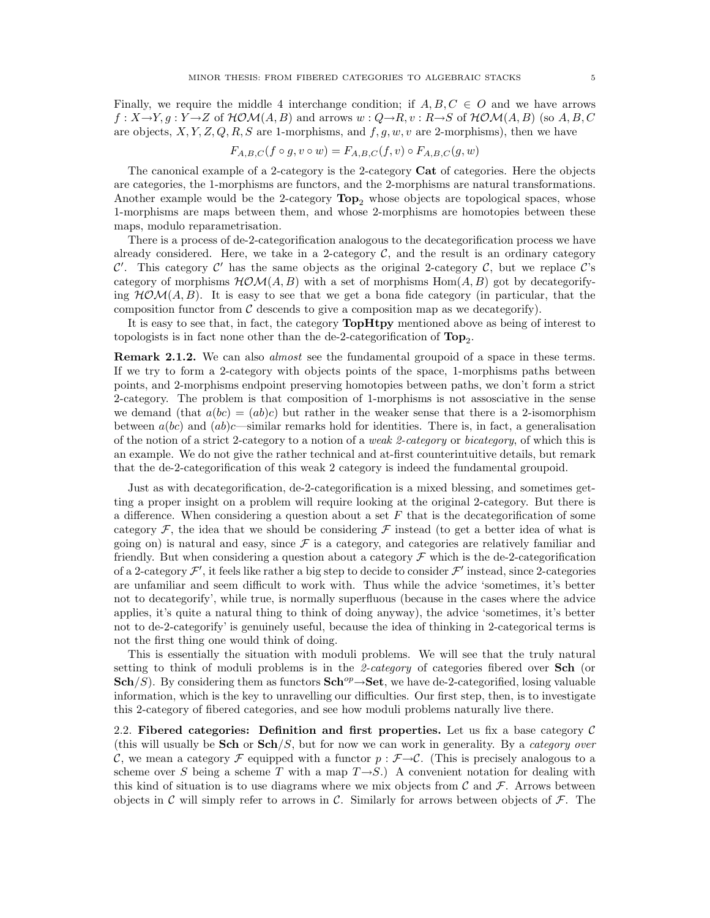Finally, we require the middle 4 interchange condition; if  $A, B, C \in O$  and we have arrows  $f: X \rightarrow Y, g: Y \rightarrow Z$  of  $HOM(A, B)$  and arrows  $w: Q \rightarrow R, v: R \rightarrow S$  of  $HOM(A, B)$  (so  $A, B, C$ are objects,  $X, Y, Z, Q, R, S$  are 1-morphisms, and  $f, g, w, v$  are 2-morphisms), then we have

$$
F_{A,B,C}(f\circ g,v\circ w)=F_{A,B,C}(f,v)\circ F_{A,B,C}(g,w)
$$

The canonical example of a 2-category is the 2-category Cat of categories. Here the objects are categories, the 1-morphisms are functors, and the 2-morphisms are natural transformations. Another example would be the 2-category  $\text{Top}_2$  whose objects are topological spaces, whose 1-morphisms are maps between them, and whose 2-morphisms are homotopies between these maps, modulo reparametrisation.

There is a process of de-2-categorification analogous to the decategorification process we have already considered. Here, we take in a 2-category  $\mathcal{C}$ , and the result is an ordinary category C'. This category C' has the same objects as the original 2-category C, but we replace C's category of morphisms  $HOM(A, B)$  with a set of morphisms  $Hom(A, B)$  got by decategorifying  $HOM(A, B)$ . It is easy to see that we get a bona fide category (in particular, that the composition functor from  $\mathcal C$  descends to give a composition map as we decategorify).

It is easy to see that, in fact, the category **TopHtpy** mentioned above as being of interest to topologists is in fact none other than the de-2-categorification of  $\text{Top}_2$ .

Remark 2.1.2. We can also *almost* see the fundamental groupoid of a space in these terms. If we try to form a 2-category with objects points of the space, 1-morphisms paths between points, and 2-morphisms endpoint preserving homotopies between paths, we don't form a strict 2-category. The problem is that composition of 1-morphisms is not assosciative in the sense we demand (that  $a(bc) = (ab)c$ ) but rather in the weaker sense that there is a 2-isomorphism between  $a(bc)$  and  $(ab)c$ —similar remarks hold for identities. There is, in fact, a generalisation of the notion of a strict 2-category to a notion of a weak 2-category or bicategory, of which this is an example. We do not give the rather technical and at-first counterintuitive details, but remark that the de-2-categorification of this weak 2 category is indeed the fundamental groupoid.

Just as with decategorification, de-2-categorification is a mixed blessing, and sometimes getting a proper insight on a problem will require looking at the original 2-category. But there is a difference. When considering a question about a set  $F$  that is the decategorification of some category  $\mathcal F$ , the idea that we should be considering  $\mathcal F$  instead (to get a better idea of what is going on) is natural and easy, since  $\mathcal F$  is a category, and categories are relatively familiar and friendly. But when considering a question about a category  $\mathcal F$  which is the de-2-categorification of a 2-category  $\mathcal{F}',$  it feels like rather a big step to decide to consider  $\mathcal{F}'$  instead, since 2-categories are unfamiliar and seem difficult to work with. Thus while the advice 'sometimes, it's better not to decategorify', while true, is normally superfluous (because in the cases where the advice applies, it's quite a natural thing to think of doing anyway), the advice 'sometimes, it's better not to de-2-categorify' is genuinely useful, because the idea of thinking in 2-categorical terms is not the first thing one would think of doing.

This is essentially the situation with moduli problems. We will see that the truly natural setting to think of moduli problems is in the 2-category of categories fibered over Sch (or Sch/S). By considering them as functors Sch<sup>op</sup>→Set, we have de-2-categorified, losing valuable information, which is the key to unravelling our difficulties. Our first step, then, is to investigate this 2-category of fibered categories, and see how moduli problems naturally live there.

2.2. Fibered categories: Definition and first properties. Let us fix a base category  $\mathcal C$ (this will usually be **Sch** or  $Sch/S$ , but for now we can work in generality. By a *category over* C, we mean a category F equipped with a functor  $p : \mathcal{F} \to \mathcal{C}$ . (This is precisely analogous to a scheme over S being a scheme T with a map  $T\rightarrow S$ .) A convenient notation for dealing with this kind of situation is to use diagrams where we mix objects from  $\mathcal C$  and  $\mathcal F$ . Arrows between objects in C will simply refer to arrows in C. Similarly for arrows between objects of  $\mathcal{F}$ . The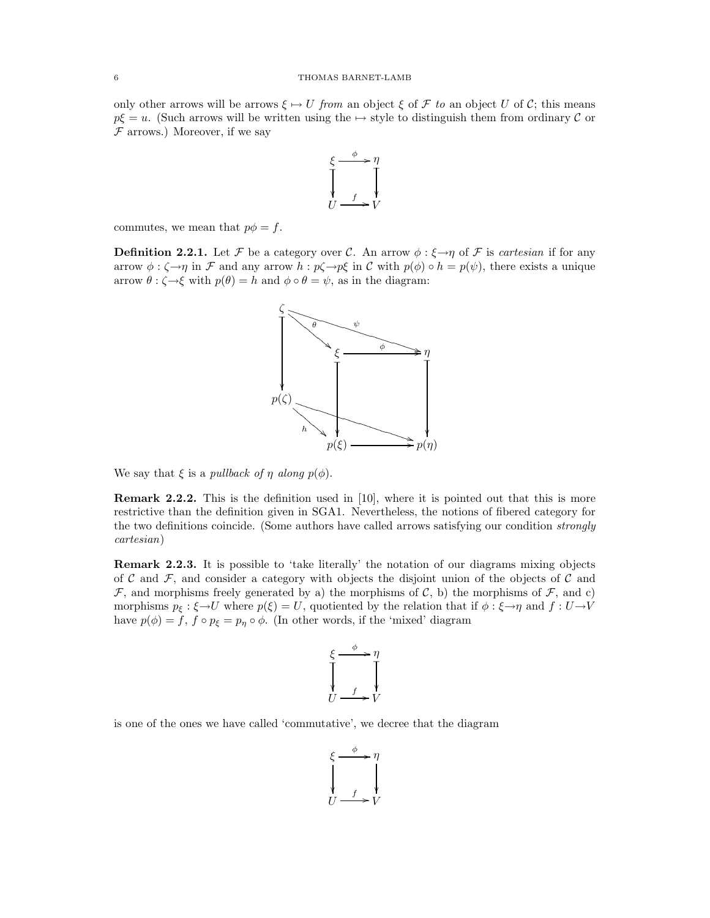only other arrows will be arrows  $\xi \mapsto U$  from an object  $\xi$  of  $\mathcal F$  to an object U of C; this means  $p\xi = u$ . (Such arrows will be written using the  $\mapsto$  style to distinguish them from ordinary C or  $F$  arrows.) Moreover, if we say



commutes, we mean that  $p\phi = f$ .

**Definition 2.2.1.** Let F be a category over C. An arrow  $\phi : \xi \rightarrow \eta$  of F is cartesian if for any arrow  $\phi : \zeta \to \eta$  in F and any arrow  $h : p\zeta \to p\xi$  in C with  $p(\phi) \circ h = p(\psi)$ , there exists a unique arrow  $\theta : \zeta \to \xi$  with  $p(\theta) = h$  and  $\phi \circ \theta = \psi$ , as in the diagram:



We say that  $\xi$  is a pullback of  $\eta$  along  $p(\phi)$ .

Remark 2.2.2. This is the definition used in [10], where it is pointed out that this is more restrictive than the definition given in SGA1. Nevertheless, the notions of fibered category for the two definitions coincide. (Some authors have called arrows satisfying our condition strongly cartesian)

Remark 2.2.3. It is possible to 'take literally' the notation of our diagrams mixing objects of  $\mathcal C$  and  $\mathcal F$ , and consider a category with objects the disjoint union of the objects of  $\mathcal C$  and  $\mathcal F$ , and morphisms freely generated by a) the morphisms of  $\mathcal C$ , b) the morphisms of  $\mathcal F$ , and c) morphisms  $p_{\xi} : \xi \to U$  where  $p(\xi) = U$ , quotiented by the relation that if  $\phi : \xi \to \eta$  and  $f : U \to V$ have  $p(\phi) = f$ ,  $f \circ p_{\xi} = p_{\eta} \circ \phi$ . (In other words, if the 'mixed' diagram



is one of the ones we have called 'commutative', we decree that the diagram

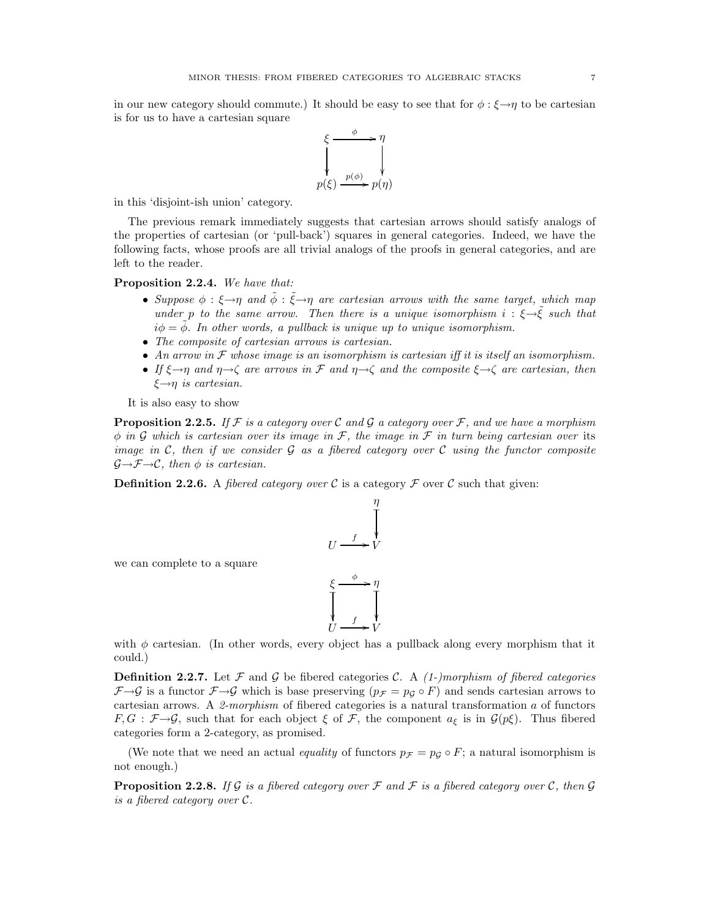in our new category should commute.) It should be easy to see that for  $\phi : \xi \rightarrow \eta$  to be cartesian is for us to have a cartesian square



in this 'disjoint-ish union' category.

The previous remark immediately suggests that cartesian arrows should satisfy analogs of the properties of cartesian (or 'pull-back') squares in general categories. Indeed, we have the following facts, whose proofs are all trivial analogs of the proofs in general categories, and are left to the reader.

Proposition 2.2.4. We have that:

- Suppose  $\phi : \xi \rightarrow \eta$  and  $\tilde{\phi} : \tilde{\xi} \rightarrow \eta$  are cartesian arrows with the same target, which map under p to the same arrow. Then there is a unique isomorphism  $i : \xi \rightarrow \tilde{\xi}$  such that  $i\phi = \phi$ . In other words, a pullback is unique up to unique isomorphism.
- The composite of cartesian arrows is cartesian.
- An arrow in  $\mathcal F$  whose image is an isomorphism is cartesian iff it is itself an isomorphism.
- If  $\xi \rightarrow \eta$  and  $\eta \rightarrow \zeta$  are arrows in F and  $\eta \rightarrow \zeta$  and the composite  $\xi \rightarrow \zeta$  are cartesian, then  $\xi \rightarrow \eta$  is cartesian.

It is also easy to show

we can complete to a square

**Proposition 2.2.5.** If F is a category over C and G a category over F, and we have a morphism  $\phi$  in G which is cartesian over its image in F, the image in F in turn being cartesian over its image in C, then if we consider G as a fibered category over C using the functor composite  $\mathcal{G}\rightarrow\mathcal{F}\rightarrow\mathcal{C}$ , then  $\phi$  is cartesian.

**Definition 2.2.6.** A *fibered category over*  $\mathcal C$  is a category  $\mathcal F$  over  $\mathcal C$  such that given:

$$
U \xrightarrow{f} V
$$
\n
$$
\xi \xrightarrow{\phi} \eta
$$
\n
$$
\xi \xrightarrow{f} \gamma
$$
\n
$$
U \xrightarrow{f} V
$$

with  $\phi$  cartesian. (In other words, every object has a pullback along every morphism that it could.)

**Definition 2.2.7.** Let F and G be fibered categories C. A  $(1-)morphism$  of fibered categories  $\mathcal{F}\rightarrow\mathcal{G}$  is a functor  $\mathcal{F}\rightarrow\mathcal{G}$  which is base preserving  $(p_{\mathcal{F}} = p_{\mathcal{G}} \circ F)$  and sends cartesian arrows to cartesian arrows. A 2-morphism of fibered categories is a natural transformation  $a$  of functors  $F, G : \mathcal{F} \to \mathcal{G}$ , such that for each object  $\xi$  of  $\mathcal{F}$ , the component  $a_{\xi}$  is in  $\mathcal{G}(p\xi)$ . Thus fibered categories form a 2-category, as promised.

(We note that we need an actual equality of functors  $p_{\mathcal{F}} = p_{\mathcal{G}} \circ F$ ; a natural isomorphism is not enough.)

**Proposition 2.2.8.** If G is a fibered category over F and F is a fibered category over C, then G is a fibered category over C.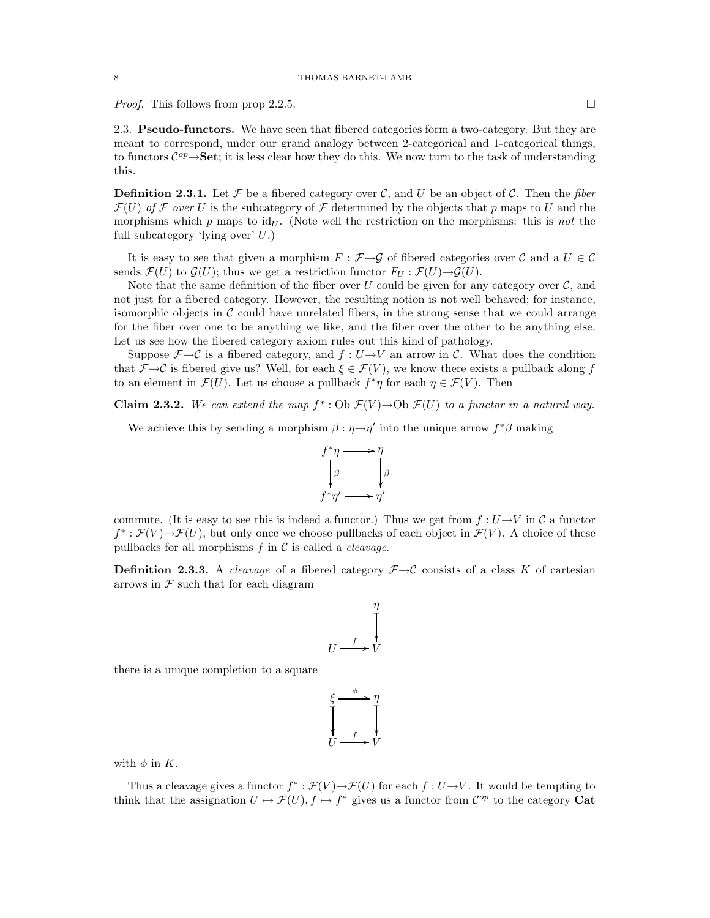*Proof.* This follows from prop 2.2.5.

2.3. Pseudo-functors. We have seen that fibered categories form a two-category. But they are meant to correspond, under our grand analogy between 2-categorical and 1-categorical things, to functors  $\mathcal{C}^{op}\rightarrow$  **Set**; it is less clear how they do this. We now turn to the task of understanding this.

**Definition 2.3.1.** Let  $\mathcal F$  be a fibered category over  $\mathcal C$ , and  $U$  be an object of  $\mathcal C$ . Then the fiber  $\mathcal{F}(U)$  of F over U is the subcategory of F determined by the objects that p maps to U and the morphisms which p maps to  $\mathrm{id}_U$ . (Note well the restriction on the morphisms: this is not the full subcategory 'lying over' U.)

It is easy to see that given a morphism  $F : \mathcal{F} \to \mathcal{G}$  of fibered categories over C and a  $U \in \mathcal{C}$ sends  $\mathcal{F}(U)$  to  $\mathcal{G}(U)$ ; thus we get a restriction functor  $F_U : \mathcal{F}(U) \rightarrow \mathcal{G}(U)$ .

Note that the same definition of the fiber over  $U$  could be given for any category over  $\mathcal{C}$ , and not just for a fibered category. However, the resulting notion is not well behaved; for instance, isomorphic objects in  $\mathcal C$  could have unrelated fibers, in the strong sense that we could arrange for the fiber over one to be anything we like, and the fiber over the other to be anything else. Let us see how the fibered category axiom rules out this kind of pathology.

Suppose  $\mathcal{F}\rightarrow\mathcal{C}$  is a fibered category, and  $f:U\rightarrow V$  an arrow in C. What does the condition that  $\mathcal{F}\rightarrow\mathcal{C}$  is fibered give us? Well, for each  $\xi\in\mathcal{F}(V)$ , we know there exists a pullback along f to an element in  $\mathcal{F}(U)$ . Let us choose a pullback  $f^*\eta$  for each  $\eta \in \mathcal{F}(V)$ . Then

Claim 2.3.2. We can extend the map  $f^* : \text{Ob } \mathcal{F}(V) \to \text{Ob } \mathcal{F}(U)$  to a functor in a natural way.

We achieve this by sending a morphism  $\beta : \eta \rightarrow \eta'$  into the unique arrow  $f^*\beta$  making



commute. (It is easy to see this is indeed a functor.) Thus we get from  $f: U \rightarrow V$  in C a functor  $f^*: \mathcal{F}(V) \to \mathcal{F}(U)$ , but only once we choose pullbacks of each object in  $\mathcal{F}(V)$ . A choice of these pullbacks for all morphisms  $f$  in  $\mathcal C$  is called a *cleavage*.

**Definition 2.3.3.** A *cleavage* of a fibered category  $\mathcal{F} \rightarrow \mathcal{C}$  consists of a class K of cartesian arrows in  $\mathcal F$  such that for each diagram

$$
U \xrightarrow{f} V
$$

there is a unique completion to a square

$$
\xi \xrightarrow{f} \eta
$$
\n
$$
\downarrow \qquad \qquad \downarrow
$$
\n
$$
U \xrightarrow{f} V
$$

with  $\phi$  in K.

Thus a cleavage gives a functor  $f^* : \mathcal{F}(V) \to \mathcal{F}(U)$  for each  $f : U \to V$ . It would be tempting to think that the assignation  $U \mapsto \mathcal{F}(U), f \mapsto f^*$  gives us a functor from  $\mathcal{C}^{op}$  to the category Cat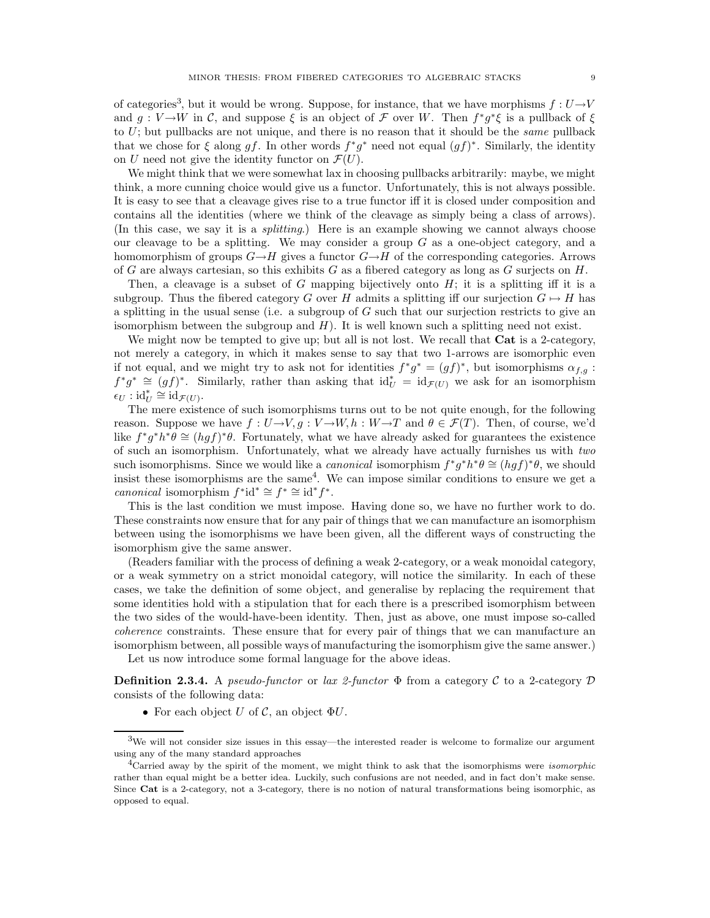of categories<sup>3</sup>, but it would be wrong. Suppose, for instance, that we have morphisms  $f: U \rightarrow V$ and  $g: V \to W$  in C, and suppose  $\xi$  is an object of F over W. Then  $f^*g^*\xi$  is a pullback of  $\xi$ to  $U$ ; but pullbacks are not unique, and there is no reason that it should be the *same* pullback that we chose for  $\xi$  along gf. In other words  $f^*g^*$  need not equal  $(gf)^*$ . Similarly, the identity on U need not give the identity functor on  $\mathcal{F}(U)$ .

We might think that we were somewhat lax in choosing pullbacks arbitrarily: maybe, we might think, a more cunning choice would give us a functor. Unfortunately, this is not always possible. It is easy to see that a cleavage gives rise to a true functor iff it is closed under composition and contains all the identities (where we think of the cleavage as simply being a class of arrows). (In this case, we say it is a splitting.) Here is an example showing we cannot always choose our cleavage to be a splitting. We may consider a group  $G$  as a one-object category, and a homomorphism of groups  $G \rightarrow H$  gives a functor  $G \rightarrow H$  of the corresponding categories. Arrows of G are always cartesian, so this exhibits G as a fibered category as long as  $G$  surjects on  $H$ .

Then, a cleavage is a subset of G mapping bijectively onto  $H$ ; it is a splitting iff it is a subgroup. Thus the fibered category G over H admits a splitting iff our surjection  $G \mapsto H$  has a splitting in the usual sense (i.e. a subgroup of G such that our surjection restricts to give an isomorphism between the subgroup and  $H$ ). It is well known such a splitting need not exist.

We might now be tempted to give up; but all is not lost. We recall that **Cat** is a 2-category, not merely a category, in which it makes sense to say that two 1-arrows are isomorphic even if not equal, and we might try to ask not for identities  $f^*g^* = (gf)^*$ , but isomorphisms  $\alpha_{f,g}$ :  $f^*g^* \cong (gf)^*$ . Similarly, rather than asking that  $\mathrm{id}_U^* = \mathrm{id}_{\mathcal{F}(U)}$  we ask for an isomorphism  $\epsilon_U : \mathrm{id}_U^* \cong \mathrm{id}_{\mathcal{F}(U)}$ .

The mere existence of such isomorphisms turns out to be not quite enough, for the following reason. Suppose we have  $f: U \to V, g: V \to W, h: W \to T$  and  $\theta \in \mathcal{F}(T)$ . Then, of course, we'd like  $f^*g^*h^*\theta \cong (hgf)^*\theta$ . Fortunately, what we have already asked for guarantees the existence of such an isomorphism. Unfortunately, what we already have actually furnishes us with two such isomorphisms. Since we would like a *canonical* isomorphism  $f^*g^*h^*\theta \cong (hgf)^*\theta$ , we should insist these isomorphisms are the same<sup>4</sup>. We can impose similar conditions to ensure we get a canonical isomorphism  $f^*id^* \cong f^* \cong id^*f^*.$ 

This is the last condition we must impose. Having done so, we have no further work to do. These constraints now ensure that for any pair of things that we can manufacture an isomorphism between using the isomorphisms we have been given, all the different ways of constructing the isomorphism give the same answer.

(Readers familiar with the process of defining a weak 2-category, or a weak monoidal category, or a weak symmetry on a strict monoidal category, will notice the similarity. In each of these cases, we take the definition of some object, and generalise by replacing the requirement that some identities hold with a stipulation that for each there is a prescribed isomorphism between the two sides of the would-have-been identity. Then, just as above, one must impose so-called coherence constraints. These ensure that for every pair of things that we can manufacture an isomorphism between, all possible ways of manufacturing the isomorphism give the same answer.)

Let us now introduce some formal language for the above ideas.

**Definition 2.3.4.** A *pseudo-functor* or *lax 2-functor*  $\Phi$  from a category C to a 2-category D consists of the following data:

• For each object U of C, an object  $\Phi U$ .

<sup>&</sup>lt;sup>3</sup>We will not consider size issues in this essay—the interested reader is welcome to formalize our argument using any of the many standard approaches

<sup>&</sup>lt;sup>4</sup>Carried away by the spirit of the moment, we might think to ask that the isomorphisms were *isomorphic* rather than equal might be a better idea. Luckily, such confusions are not needed, and in fact don't make sense. Since Cat is a 2-category, not a 3-category, there is no notion of natural transformations being isomorphic, as opposed to equal.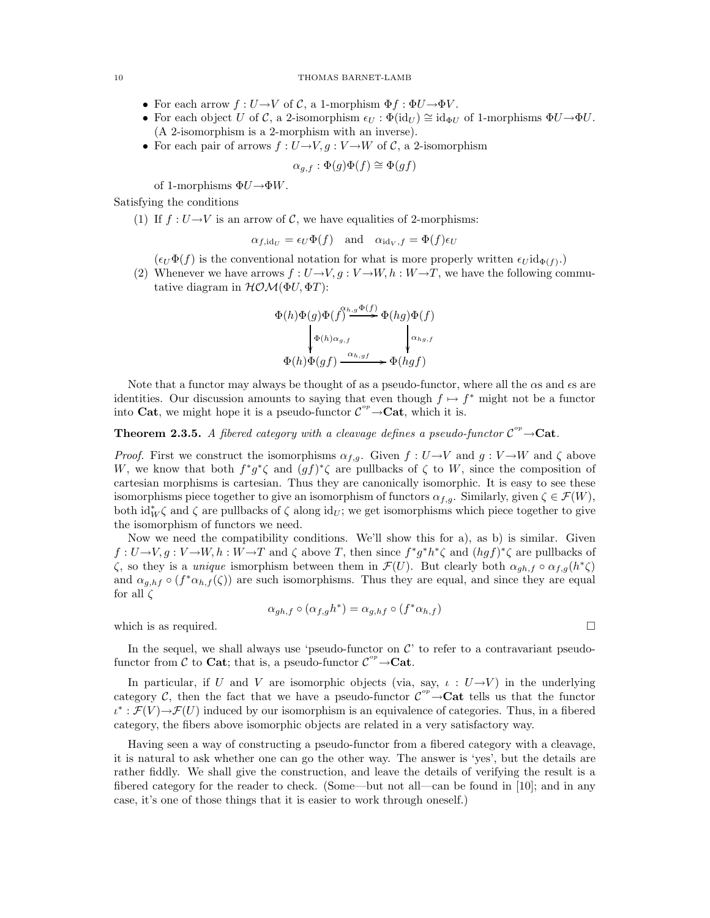### 10 THOMAS BARNET-LAMB

- For each arrow  $f: U \to V$  of C, a 1-morphism  $\Phi f: \Phi U \to \Phi V$ .
- For each object U of C, a 2-isomorphism  $\epsilon_U : \Phi(\mathrm{id}_U) \cong \mathrm{id}_{\Phi U}$  of 1-morphisms  $\Phi U \to \Phi U$ . (A 2-isomorphism is a 2-morphism with an inverse).
- For each pair of arrows  $f: U \rightarrow V, g: V \rightarrow W$  of C, a 2-isomorphism

$$
\alpha_{g,f} : \Phi(g)\Phi(f) \cong \Phi(gf)
$$

of 1-morphisms  $\Phi U {\rightarrow} \Phi W.$ 

Satisfying the conditions

(1) If  $f: U \rightarrow V$  is an arrow of C, we have equalities of 2-morphisms:

$$
\alpha_{f,\mathrm{id}_U} = \epsilon_U \Phi(f)
$$
 and  $\alpha_{\mathrm{id}_V,f} = \Phi(f) \epsilon_U$ 

 $(\epsilon_U \Phi(f)$  is the conventional notation for what is more properly written  $\epsilon_U \mathrm{id}_{\Phi(f)}$ .

(2) Whenever we have arrows  $f: U \to V, g: V \to W, h: W \to T$ , we have the following commutative diagram in  $HOM(\Phi U, \Phi T)$ :

$$
\Phi(h)\Phi(g)\Phi(f)^{\alpha_{h,g}\Phi(f)} \Phi(hg)\Phi(f)
$$
\n
$$
\downarrow \Phi(h)\alpha_{g,f}
$$
\n
$$
\Phi(h)\Phi(gf) \xrightarrow{\alpha_{h,gf}} \Phi(hgf)
$$

Note that a functor may always be thought of as a pseudo-functor, where all the  $\alpha s$  and  $\epsilon s$  are identities. Our discussion amounts to saying that even though  $f \mapsto f^*$  might not be a functor into **Cat**, we might hope it is a pseudo-functor  $C^{op} \rightarrow$  **Cat**, which it is.

**Theorem 2.3.5.** A fibered category with a cleavage defines a pseudo-functor  $C^{op} \rightarrow$ **Cat**.

*Proof.* First we construct the isomorphisms  $\alpha_{f,g}$ . Given  $f: U \to V$  and  $g: V \to W$  and  $\zeta$  above W, we know that both  $f^*g^*\zeta$  and  $(gf)^*\zeta$  are pullbacks of  $\zeta$  to W, since the composition of cartesian morphisms is cartesian. Thus they are canonically isomorphic. It is easy to see these isomorphisms piece together to give an isomorphism of functors  $\alpha_{f,g}$ . Similarly, given  $\zeta \in \mathcal{F}(W)$ , both  $\mathrm{id}_W^*$  and  $\zeta$  are pullbacks of  $\zeta$  along  $\mathrm{id}_U$ ; we get isomorphisms which piece together to give the isomorphism of functors we need.

Now we need the compatibility conditions. We'll show this for a), as b) is similar. Given  $f: U \to V, g: V \to W, h: W \to T$  and  $\zeta$  above T, then since  $f^*g^*h^*\zeta$  and  $(hgf)^*\zeta$  are pullbacks of  $\zeta$ , so they is a *unique* ismorphism between them in  $\mathcal{F}(U)$ . But clearly both  $\alpha_{gh,f} \circ \alpha_{f,g}(h^*\zeta)$ and  $\alpha_{g,hf} \circ (f^* \alpha_{h,f}(\zeta))$  are such isomorphisms. Thus they are equal, and since they are equal for all  $\zeta$ 

$$
\alpha_{gh,f} \circ (\alpha_{f,g} h^*) = \alpha_{g,hf} \circ (f^* \alpha_{h,f})
$$

which is as required.  $\Box$ 

In the sequel, we shall always use 'pseudo-functor on  $\mathcal{C}'$  to refer to a contravariant pseudofunctor from  $\mathcal C$  to **Cat**; that is, a pseudo-functor  $\mathcal C^{op}\to \mathbf{Cat}$ .

In particular, if U and V are isomorphic objects (via, say,  $\iota: U \rightarrow V$ ) in the underlying category C, then the fact that we have a pseudo-functor  $\mathcal{C}^{op}\to\mathbf{Cat}$  tells us that the functor  $u^*: \mathcal{F}(V) \to \mathcal{F}(U)$  induced by our isomorphism is an equivalence of categories. Thus, in a fibered category, the fibers above isomorphic objects are related in a very satisfactory way.

Having seen a way of constructing a pseudo-functor from a fibered category with a cleavage, it is natural to ask whether one can go the other way. The answer is 'yes', but the details are rather fiddly. We shall give the construction, and leave the details of verifying the result is a fibered category for the reader to check. (Some—but not all—can be found in [10]; and in any case, it's one of those things that it is easier to work through oneself.)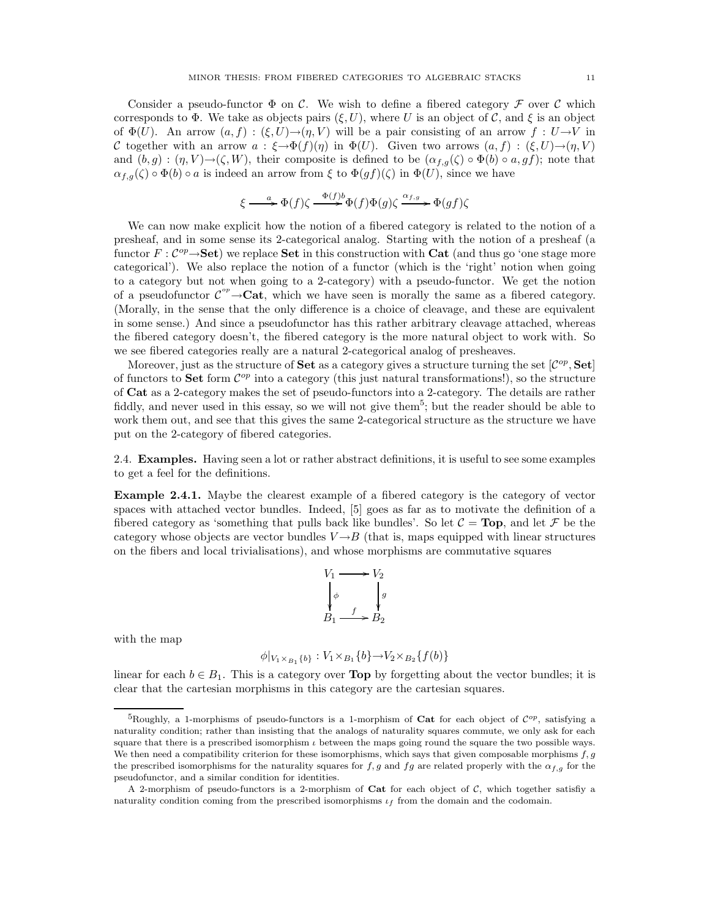Consider a pseudo-functor  $\Phi$  on C. We wish to define a fibered category  $\mathcal F$  over C which corresponds to  $\Phi$ . We take as objects pairs  $(\xi, U)$ , where U is an object of C, and  $\xi$  is an object of  $\Phi(U)$ . An arrow  $(a, f) : (\xi, U) \to (\eta, V)$  will be a pair consisting of an arrow  $f : U \to V$  in C together with an arrow  $a : \xi \to \Phi(f)(\eta)$  in  $\Phi(U)$ . Given two arrows  $(a, f) : (\xi, U) \to (\eta, V)$ and  $(b, g) : (\eta, V) \rightarrow (\zeta, W)$ , their composite is defined to be  $(\alpha_{f,g}(\zeta) \circ \Phi(b) \circ a, gf)$ ; note that  $\alpha_{f,g}(\zeta) \circ \Phi(b) \circ a$  is indeed an arrow from  $\xi$  to  $\Phi(gf)(\zeta)$  in  $\Phi(U)$ , since we have

$$
\xi \longrightarrow^a \Phi(f)\zeta \longrightarrow^{\Phi(f)b} \Phi(f)\Phi(g)\zeta \longrightarrow^{\alpha_{f,g}} \Phi(gf)\zeta
$$

We can now make explicit how the notion of a fibered category is related to the notion of a presheaf, and in some sense its 2-categorical analog. Starting with the notion of a presheaf (a functor  $F: \mathcal{C}^{op} \rightarrow$  Set) we replace Set in this construction with Cat (and thus go 'one stage more categorical'). We also replace the notion of a functor (which is the 'right' notion when going to a category but not when going to a 2-category) with a pseudo-functor. We get the notion of a pseudofunctor  $\mathcal{C}^{\circ p} \to \mathbf{Cat}$ , which we have seen is morally the same as a fibered category. (Morally, in the sense that the only difference is a choice of cleavage, and these are equivalent in some sense.) And since a pseudofunctor has this rather arbitrary cleavage attached, whereas the fibered category doesn't, the fibered category is the more natural object to work with. So we see fibered categories really are a natural 2-categorical analog of presheaves.

Moreover, just as the structure of **Set** as a category gives a structure turning the set  $[\mathcal{C}^{op}, \mathbf{Set}]$ of functors to **Set** form  $\mathcal{C}^{op}$  into a category (this just natural transformations!), so the structure of Cat as a 2-category makes the set of pseudo-functors into a 2-category. The details are rather fiddly, and never used in this essay, so we will not give them<sup>5</sup>; but the reader should be able to work them out, and see that this gives the same 2-categorical structure as the structure we have put on the 2-category of fibered categories.

2.4. Examples. Having seen a lot or rather abstract definitions, it is useful to see some examples to get a feel for the definitions.

Example 2.4.1. Maybe the clearest example of a fibered category is the category of vector spaces with attached vector bundles. Indeed, [5] goes as far as to motivate the definition of a fibered category as 'something that pulls back like bundles'. So let  $\mathcal{C} = \textbf{Top}$ , and let  $\mathcal{F}$  be the category whose objects are vector bundles  $V \rightarrow B$  (that is, maps equipped with linear structures on the fibers and local trivialisations), and whose morphisms are commutative squares

$$
V_1 \longrightarrow V_2
$$
  
\n
$$
\downarrow \phi \qquad \qquad \downarrow g
$$
  
\n
$$
B_1 \longrightarrow B_2
$$

with the map

$$
\phi|_{V_1 \times_{B_1} \{b\}} : V_1 \times_{B_1} \{b\} \to V_2 \times_{B_2} \{f(b)\}\
$$

linear for each  $b \in B_1$ . This is a category over **Top** by forgetting about the vector bundles; it is clear that the cartesian morphisms in this category are the cartesian squares.

<sup>&</sup>lt;sup>5</sup>Roughly, a 1-morphisms of pseudo-functors is a 1-morphism of **Cat** for each object of  $C^{op}$ , satisfying a naturality condition; rather than insisting that the analogs of naturality squares commute, we only ask for each square that there is a prescribed isomorphism  $\iota$  between the maps going round the square the two possible ways. We then need a compatibility criterion for these isomorphisms, which says that given composable morphisms  $f, g$ the prescribed isomorphisms for the naturality squares for f, g and fg are related properly with the  $\alpha_{f,g}$  for the pseudofunctor, and a similar condition for identities.

A 2-morphism of pseudo-functors is a 2-morphism of Cat for each object of  $C$ , which together satisfiy a naturality condition coming from the prescribed isomorphisms  $\iota_f$  from the domain and the codomain.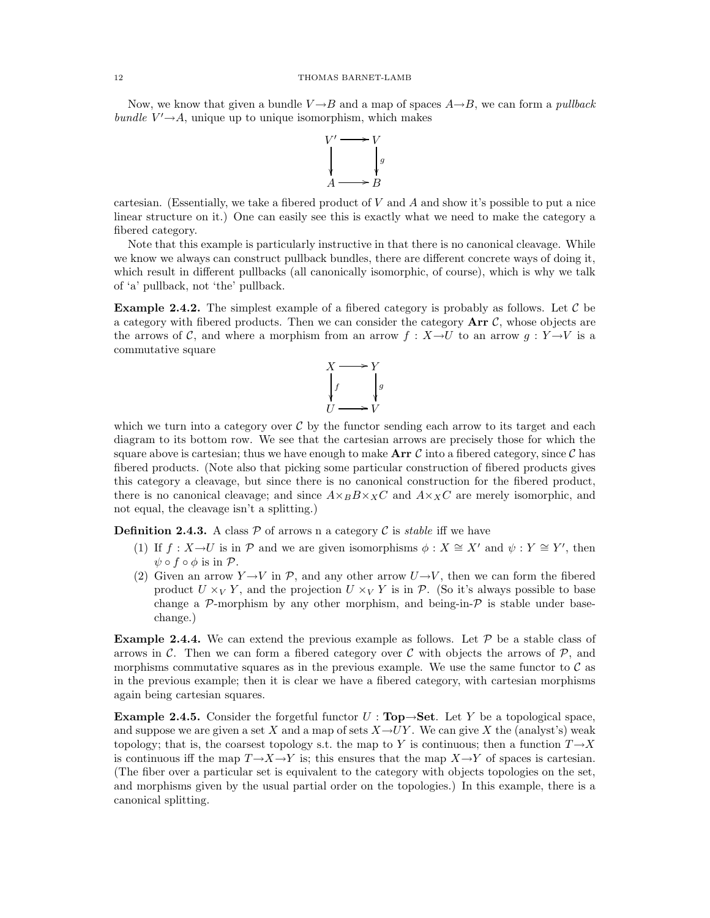Now, we know that given a bundle  $V \rightarrow B$  and a map of spaces  $A \rightarrow B$ , we can form a *pullback* bundle  $V' \rightarrow A$ , unique up to unique isomorphism, which makes



cartesian. (Essentially, we take a fibered product of  $V$  and  $A$  and show it's possible to put a nice linear structure on it.) One can easily see this is exactly what we need to make the category a fibered category.

Note that this example is particularly instructive in that there is no canonical cleavage. While we know we always can construct pullback bundles, there are different concrete ways of doing it, which result in different pullbacks (all canonically isomorphic, of course), which is why we talk of 'a' pullback, not 'the' pullback.

**Example 2.4.2.** The simplest example of a fibered category is probably as follows. Let  $\mathcal{C}$  be a category with fibered products. Then we can consider the category  $Arr \mathcal{C}$ , whose objects are the arrows of C, and where a morphism from an arrow f :  $X \rightarrow U$  to an arrow  $q : Y \rightarrow V$  is a commutative square



which we turn into a category over  $C$  by the functor sending each arrow to its target and each diagram to its bottom row. We see that the cartesian arrows are precisely those for which the square above is cartesian; thus we have enough to make  $Arr C$  into a fibered category, since C has fibered products. (Note also that picking some particular construction of fibered products gives this category a cleavage, but since there is no canonical construction for the fibered product, there is no canonical cleavage; and since  $A \times_B B \times_X C$  and  $A \times_X C$  are merely isomorphic, and not equal, the cleavage isn't a splitting.)

**Definition 2.4.3.** A class  $P$  of arrows n a category  $C$  is *stable* iff we have

- (1) If  $f : X \to U$  is in  $\mathcal P$  and we are given isomorphisms  $\phi : X \cong X'$  and  $\psi : Y \cong Y'$ , then  $\psi \circ f \circ \phi$  is in  $\mathcal{P}$ .
- (2) Given an arrow  $Y \rightarrow V$  in  $P$ , and any other arrow  $U \rightarrow V$ , then we can form the fibered product  $U \times_V Y$ , and the projection  $U \times_V Y$  is in P. (So it's always possible to base change a  $\mathcal{P}$ -morphism by any other morphism, and being-in- $\mathcal{P}$  is stable under basechange.)

**Example 2.4.4.** We can extend the previous example as follows. Let  $P$  be a stable class of arrows in  $\mathcal{C}$ . Then we can form a fibered category over  $\mathcal{C}$  with objects the arrows of  $\mathcal{P}$ , and morphisms commutative squares as in the previous example. We use the same functor to  $\mathcal C$  as in the previous example; then it is clear we have a fibered category, with cartesian morphisms again being cartesian squares.

Example 2.4.5. Consider the forgetful functor  $U : Top \rightarrow Set$ . Let Y be a topological space, and suppose we are given a set X and a map of sets  $X \rightarrow UY$ . We can give X the (analyst's) weak topology; that is, the coarsest topology s.t. the map to Y is continuous; then a function  $T\rightarrow X$ is continuous iff the map  $T \rightarrow X \rightarrow Y$  is; this ensures that the map  $X \rightarrow Y$  of spaces is cartesian. (The fiber over a particular set is equivalent to the category with objects topologies on the set, and morphisms given by the usual partial order on the topologies.) In this example, there is a canonical splitting.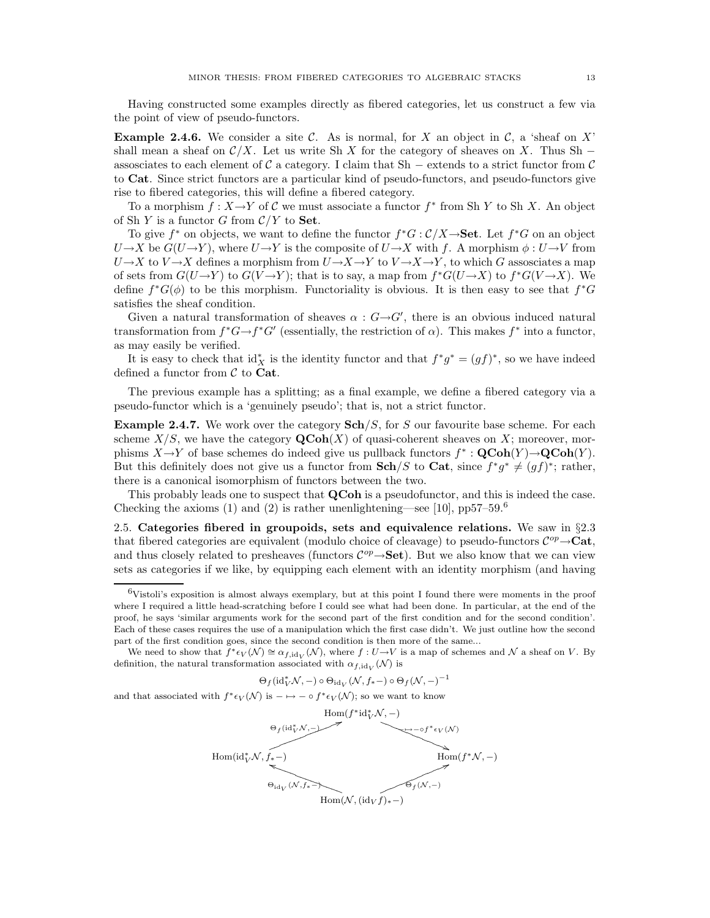Having constructed some examples directly as fibered categories, let us construct a few via the point of view of pseudo-functors.

**Example 2.4.6.** We consider a site C. As is normal, for X an object in C, a 'sheaf on X' shall mean a sheaf on  $\mathcal{C}/X$ . Let us write Sh X for the category of sheaves on X. Thus Sh – assosciates to each element of C a category. I claim that Sh – extends to a strict functor from C to Cat. Since strict functors are a particular kind of pseudo-functors, and pseudo-functors give rise to fibered categories, this will define a fibered category.

To a morphism  $f: X \to Y$  of C we must associate a functor  $f^*$  from Sh Y to Sh X. An object of Sh Y is a functor G from  $\mathcal{C}/Y$  to **Set**.

To give  $f^*$  on objects, we want to define the functor  $f^*G: \mathcal{C}/X \rightarrow$  Set. Let  $f^*G$  on an object  $U\rightarrow X$  be  $G(U\rightarrow Y)$ , where  $U\rightarrow Y$  is the composite of  $U\rightarrow X$  with f. A morphism  $\phi: U\rightarrow V$  from  $U\rightarrow X$  to  $V\rightarrow X$  defines a morphism from  $U\rightarrow X\rightarrow Y$  to  $V\rightarrow X\rightarrow Y$ , to which G assosciates a map of sets from  $G(U \to Y)$  to  $G(V \to Y)$ ; that is to say, a map from  $f^*G(U \to X)$  to  $f^*G(V \to X)$ . We define  $f^*G(\phi)$  to be this morphism. Functoriality is obvious. It is then easy to see that  $f^*G$ satisfies the sheaf condition.

Given a natural transformation of sheaves  $\alpha$ :  $G \rightarrow G'$ , there is an obvious induced natural transformation from  $f^*G \to f^*G'$  (essentially, the restriction of  $\alpha$ ). This makes  $f^*$  into a functor, as may easily be verified.

It is easy to check that  $\mathrm{id}_X^*$  is the identity functor and that  $f^*g^* = (gf)^*$ , so we have indeed defined a functor from  $\mathcal C$  to Cat.

The previous example has a splitting; as a final example, we define a fibered category via a pseudo-functor which is a 'genuinely pseudo'; that is, not a strict functor.

**Example 2.4.7.** We work over the category  $\text{Sch}/S$ , for S our favourite base scheme. For each scheme  $X/S$ , we have the category  $\mathbf{QCoh}(X)$  of quasi-coherent sheaves on X; moreover, morphisms  $X \to Y$  of base schemes do indeed give us pullback functors  $f^* : \mathbf{QCoh}(Y) \to \mathbf{QCoh}(Y)$ . But this definitely does not give us a functor from  $\mathbf{Sch}/S$  to  $\mathbf{Cat}$ , since  $f^*g^* \neq (gf)^*$ ; rather, there is a canonical isomorphism of functors between the two.

This probably leads one to suspect that **QCoh** is a pseudofunctor, and this is indeed the case. Checking the axioms (1) and (2) is rather unenlightening—see [10],  $pp57-59.6$ 

2.5. Categories fibered in groupoids, sets and equivalence relations. We saw in §2.3 that fibered categories are equivalent (modulo choice of cleavage) to pseudo-functors  $\mathcal{C}^{op}\rightarrow \mathbf{Cat}$ , and thus closely related to presheaves (functors  $\mathcal{C}^{op}\rightarrow \mathbf{Set}$ ). But we also know that we can view sets as categories if we like, by equipping each element with an identity morphism (and having

 $\Theta_f(\mathrm{id}_V^*\mathcal{N},-)\circ \Theta_{\mathrm{id}_V}(\mathcal{N},f_*-) \circ \Theta_f(\mathcal{N},-)^{-1}$ 

and that associated with  $f^* \epsilon_V(N)$  is  $-\mapsto -\circ f^* \epsilon_V(N)$ ; so we want to know



 $6$ Vistoli's exposition is almost always exemplary, but at this point I found there were moments in the proof where I required a little head-scratching before I could see what had been done. In particular, at the end of the proof, he says 'similar arguments work for the second part of the first condition and for the second condition'. Each of these cases requires the use of a manipulation which the first case didn't. We just outline how the second part of the first condition goes, since the second condition is then more of the same...

We need to show that  $f^* \epsilon_V(\mathcal{N}) \cong \alpha_{f,\mathrm{id}_V}(\mathcal{N})$ , where  $f: U \to V$  is a map of schemes and  $\mathcal N$  a sheaf on V. By definition, the natural transformation associated with  $\alpha_{f,\mathrm{id}_{V}}(\mathcal{N})$  is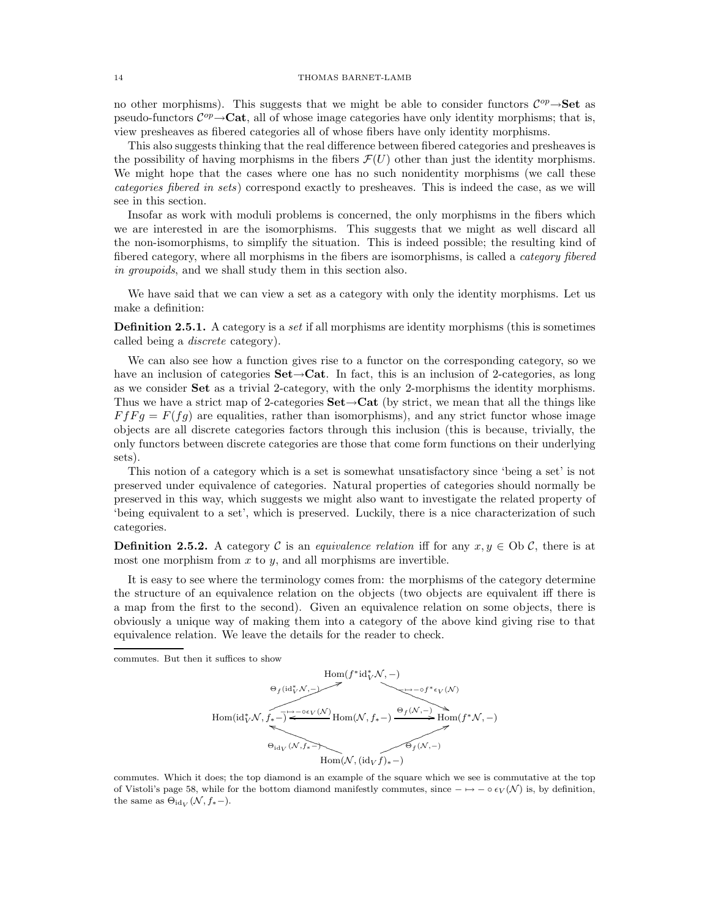### 14 THOMAS BARNET-LAMB

no other morphisms). This suggests that we might be able to consider functors  $\mathcal{C}^{op} \rightarrow$  Set as pseudo-functors  $\mathcal{C}^{op} \rightarrow \mathbf{Cat}$ , all of whose image categories have only identity morphisms; that is, view presheaves as fibered categories all of whose fibers have only identity morphisms.

This also suggests thinking that the real difference between fibered categories and presheaves is the possibility of having morphisms in the fibers  $\mathcal{F}(U)$  other than just the identity morphisms. We might hope that the cases where one has no such nonidentity morphisms (we call these categories fibered in sets) correspond exactly to presheaves. This is indeed the case, as we will see in this section.

Insofar as work with moduli problems is concerned, the only morphisms in the fibers which we are interested in are the isomorphisms. This suggests that we might as well discard all the non-isomorphisms, to simplify the situation. This is indeed possible; the resulting kind of fibered category, where all morphisms in the fibers are isomorphisms, is called a *category fibered* in groupoids, and we shall study them in this section also.

We have said that we can view a set as a category with only the identity morphisms. Let us make a definition:

Definition 2.5.1. A category is a set if all morphisms are identity morphisms (this is sometimes called being a discrete category).

We can also see how a function gives rise to a functor on the corresponding category, so we have an inclusion of categories  $Set \rightarrow Cat$ . In fact, this is an inclusion of 2-categories, as long as we consider Set as a trivial 2-category, with the only 2-morphisms the identity morphisms. Thus we have a strict map of 2-categories  $\textbf{Set} \rightarrow \textbf{Cat}$  (by strict, we mean that all the things like  $F f F g = F(f g)$  are equalities, rather than isomorphisms), and any strict functor whose image objects are all discrete categories factors through this inclusion (this is because, trivially, the only functors between discrete categories are those that come form functions on their underlying sets).

This notion of a category which is a set is somewhat unsatisfactory since 'being a set' is not preserved under equivalence of categories. Natural properties of categories should normally be preserved in this way, which suggests we might also want to investigate the related property of 'being equivalent to a set', which is preserved. Luckily, there is a nice characterization of such categories.

**Definition 2.5.2.** A category C is an *equivalence relation* iff for any  $x, y \in Ob \mathcal{C}$ , there is at most one morphism from  $x$  to  $y$ , and all morphisms are invertible.

It is easy to see where the terminology comes from: the morphisms of the category determine the structure of an equivalence relation on the objects (two objects are equivalent iff there is a map from the first to the second). Given an equivalence relation on some objects, there is obviously a unique way of making them into a category of the above kind giving rise to that equivalence relation. We leave the details for the reader to check.

commutes. But then it suffices to show



commutes. Which it does; the top diamond is an example of the square which we see is commutative at the top of Vistoli's page 58, while for the bottom diamond manifestly commutes, since  $-\mapsto -\circ \epsilon_V(\mathcal{N})$  is, by definition, the same as  $\Theta_{\text{id}_V}(\mathcal{N}, f_*-)$ .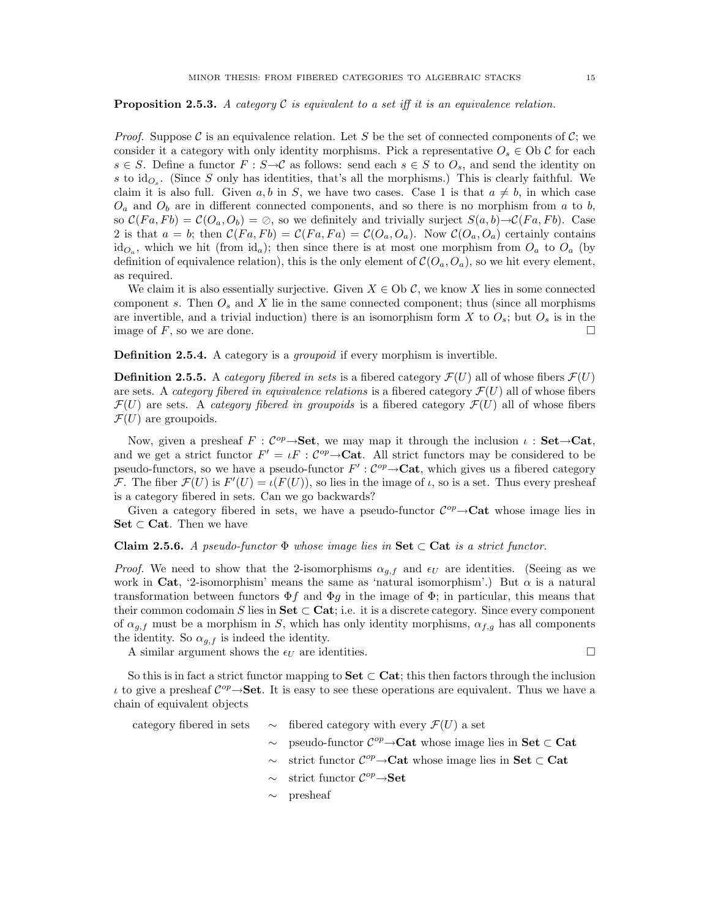**Proposition 2.5.3.** A category  $\mathcal C$  is equivalent to a set iff it is an equivalence relation.

*Proof.* Suppose C is an equivalence relation. Let S be the set of connected components of C; we consider it a category with only identity morphisms. Pick a representative  $O_s \in Ob \mathcal{C}$  for each  $s \in S$ . Define a functor  $F : S \rightarrow C$  as follows: send each  $s \in S$  to  $O_s$ , and send the identity on s to  $\mathrm{id}_{O_s}$ . (Since S only has identities, that's all the morphisms.) This is clearly faithful. We claim it is also full. Given a, b in S, we have two cases. Case 1 is that  $a \neq b$ , in which case  $O_a$  and  $O_b$  are in different connected components, and so there is no morphism from a to b, so  $\mathcal{C}(Fa, Fb) = \mathcal{C}(O_a, O_b) = \emptyset$ , so we definitely and trivially surject  $S(a, b) \rightarrow \mathcal{C}(Fa, Fb)$ . Case 2 is that  $a = b$ ; then  $C(Fa, Fb) = C(Fa, Fa) = C(O_a, O_a)$ . Now  $C(O_a, O_a)$  certainly contains  $id_{O_a}$ , which we hit (from  $id_a$ ); then since there is at most one morphism from  $O_a$  to  $O_a$  (by definition of equivalence relation), this is the only element of  $\mathcal{C}(O_a, O_a)$ , so we hit every element, as required.

We claim it is also essentially surjective. Given  $X \in Ob \mathcal{C}$ , we know X lies in some connected component s. Then  $O_s$  and X lie in the same connected component; thus (since all morphisms are invertible, and a trivial induction) there is an isomorphism form X to  $O_s$ ; but  $O_s$  is in the image of  $F$ , so we are done.

Definition 2.5.4. A category is a *groupoid* if every morphism is invertible.

**Definition 2.5.5.** A *category fibered in sets* is a fibered category  $\mathcal{F}(U)$  all of whose fibers  $\mathcal{F}(U)$ are sets. A *category fibered in equivalence relations* is a fibered category  $\mathcal{F}(U)$  all of whose fibers  $\mathcal{F}(U)$  are sets. A *category fibered in groupoids* is a fibered category  $\mathcal{F}(U)$  all of whose fibers  $\mathcal{F}(U)$  are groupoids.

Now, given a presheaf  $F: \mathcal{C}^{op} \rightarrow \mathbf{Set}$ , we may map it through the inclusion  $\iota : \mathbf{Set} \rightarrow \mathbf{Cat}$ , and we get a strict functor  $F' = \iota F : C^{op} \to \textbf{Cat}$ . All strict functors may be considered to be pseudo-functors, so we have a pseudo-functor  $F': \mathcal{C}^{op} \to \mathbf{Cat}$ , which gives us a fibered category F. The fiber  $\mathcal{F}(U)$  is  $F'(U) = \iota(F(U))$ , so lies in the image of  $\iota$ , so is a set. Thus every presheaf is a category fibered in sets. Can we go backwards?

Given a category fibered in sets, we have a pseudo-functor  $\mathcal{C}^{op} \rightarrow \mathbf{Cat}$  whose image lies in  $\mathbf{Set} \subset \mathbf{Cat}$ . Then we have

### Claim 2.5.6. A pseudo-functor  $\Phi$  whose image lies in Set  $\subset$  Cat is a strict functor.

*Proof.* We need to show that the 2-isomorphisms  $\alpha_{q,f}$  and  $\epsilon_U$  are identities. (Seeing as we work in Cat, '2-isomorphism' means the same as 'natural isomorphism'.) But  $\alpha$  is a natural transformation between functors  $\Phi f$  and  $\Phi q$  in the image of  $\Phi$ ; in particular, this means that their common codomain S lies in Set  $\subset$  Cat; i.e. it is a discrete category. Since every component of  $\alpha_{q,f}$  must be a morphism in S, which has only identity morphisms,  $\alpha_{f,q}$  has all components the identity. So  $\alpha_{q,f}$  is indeed the identity.

A similar argument shows the  $\epsilon_U$  are identities.

So this is in fact a strict functor mapping to Set  $\subset$  Cat; this then factors through the inclusion *t* to give a presheaf  $C^{op} \rightarrow$  **Set**. It is easy to see these operations are equivalent. Thus we have a chain of equivalent objects

category fibered in sets  $\sim$  fibered category with every  $\mathcal{F}(U)$  a set  $\sim$  pseudo-functor  $\mathcal{C}^{op} \rightarrow$ **Cat** whose image lies in **Set** ⊂ **Cat**  $\sim$  strict functor  $\mathcal{C}^{op} \rightarrow$ **Cat** whose image lies in **Set** ⊂ **Cat**  $\sim$  strict functor  $\mathcal{C}^{op} \rightarrow \mathbf{Set}$ 

∼ presheaf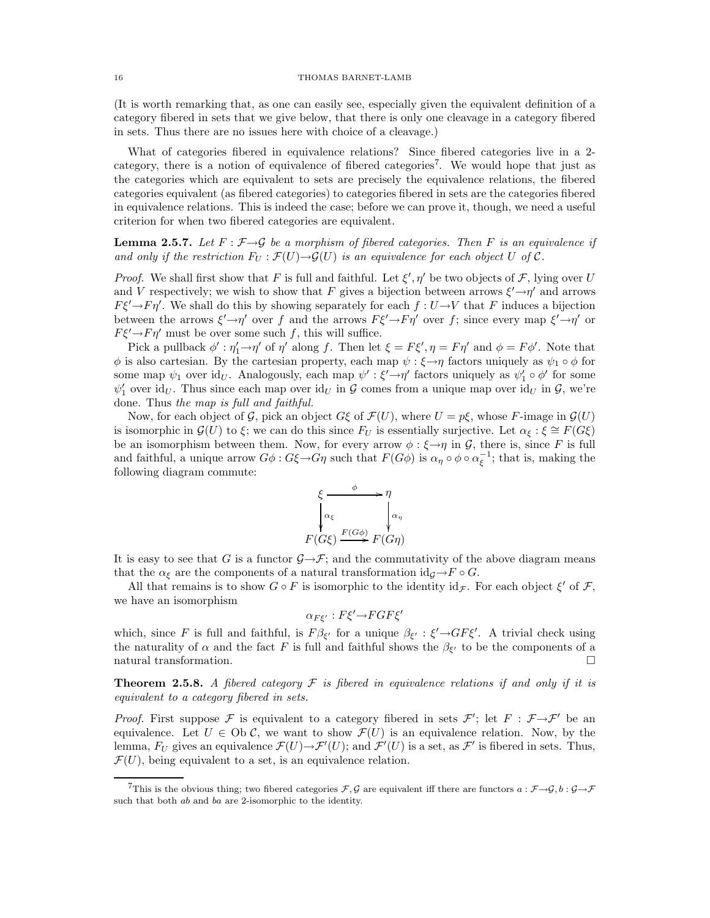(It is worth remarking that, as one can easily see, especially given the equivalent definition of a category fibered in sets that we give below, that there is only one cleavage in a category fibered in sets. Thus there are no issues here with choice of a cleavage.)

What of categories fibered in equivalence relations? Since fibered categories live in a 2 category, there is a notion of equivalence of fibered categories<sup>7</sup>. We would hope that just as the categories which are equivalent to sets are precisely the equivalence relations, the fibered categories equivalent (as fibered categories) to categories fibered in sets are the categories fibered in equivalence relations. This is indeed the case; before we can prove it, though, we need a useful criterion for when two fibered categories are equivalent.

**Lemma 2.5.7.** Let  $F : \mathcal{F} \rightarrow \mathcal{G}$  be a morphism of fibered categories. Then F is an equivalence if and only if the restriction  $F_U : \mathcal{F}(U) \to \mathcal{G}(U)$  is an equivalence for each object U of C.

*Proof.* We shall first show that F is full and faithful. Let  $\xi', \eta'$  be two objects of F, lying over U and V respectively; we wish to show that F gives a bijection between arrows  $\xi' \rightarrow \eta'$  and arrows  $F\xi'\rightarrow F\eta'$ . We shall do this by showing separately for each  $f: U\rightarrow V$  that F induces a bijection between the arrows  $\xi' \to \eta'$  over f and the arrows  $F\xi' \to F\eta'$  over f; since every map  $\xi' \to \eta'$  or  $F\xi' \rightarrow F\eta'$  must be over some such f, this will suffice.

Pick a pullback  $\phi' : \eta'_1 \to \eta'$  of  $\eta'$  along f. Then let  $\xi = F\xi', \eta = F\eta'$  and  $\phi = F\phi'$ . Note that  $\phi$  is also cartesian. By the cartesian property, each map  $\psi : \xi \to \eta$  factors uniquely as  $\psi_1 \circ \phi$  for some map  $\psi_1$  over id<sub>U</sub>. Analogously, each map  $\psi': \xi' \rightarrow \eta'$  factors uniquely as  $\psi'_1 \circ \phi'$  for some  $\psi'_1$  over id<sub>U</sub>. Thus since each map over id<sub>U</sub> in G comes from a unique map over id<sub>U</sub> in G, we're done. Thus the map is full and faithful.

Now, for each object of G, pick an object  $G\xi$  of  $\mathcal{F}(U)$ , where  $U = p\xi$ , whose F-image in  $\mathcal{G}(U)$ is isomorphic in  $\mathcal{G}(U)$  to  $\xi$ ; we can do this since  $F_U$  is essentially surjective. Let  $\alpha_{\xi}: \xi \cong F(G\xi)$ be an isomorphism between them. Now, for every arrow  $\phi : \xi \rightarrow \eta$  in G, there is, since F is full and faithful, a unique arrow  $G\phi$ :  $G\xi \to G\eta$  such that  $F(G\phi)$  is  $\alpha_{\eta} \circ \phi \circ \alpha_{\xi}^{-1}$ ; that is, making the following diagram commute:



It is easy to see that G is a functor  $\mathcal{G}\rightarrow\mathcal{F}$ ; and the commutativity of the above diagram means that the  $\alpha_{\xi}$  are the components of a natural transformation id $_{\mathcal{G}} \rightarrow F \circ G$ .

All that remains is to show  $G \circ F$  is isomorphic to the identity  $id_{\mathcal{F}}$ . For each object  $\xi'$  of  $\mathcal{F}$ , we have an isomorphism

$$
\alpha_{F\xi'}: F\xi' \to FGF\xi'
$$

which, since F is full and faithful, is  $F\beta_{\xi'}$  for a unique  $\beta_{\xi'}$ :  $\xi' \rightarrow GF\xi'$ . A trivial check using the naturality of  $\alpha$  and the fact F is full and faithful shows the  $\beta_{\xi'}$  to be the components of a natural transformation.  $\Box$ 

**Theorem 2.5.8.** A fibered category  $\mathcal F$  is fibered in equivalence relations if and only if it is equivalent to a category fibered in sets.

*Proof.* First suppose  $\mathcal F$  is equivalent to a category fibered in sets  $\mathcal F'$ ; let  $F : \mathcal F \rightarrow \mathcal F'$  be an equivalence. Let  $U \in Ob \mathcal{C}$ , we want to show  $\mathcal{F}(U)$  is an equivalence relation. Now, by the lemma,  $F_U$  gives an equivalence  $\mathcal{F}(U) \to \mathcal{F}'(U)$ ; and  $\mathcal{F}'(U)$  is a set, as  $\mathcal{F}'$  is fibered in sets. Thus,  $\mathcal{F}(U)$ , being equivalent to a set, is an equivalence relation.

<sup>&</sup>lt;sup>7</sup>This is the obvious thing; two fibered categories  $\mathcal{F}, \mathcal{G}$  are equivalent iff there are functors  $a : \mathcal{F} \rightarrow \mathcal{G}, b : \mathcal{G} \rightarrow \mathcal{F}$ such that both ab and ba are 2-isomorphic to the identity.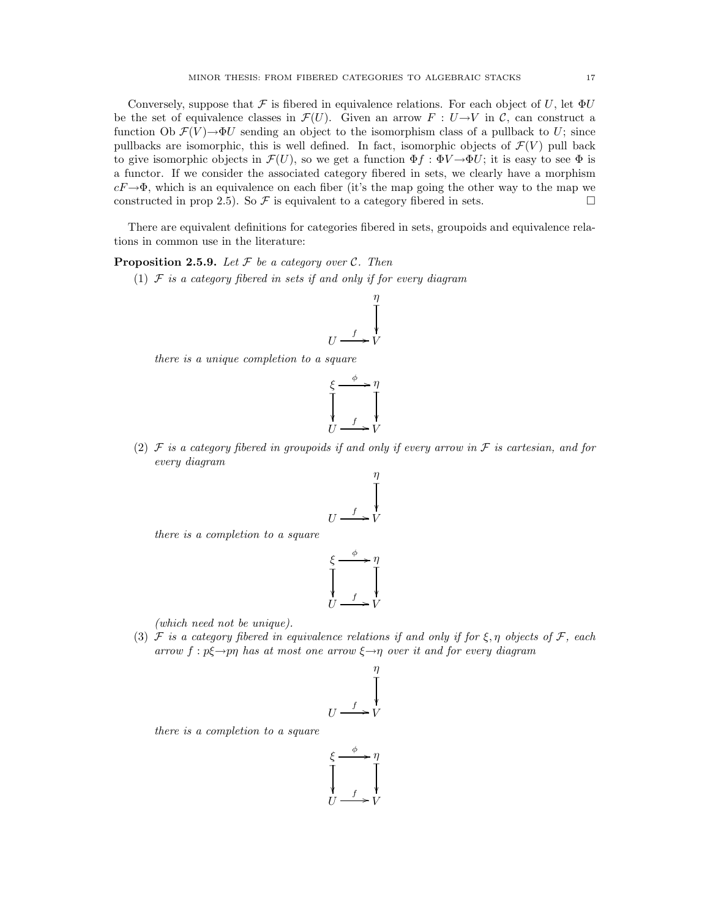Conversely, suppose that F is fibered in equivalence relations. For each object of U, let  $\Phi U$ be the set of equivalence classes in  $\mathcal{F}(U)$ . Given an arrow  $F: U \rightarrow V$  in C, can construct a function Ob  $\mathcal{F}(V) \rightarrow \Phi U$  sending an object to the isomorphism class of a pullback to U; since pullbacks are isomorphic, this is well defined. In fact, isomorphic objects of  $\mathcal{F}(V)$  pull back to give isomorphic objects in  $\mathcal{F}(U)$ , so we get a function  $\Phi f : \Phi V \to \Phi U$ ; it is easy to see  $\Phi$  is a functor. If we consider the associated category fibered in sets, we clearly have a morphism  $cF \rightarrow \Phi$ , which is an equivalence on each fiber (it's the map going the other way to the map we constructed in prop 2.5). So  $\mathcal F$  is equivalent to a category fibered in sets. constructed in prop 2.5). So  $\mathcal F$  is equivalent to a category fibered in sets.

There are equivalent definitions for categories fibered in sets, groupoids and equivalence relations in common use in the literature:

**Proposition 2.5.9.** Let  $\mathcal F$  be a category over  $\mathcal C$ . Then

(1)  $F$  is a category fibered in sets if and only if for every diagram

$$
U \xrightarrow{f} V
$$

there is a unique completion to a square

$$
\begin{array}{ccc}\n\xi & \xrightarrow{\phi} & \eta \\
\hline\n\downarrow & & \downarrow \\
U & \xrightarrow{f} & V\n\end{array}
$$

(2)  $\mathcal F$  is a category fibered in groupoids if and only if every arrow in  $\mathcal F$  is cartesian, and for every diagram

$$
U \xrightarrow{f} V
$$
\n
$$
U \xrightarrow{f} V
$$

there is a completion to a square

$$
\xi \xrightarrow{f} \eta
$$
\n
$$
\downarrow \qquad \qquad \downarrow
$$
\n
$$
U \xrightarrow{f} V
$$

(which need not be unique).

(3) F is a category fibered in equivalence relations if and only if for  $\xi, \eta$  objects of F, each arrow  $f : p\xi \rightarrow p\eta$  has at most one arrow  $\xi \rightarrow \eta$  over it and for every diagram

$$
U \xrightarrow{f} V
$$
\n
$$
U \xrightarrow{f} V
$$

there is a completion to a square

$$
\xi \xrightarrow{f} \eta
$$
\n
$$
\downarrow
$$
\n
$$
U \xrightarrow{f} V
$$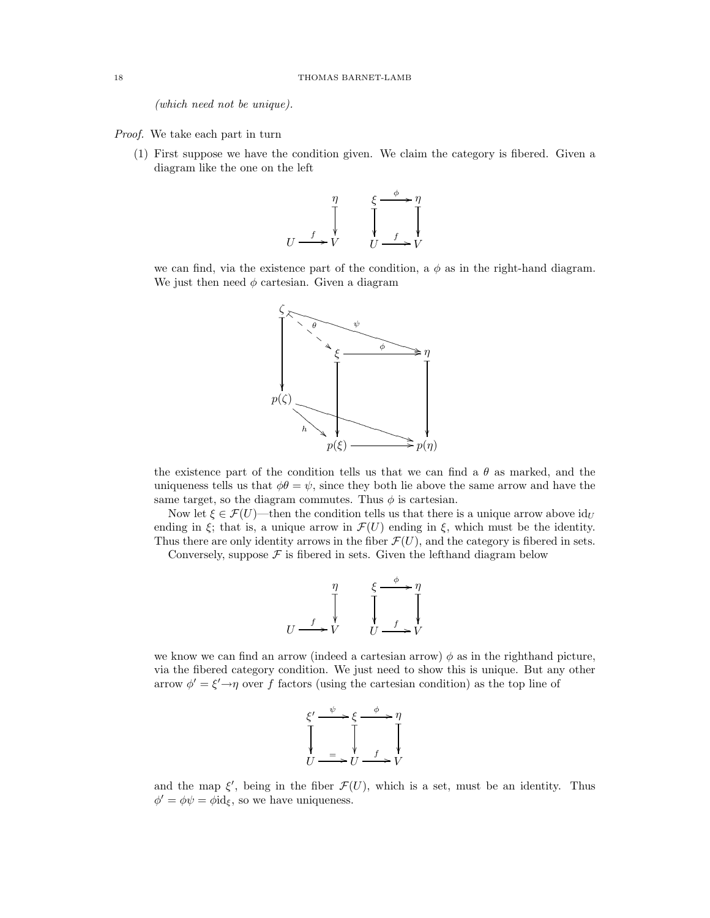(which need not be unique).

Proof. We take each part in turn

(1) First suppose we have the condition given. We claim the category is fibered. Given a diagram like the one on the left



we can find, via the existence part of the condition, a  $\phi$  as in the right-hand diagram. We just then need  $\phi$  cartesian. Given a diagram



the existence part of the condition tells us that we can find a  $\theta$  as marked, and the uniqueness tells us that  $\phi\theta = \psi$ , since they both lie above the same arrow and have the same target, so the diagram commutes. Thus  $\phi$  is cartesian.

Now let  $\xi \in \mathcal{F}(U)$ —then the condition tells us that there is a unique arrow above  $\mathrm{id}_U$ ending in  $\xi$ ; that is, a unique arrow in  $\mathcal{F}(U)$  ending in  $\xi$ , which must be the identity. Thus there are only identity arrows in the fiber  $\mathcal{F}(U)$ , and the category is fibered in sets.

Conversely, suppose  $\mathcal F$  is fibered in sets. Given the lefthand diagram below

$$
\begin{array}{ccc}\n & \eta & \xi \xrightarrow{\phi} \eta \\
 \downarrow & & \downarrow \qquad \searrow \\
 & U \xrightarrow{f} V & U \xrightarrow{f} V\n\end{array}
$$

we know we can find an arrow (indeed a cartesian arrow)  $\phi$  as in the righthand picture, via the fibered category condition. We just need to show this is unique. But any other arrow  $\phi' = \xi' \rightarrow \eta$  over f factors (using the cartesian condition) as the top line of

$$
\begin{array}{c}\n\xi' \xrightarrow{\psi} \xi \xrightarrow{\phi} \eta \\
\downarrow \qquad \qquad \downarrow \qquad \qquad \downarrow \qquad \downarrow \\
U \xrightarrow{\quad \qquad \downarrow} U \xrightarrow{\quad \qquad \downarrow} V\n\end{array}
$$

and the map  $\xi'$ , being in the fiber  $\mathcal{F}(U)$ , which is a set, must be an identity. Thus  $\phi' = \phi \psi = \phi \mathrm{id}_{\xi}$ , so we have uniqueness.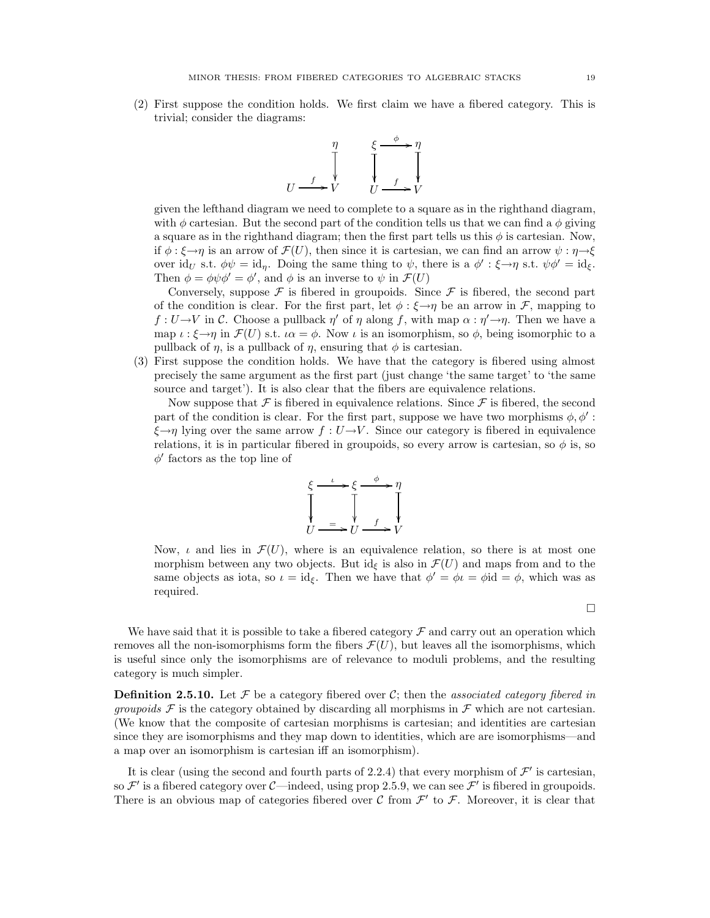(2) First suppose the condition holds. We first claim we have a fibered category. This is trivial; consider the diagrams:



given the lefthand diagram we need to complete to a square as in the righthand diagram, with  $\phi$  cartesian. But the second part of the condition tells us that we can find a  $\phi$  giving a square as in the righthand diagram; then the first part tells us this  $\phi$  is cartesian. Now, if  $\phi$ :  $\xi \rightarrow \eta$  is an arrow of  $\mathcal{F}(U)$ , then since it is cartesian, we can find an arrow  $\psi : \eta \rightarrow \xi$ over id<sub>U</sub> s.t.  $\phi\psi = id_{\eta}$ . Doing the same thing to  $\psi$ , there is a  $\phi' : \xi \rightarrow \eta$  s.t.  $\psi\phi' = id_{\xi}$ . Then  $\phi = \phi \psi \phi' = \phi'$ , and  $\phi$  is an inverse to  $\psi$  in  $\mathcal{F}(U)$ 

Conversely, suppose  $\mathcal F$  is fibered in groupoids. Since  $\mathcal F$  is fibered, the second part of the condition is clear. For the first part, let  $\phi : \xi \rightarrow \eta$  be an arrow in F, mapping to  $f: U \to V$  in C. Choose a pullback  $\eta'$  of  $\eta$  along f, with map  $\alpha: \eta' \to \eta$ . Then we have a map  $\iota : \xi \to \eta$  in  $\mathcal{F}(U)$  s.t.  $\iota \alpha = \phi$ . Now  $\iota$  is an isomorphism, so  $\phi$ , being isomorphic to a pullback of  $\eta$ , is a pullback of  $\eta$ , ensuring that  $\phi$  is cartesian.

(3) First suppose the condition holds. We have that the category is fibered using almost precisely the same argument as the first part (just change 'the same target' to 'the same source and target'). It is also clear that the fibers are equivalence relations.

Now suppose that  $\mathcal F$  is fibered in equivalence relations. Since  $\mathcal F$  is fibered, the second part of the condition is clear. For the first part, suppose we have two morphisms  $\phi, \phi'$ :  $\xi \rightarrow \eta$  lying over the same arrow  $f: U \rightarrow V$ . Since our category is fibered in equivalence relations, it is in particular fibered in groupoids, so every arrow is cartesian, so  $\phi$  is, so  $\phi'$  factors as the top line of



Now,  $\iota$  and lies in  $\mathcal{F}(U)$ , where is an equivalence relation, so there is at most one morphism between any two objects. But  $id_{\xi}$  is also in  $\mathcal{F}(U)$  and maps from and to the same objects as iota, so  $\iota = id_{\xi}$ . Then we have that  $\phi' = \phi \iota = \phi$  id  $= \phi$ , which was as required.

 $\Box$ 

We have said that it is possible to take a fibered category  $\mathcal F$  and carry out an operation which removes all the non-isomorphisms form the fibers  $\mathcal{F}(U)$ , but leaves all the isomorphisms, which is useful since only the isomorphisms are of relevance to moduli problems, and the resulting category is much simpler.

**Definition 2.5.10.** Let  $\mathcal F$  be a category fibered over C; then the associated category fibered in *groupoids*  $\mathcal F$  is the category obtained by discarding all morphisms in  $\mathcal F$  which are not cartesian. (We know that the composite of cartesian morphisms is cartesian; and identities are cartesian since they are isomorphisms and they map down to identities, which are are isomorphisms—and a map over an isomorphism is cartesian iff an isomorphism).

It is clear (using the second and fourth parts of 2.2.4) that every morphism of  $\mathcal{F}'$  is cartesian, so  $\mathcal{F}'$  is a fibered category over C—indeed, using prop 2.5.9, we can see  $\mathcal{F}'$  is fibered in groupoids. There is an obvious map of categories fibered over  $C$  from  $\mathcal{F}'$  to  $\mathcal{F}$ . Moreover, it is clear that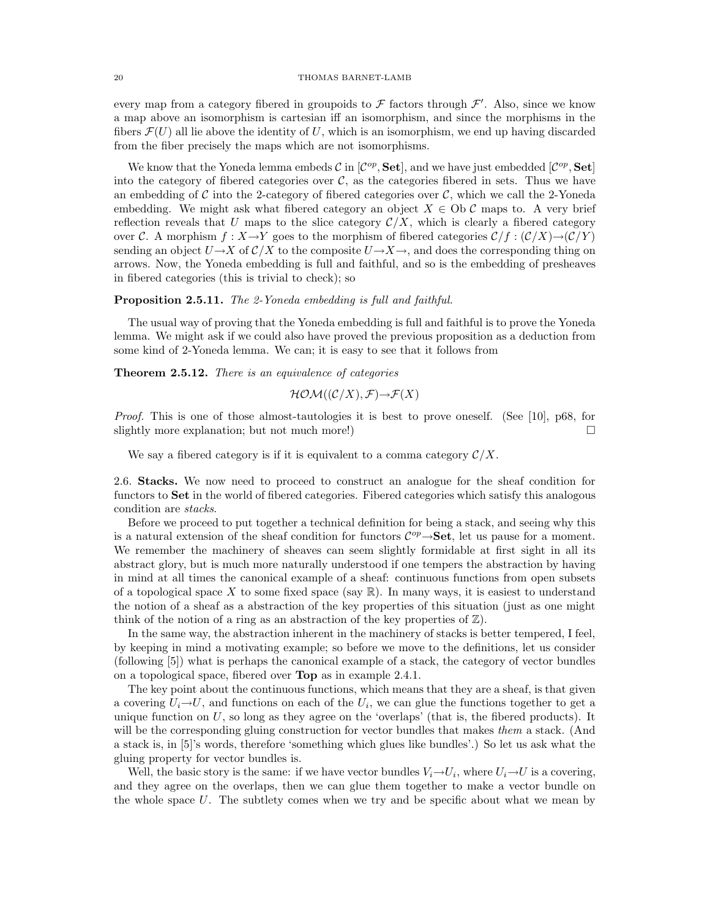every map from a category fibered in groupoids to  $\mathcal F$  factors through  $\mathcal F'$ . Also, since we know a map above an isomorphism is cartesian iff an isomorphism, and since the morphisms in the fibers  $\mathcal{F}(U)$  all lie above the identity of U, which is an isomorphism, we end up having discarded from the fiber precisely the maps which are not isomorphisms.

We know that the Yoneda lemma embeds  $\mathcal{C}$  in  $[\mathcal{C}^{op}, \mathbf{Set}]$ , and we have just embedded  $[\mathcal{C}^{op}, \mathbf{Set}]$ into the category of fibered categories over  $\mathcal{C}$ , as the categories fibered in sets. Thus we have an embedding of  $\mathcal C$  into the 2-category of fibered categories over  $\mathcal C$ , which we call the 2-Yoneda embedding. We might ask what fibered category an object  $X \in Ob \mathcal{C}$  maps to. A very brief reflection reveals that U maps to the slice category  $\mathcal{C}/X$ , which is clearly a fibered category over C. A morphism  $f : X \to Y$  goes to the morphism of fibered categories  $\mathcal{C}/f : (\mathcal{C}/X) \to (\mathcal{C}/Y)$ sending an object  $U\rightarrow X$  of  $\mathcal{C}/X$  to the composite  $U\rightarrow X\rightarrow$ , and does the corresponding thing on arrows. Now, the Yoneda embedding is full and faithful, and so is the embedding of presheaves in fibered categories (this is trivial to check); so

### Proposition 2.5.11. The 2-Yoneda embedding is full and faithful.

The usual way of proving that the Yoneda embedding is full and faithful is to prove the Yoneda lemma. We might ask if we could also have proved the previous proposition as a deduction from some kind of 2-Yoneda lemma. We can; it is easy to see that it follows from

Theorem 2.5.12. There is an equivalence of categories

$$
\mathcal{HOM}((\mathcal{C}/X), \mathcal{F}) {\rightarrow} \mathcal{F}(X)
$$

Proof. This is one of those almost-tautologies it is best to prove oneself. (See [10], p68, for slightly more explanation; but not much more!)

We say a fibered category is if it is equivalent to a comma category  $\mathcal{C}/X$ .

2.6. Stacks. We now need to proceed to construct an analogue for the sheaf condition for functors to Set in the world of fibered categories. Fibered categories which satisfy this analogous condition are stacks.

Before we proceed to put together a technical definition for being a stack, and seeing why this is a natural extension of the sheaf condition for functors  $\mathcal{C}^{op} \rightarrow$  Set, let us pause for a moment. We remember the machinery of sheaves can seem slightly formidable at first sight in all its abstract glory, but is much more naturally understood if one tempers the abstraction by having in mind at all times the canonical example of a sheaf: continuous functions from open subsets of a topological space X to some fixed space (say  $\mathbb{R}$ ). In many ways, it is easiest to understand the notion of a sheaf as a abstraction of the key properties of this situation (just as one might think of the notion of a ring as an abstraction of the key properties of  $\mathbb{Z}$ ).

In the same way, the abstraction inherent in the machinery of stacks is better tempered, I feel, by keeping in mind a motivating example; so before we move to the definitions, let us consider (following [5]) what is perhaps the canonical example of a stack, the category of vector bundles on a topological space, fibered over Top as in example 2.4.1.

The key point about the continuous functions, which means that they are a sheaf, is that given a covering  $U_i \rightarrow U$ , and functions on each of the  $U_i$ , we can glue the functions together to get a unique function on  $U$ , so long as they agree on the 'overlaps' (that is, the fibered products). It will be the corresponding gluing construction for vector bundles that makes them a stack. (And a stack is, in [5]'s words, therefore 'something which glues like bundles'.) So let us ask what the gluing property for vector bundles is.

Well, the basic story is the same: if we have vector bundles  $V_i \rightarrow U_i$ , where  $U_i \rightarrow U$  is a covering, and they agree on the overlaps, then we can glue them together to make a vector bundle on the whole space  $U$ . The subtlety comes when we try and be specific about what we mean by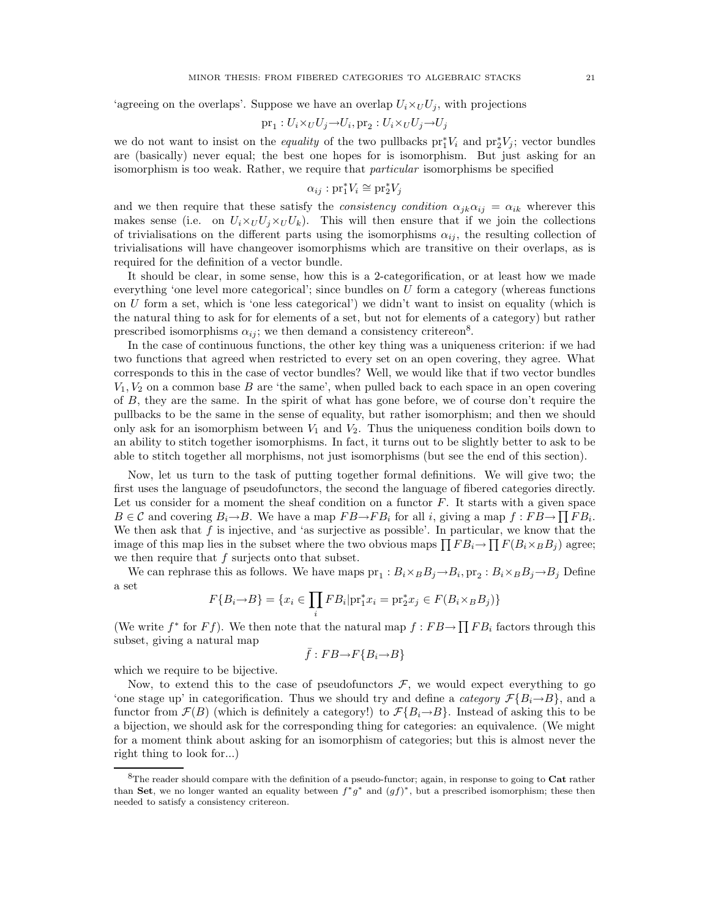'agreeing on the overlaps'. Suppose we have an overlap  $U_i \times_U U_j$ , with projections

$$
\text{pr}_1: U_i \times_U U_j \to U_i, \text{pr}_2: U_i \times_U U_j \to U_j
$$

we do not want to insist on the *equality* of the two pullbacks  $pr_1^*V_i$  and  $pr_2^*V_j$ ; vector bundles are (basically) never equal; the best one hopes for is isomorphism. But just asking for an isomorphism is too weak. Rather, we require that particular isomorphisms be specified

$$
\alpha_{ij}: \mathrm{pr}_1^*V_i \cong \mathrm{pr}_2^*V_j
$$

and we then require that these satisfy the *consistency condition*  $\alpha_{jk}\alpha_{ij} = \alpha_{ik}$  wherever this makes sense (i.e. on  $U_i \times_U U_j \times_U U_k$ ). This will then ensure that if we join the collections of trivialisations on the different parts using the isomorphisms  $\alpha_{ij}$ , the resulting collection of trivialisations will have changeover isomorphisms which are transitive on their overlaps, as is required for the definition of a vector bundle.

It should be clear, in some sense, how this is a 2-categorification, or at least how we made everything 'one level more categorical'; since bundles on  $U$  form a category (whereas functions on U form a set, which is 'one less categorical') we didn't want to insist on equality (which is the natural thing to ask for for elements of a set, but not for elements of a category) but rather prescribed isomorphisms  $\alpha_{ij}$ ; we then demand a consistency critereon<sup>8</sup>.

In the case of continuous functions, the other key thing was a uniqueness criterion: if we had two functions that agreed when restricted to every set on an open covering, they agree. What corresponds to this in the case of vector bundles? Well, we would like that if two vector bundles  $V_1, V_2$  on a common base B are 'the same', when pulled back to each space in an open covering of B, they are the same. In the spirit of what has gone before, we of course don't require the pullbacks to be the same in the sense of equality, but rather isomorphism; and then we should only ask for an isomorphism between  $V_1$  and  $V_2$ . Thus the uniqueness condition boils down to an ability to stitch together isomorphisms. In fact, it turns out to be slightly better to ask to be able to stitch together all morphisms, not just isomorphisms (but see the end of this section).

Now, let us turn to the task of putting together formal definitions. We will give two; the first uses the language of pseudofunctors, the second the language of fibered categories directly. Let us consider for a moment the sheaf condition on a functor  $F$ . It starts with a given space  $B \in \mathcal{C}$  and covering  $B_i \rightarrow B$ . We have a map  $FB \rightarrow FB_i$  for all i, giving a map  $f : FB \rightarrow \prod FB_i$ . We then ask that  $f$  is injective, and 'as surjective as possible'. In particular, we know that the image of this map lies in the subset where the two obvious maps  $\prod FB_i \rightarrow \prod F(B_i \times_B B_j)$  agree; we then require that  $f$  surjects onto that subset.

We can rephrase this as follows. We have maps  $\text{pr}_1 : B_i \times_B B_j \rightarrow B_i$ ,  $\text{pr}_2 : B_i \times_B B_j \rightarrow B_j$  Define a set

$$
F\{B_i \to B\} = \{x_i \in \prod_i FB_i | \text{pr}_1^* x_i = \text{pr}_2^* x_j \in F(B_i \times_B B_j)\}
$$

(We write  $f^*$  for  $Ff$ ). We then note that the natural map  $f : FB \rightarrow \prod FB_i$  factors through this subset, giving a natural map

$$
\bar{f}:FB{\rightarrow}F\{B_i{\rightarrow}B\}
$$

which we require to be bijective.

Now, to extend this to the case of pseudofunctors  $\mathcal{F}$ , we would expect everything to go 'one stage up' in categorification. Thus we should try and define a *category*  $\mathcal{F}{B_i \rightarrow B}$ , and a functor from  $\mathcal{F}(B)$  (which is definitely a category!) to  $\mathcal{F}{B_i \rightarrow B}$ . Instead of asking this to be a bijection, we should ask for the corresponding thing for categories: an equivalence. (We might for a moment think about asking for an isomorphism of categories; but this is almost never the right thing to look for...)

<sup>&</sup>lt;sup>8</sup>The reader should compare with the definition of a pseudo-functor; again, in response to going to **Cat** rather than Set, we no longer wanted an equality between  $f^*g^*$  and  $(gf)^*$ , but a prescribed isomorphism; these then needed to satisfy a consistency critereon.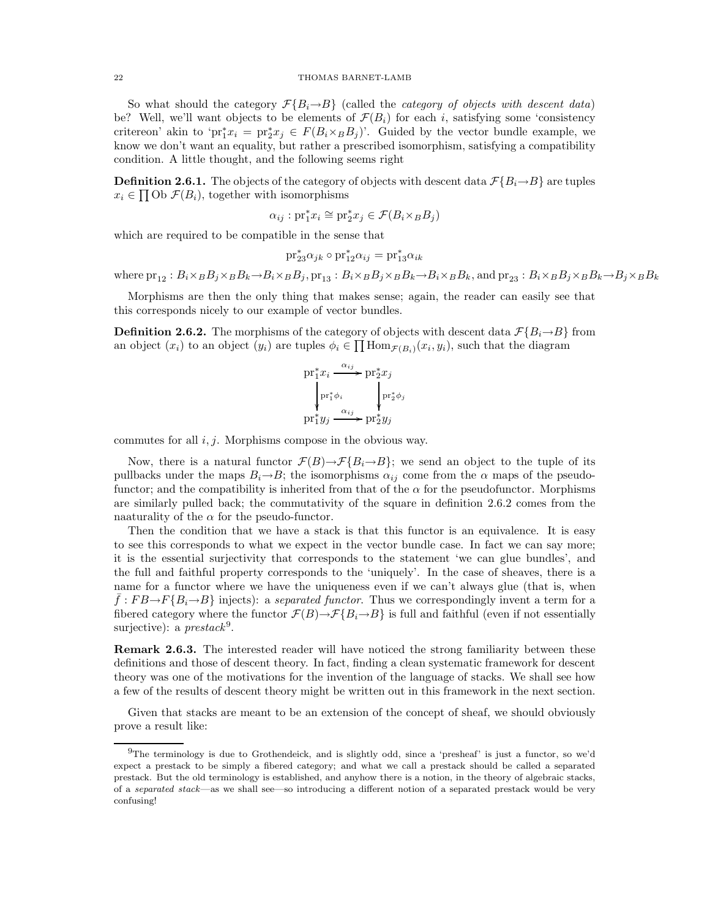### 22 THOMAS BARNET-LAMB

So what should the category  $\mathcal{F}\lbrace B_i\rightarrow B \rbrace$  (called the *category of objects with descent data*) be? Well, we'll want objects to be elements of  $\mathcal{F}(B_i)$  for each i, satisfying some 'consistency critereon' akin to 'pr<sup>\*</sup><sub>1</sub> $x_i = \text{pr}_2^* x_j \in F(B_i \times_B B_j)$ '. Guided by the vector bundle example, we know we don't want an equality, but rather a prescribed isomorphism, satisfying a compatibility condition. A little thought, and the following seems right

**Definition 2.6.1.** The objects of the category of objects with descent data  $\mathcal{F}{B_i \rightarrow B}$  are tuples  $x_i \in \prod \text{Ob } \mathcal{F}(B_i)$ , together with isomorphisms

$$
\alpha_{ij}: \mathrm{pr}_1^* x_i \cong \mathrm{pr}_2^* x_j \in \mathcal{F}(B_i \times_B B_j)
$$

which are required to be compatible in the sense that

$$
\mathrm{pr}_{23}^*\alpha_{jk}\circ\mathrm{pr}_{12}^*\alpha_{ij}=\mathrm{pr}_{13}^*\alpha_{ik}
$$

where  $pr_{12}$ :  $B_i\times_B B_j\times_B B_k \rightarrow B_i\times_B B_j$ ,  $pr_{13}$ :  $B_i\times_B B_j\times_B B_k \rightarrow B_i\times_B B_k$ , and  $pr_{23}$ :  $B_i\times_B B_j\times_B B_k \rightarrow B_j\times_B B_k$ 

Morphisms are then the only thing that makes sense; again, the reader can easily see that this corresponds nicely to our example of vector bundles.

**Definition 2.6.2.** The morphisms of the category of objects with descent data  $\mathcal{F}{B_i \rightarrow B}$  from an object  $(x_i)$  to an object  $(y_i)$  are tuples  $\phi_i \in \prod \text{Hom}_{\mathcal{F}(B_i)}(x_i, y_i)$ , such that the diagram

$$
\begin{aligned}\n &\text{pr}_1^* x_i \xrightarrow{\alpha_{ij}} \text{pr}_2^* x_j \\
 &\downarrow \text{pr}_1^* \phi_i \\
 &\text{pr}_1^* y_j \xrightarrow{\alpha_{ij}} \text{pr}_2^* y_j\n \end{aligned}
$$

commutes for all  $i, j$ . Morphisms compose in the obvious way.

Now, there is a natural functor  $\mathcal{F}(B) \to \mathcal{F}\{B_i \to B\}$ ; we send an object to the tuple of its pullbacks under the maps  $B_i \rightarrow B$ ; the isomorphisms  $\alpha_{ij}$  come from the  $\alpha$  maps of the pseudofunctor; and the compatibility is inherited from that of the  $\alpha$  for the pseudofunctor. Morphisms are similarly pulled back; the commutativity of the square in definition 2.6.2 comes from the naaturality of the  $\alpha$  for the pseudo-functor.

Then the condition that we have a stack is that this functor is an equivalence. It is easy to see this corresponds to what we expect in the vector bundle case. In fact we can say more; it is the essential surjectivity that corresponds to the statement 'we can glue bundles', and the full and faithful property corresponds to the 'uniquely'. In the case of sheaves, there is a name for a functor where we have the uniqueness even if we can't always glue (that is, when  $\bar{f}:FB \rightarrow F\{B_i \rightarrow B\}$  injects): a separated functor. Thus we correspondingly invent a term for a fibered category where the functor  $\mathcal{F}(B) \rightarrow \mathcal{F}\{B_i \rightarrow B\}$  is full and faithful (even if not essentially surjective): a  $prestack<sup>9</sup>$ .

Remark 2.6.3. The interested reader will have noticed the strong familiarity between these definitions and those of descent theory. In fact, finding a clean systematic framework for descent theory was one of the motivations for the invention of the language of stacks. We shall see how a few of the results of descent theory might be written out in this framework in the next section.

Given that stacks are meant to be an extension of the concept of sheaf, we should obviously prove a result like:

 $^{9}$ The terminology is due to Grothendeick, and is slightly odd, since a 'presheaf' is just a functor, so we'd expect a prestack to be simply a fibered category; and what we call a prestack should be called a separated prestack. But the old terminology is established, and anyhow there is a notion, in the theory of algebraic stacks, of a separated stack—as we shall see—so introducing a different notion of a separated prestack would be very confusing!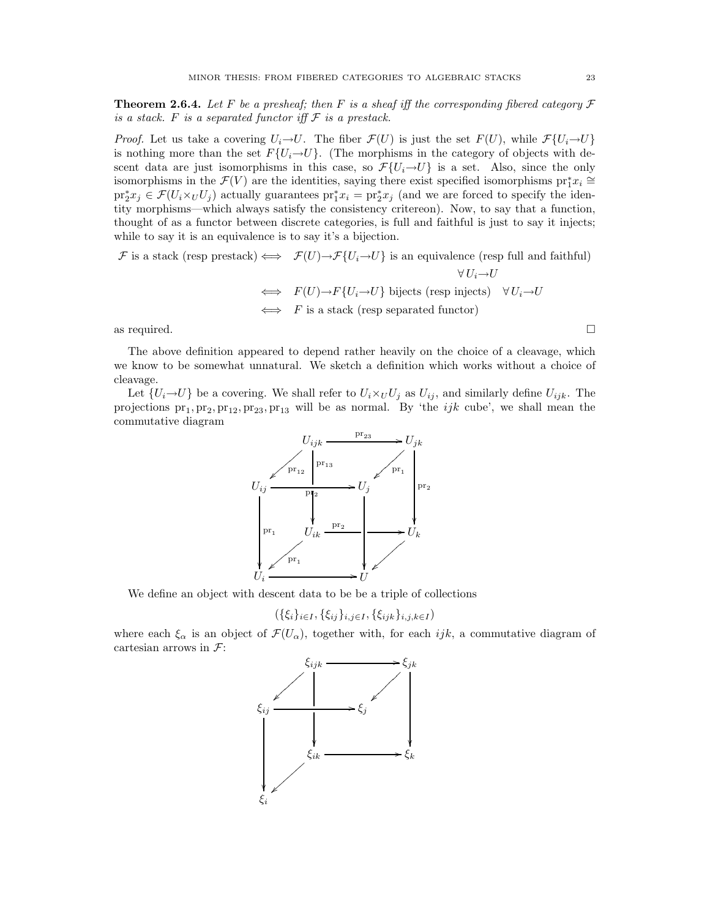**Theorem 2.6.4.** Let F be a presheaf; then F is a sheaf iff the corresponding fibered category  $\mathcal F$ is a stack. F is a separated functor iff  $\mathcal F$  is a prestack.

*Proof.* Let us take a covering  $U_i \rightarrow U$ . The fiber  $\mathcal{F}(U)$  is just the set  $F(U)$ , while  $\mathcal{F}\{U_i \rightarrow U\}$ is nothing more than the set  $F\{U_i \rightarrow U\}$ . (The morphisms in the category of objects with descent data are just isomorphisms in this case, so  $\mathcal{F}\{U_i \rightarrow U\}$  is a set. Also, since the only isomorphisms in the  $\mathcal{F}(V)$  are the identities, saying there exist specified isomorphisms  $\text{pr}_1^* x_i \cong$  $\text{pr}_2^* x_j \in \mathcal{F}(U_i \times_U U_j)$  actually guarantees  $\text{pr}_1^* x_i = \text{pr}_2^* x_j$  (and we are forced to specify the identity morphisms—which always satisfy the consistency critereon). Now, to say that a function, thought of as a functor between discrete categories, is full and faithful is just to say it injects; while to say it is an equivalence is to say it's a bijection.

$$
\mathcal{F} \text{ is a stack (resp prestack)} \iff \mathcal{F}(U) \to \mathcal{F}\{U_i \to U\} \text{ is an equivalence (resp full and faithful)}
$$
\n
$$
\forall U_i \to U
$$
\n
$$
\iff \quad F(U) \to F\{U_i \to U\} \text{ bijects (resp injects) } \forall U_i \to U
$$
\n
$$
\iff \quad F \text{ is a stack (resp separated functor)}
$$
\n
$$
\Box
$$

The above definition appeared to depend rather heavily on the choice of a cleavage, which we know to be somewhat unnatural. We sketch a definition which works without a choice of cleavage.

Let  $\{U_i \rightarrow U\}$  be a covering. We shall refer to  $U_i \times_U U_j$  as  $U_{ij}$ , and similarly define  $U_{ijk}$ . The projections  $pr_1, pr_2, pr_{12}, pr_{23}, pr_{13}$  will be as normal. By 'the  $ijk$  cube', we shall mean the commutative diagram



We define an object with descent data to be be a triple of collections

$$
(\{\xi_i\}_{i\in I}, \{\xi_{ij}\}_{i,j\in I}, \{\xi_{ijk}\}_{i,j,k\in I})
$$

where each  $\xi_{\alpha}$  is an object of  $\mathcal{F}(U_{\alpha})$ , together with, for each ijk, a commutative diagram of cartesian arrows in  $\mathcal{F}$ :

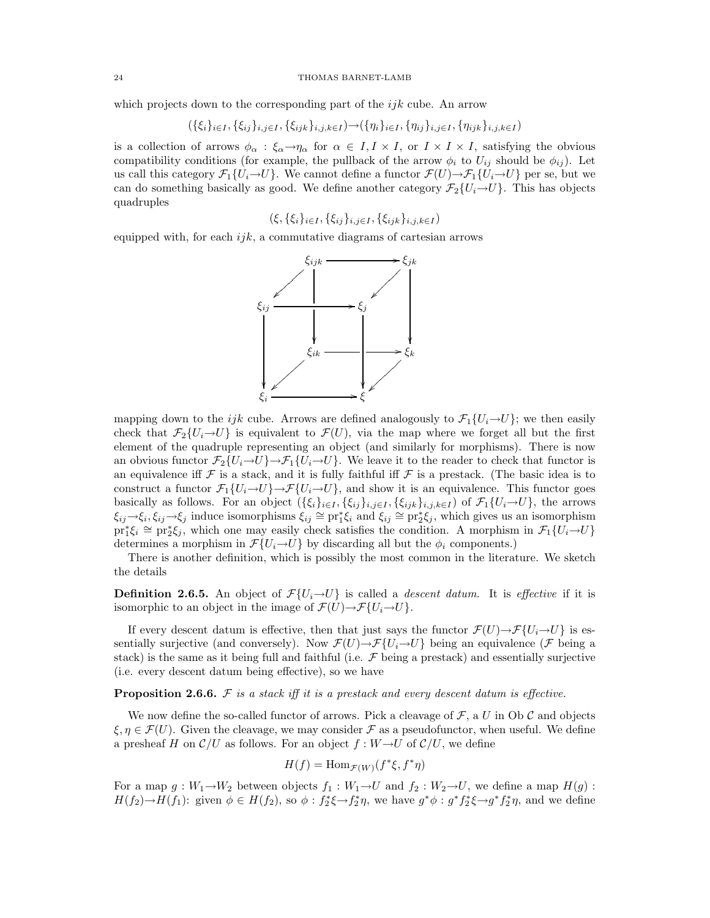which projects down to the corresponding part of the  $ijk$  cube. An arrow

$$
(\{\xi_i\}_{i\in I}, \{\xi_{ij}\}_{i,j\in I}, \{\xi_{ijk}\}_{i,j,k\in I}) \rightarrow (\{\eta_i\}_{i\in I}, \{\eta_{ij}\}_{i,j\in I}, \{\eta_{ijk}\}_{i,j,k\in I})
$$

is a collection of arrows  $\phi_{\alpha} : \xi_{\alpha} \to \eta_{\alpha}$  for  $\alpha \in I, I \times I$ , or  $I \times I \times I$ , satisfying the obvious compatibility conditions (for example, the pullback of the arrow  $\phi_i$  to  $U_{ij}$  should be  $\phi_{ij}$ ). Let us call this category  $\mathcal{F}_1\{U_i\to U\}$ . We cannot define a functor  $\mathcal{F}(U)\to\mathcal{F}_1\{U_i\to U\}$  per se, but we can do something basically as good. We define another category  $\mathcal{F}_2\{U_i \rightarrow U\}$ . This has objects quadruples

 $(\xi, {\{\xi_i\}}_{i\in I}, {\{\xi_{ij}\}}_{i,j\in I}, {\{\xi_{ijk}\}}_{i,j,k\in I})$ 

equipped with, for each  $ijk$ , a commutative diagrams of cartesian arrows



mapping down to the ijk cube. Arrows are defined analogously to  $\mathcal{F}_1\{U_i\rightarrow U\}$ ; we then easily check that  $\mathcal{F}_2\{U_i \rightarrow U\}$  is equivalent to  $\mathcal{F}(U)$ , via the map where we forget all but the first element of the quadruple representing an object (and similarly for morphisms). There is now an obvious functor  $\mathcal{F}_2\{U_i\rightarrow U\}\rightarrow\mathcal{F}_1\{U_i\rightarrow U\}$ . We leave it to the reader to check that functor is an equivalence iff  $\mathcal F$  is a stack, and it is fully faithful iff  $\mathcal F$  is a prestack. (The basic idea is to construct a functor  $\mathcal{F}_1\{U_i\to U\}\to\mathcal{F}\{U_i\to U\}$ , and show it is an equivalence. This functor goes basically as follows. For an object  $(\{\xi_i\}_{i\in I}, \{\xi_{ij}\}_{i,j\in I}, \{\xi_{ijk}\}_{i,j,k\in I})$  of  $\mathcal{F}_1\{U_i\to U\}$ , the arrows  $\xi_{ij} \to \xi_i, \xi_{ij} \to \xi_j$  induce isomorphisms  $\xi_{ij} \cong pr_1^* \xi_i$  and  $\xi_{ij} \cong pr_2^* \xi_j$ , which gives us an isomorphism  $\text{pr}_1^*\xi_i \cong \text{pr}_2^*\xi_j$ , which one may easily check satisfies the condition. A morphism in  $\mathcal{F}_1\{U_i \rightarrow U\}$ determines a morphism in  $\mathcal{F}\{U_i \rightarrow U\}$  by discarding all but the  $\phi_i$  components.)

There is another definition, which is possibly the most common in the literature. We sketch the details

**Definition 2.6.5.** An object of  $\mathcal{F}\{U_i \rightarrow U\}$  is called a descent datum. It is effective if it is isomorphic to an object in the image of  $\mathcal{F}(U) \rightarrow \mathcal{F}\{U_i \rightarrow U\}$ .

If every descent datum is effective, then that just says the functor  $\mathcal{F}(U) \to \mathcal{F}\{U_i \to U\}$  is essentially surjective (and conversely). Now  $\mathcal{F}(U) \rightarrow \mathcal{F}\{U_i \rightarrow U\}$  being an equivalence ( $\mathcal F$  being a stack) is the same as it being full and faithful (i.e.  $\mathcal F$  being a prestack) and essentially surjective (i.e. every descent datum being effective), so we have

**Proposition 2.6.6.** F is a stack iff it is a prestack and every descent datum is effective.

We now define the so-called functor of arrows. Pick a cleavage of  $\mathcal{F}$ , a U in Ob C and objects  $\xi, \eta \in \mathcal{F}(U)$ . Given the cleavage, we may consider  $\mathcal F$  as a pseudofunctor, when useful. We define a presheaf H on  $\mathcal{C}/U$  as follows. For an object  $f: W \rightarrow U$  of  $\mathcal{C}/U$ , we define

$$
H(f) = \text{Hom}_{\mathcal{F}(W)}(f^*\xi, f^*\eta)
$$

For a map  $g: W_1 \to W_2$  between objects  $f_1: W_1 \to U$  and  $f_2: W_2 \to U$ , we define a map  $H(g)$ :  $H(f_2) \to H(f_1)$ : given  $\phi \in H(f_2)$ , so  $\phi : f_2^* \xi \to f_2^* \eta$ , we have  $g^* \phi : g^* f_2^* \xi \to g^* f_2^* \eta$ , and we define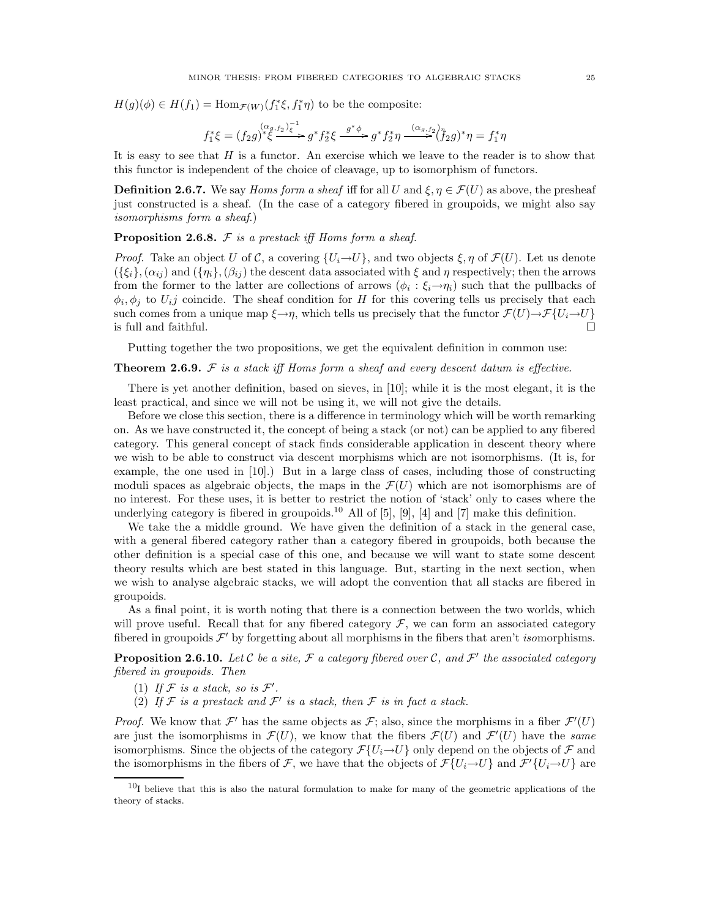$H(g)(\phi) \in H(f_1) = \text{Hom}_{\mathcal{F}(W)}(f_1^*\xi, f_1^*\eta)$  to be the composite:

$$
f_1^* \xi = (f_2 g)^{(\alpha g, f_2) \overline{\xi}} \rightarrow g^* f_2^* \xi \xrightarrow{g^* \phi} g^* f_2^* \eta \xrightarrow{(\alpha g, f_2) \overline{\eta}} f_2^* g)^* \eta = f_1^* \eta
$$

It is easy to see that  $H$  is a functor. An exercise which we leave to the reader is to show that this functor is independent of the choice of cleavage, up to isomorphism of functors.

**Definition 2.6.7.** We say *Homs form a sheaf* iff for all U and  $\xi, \eta \in \mathcal{F}(U)$  as above, the presheaf just constructed is a sheaf. (In the case of a category fibered in groupoids, we might also say isomorphisms form a sheaf.)

**Proposition 2.6.8.**  $\mathcal F$  is a prestack iff Homs form a sheaf.

*Proof.* Take an object U of C, a covering  $\{U_i \rightarrow U\}$ , and two objects  $\xi, \eta$  of  $\mathcal{F}(U)$ . Let us denote  $({\{\xi_i\}},(\alpha_{ij})$  and  $({\{\eta_i\}},(\beta_{ij})$  the descent data associated with  $\xi$  and  $\eta$  respectively; then the arrows from the former to the latter are collections of arrows  $(\phi_i : \xi_i \rightarrow \eta_i)$  such that the pullbacks of  $\phi_i, \phi_j$  to  $U_i$  coincide. The sheaf condition for H for this covering tells us precisely that each such comes from a unique map  $\xi \rightarrow \eta$ , which tells us precisely that the functor  $\mathcal{F}(U) \rightarrow \mathcal{F}\{U_i \rightarrow U\}$  is full and faithful. is full and faithful.

Putting together the two propositions, we get the equivalent definition in common use:

### **Theorem 2.6.9.**  $\mathcal F$  is a stack iff Homs form a sheaf and every descent datum is effective.

There is yet another definition, based on sieves, in [10]; while it is the most elegant, it is the least practical, and since we will not be using it, we will not give the details.

Before we close this section, there is a difference in terminology which will be worth remarking on. As we have constructed it, the concept of being a stack (or not) can be applied to any fibered category. This general concept of stack finds considerable application in descent theory where we wish to be able to construct via descent morphisms which are not isomorphisms. (It is, for example, the one used in [10].) But in a large class of cases, including those of constructing moduli spaces as algebraic objects, the maps in the  $\mathcal{F}(U)$  which are not isomorphisms are of no interest. For these uses, it is better to restrict the notion of 'stack' only to cases where the underlying category is fibered in groupoids.<sup>10</sup> All of [5], [9], [4] and [7] make this definition.

We take the a middle ground. We have given the definition of a stack in the general case, with a general fibered category rather than a category fibered in groupoids, both because the other definition is a special case of this one, and because we will want to state some descent theory results which are best stated in this language. But, starting in the next section, when we wish to analyse algebraic stacks, we will adopt the convention that all stacks are fibered in groupoids.

As a final point, it is worth noting that there is a connection between the two worlds, which will prove useful. Recall that for any fibered category  $\mathcal F$ , we can form an associated category fibered in groupoids  $\mathcal{F}'$  by forgetting about all morphisms in the fibers that aren't *isomorphisms*.

**Proposition 2.6.10.** Let  $C$  be a site,  $\mathcal F$  a category fibered over  $C$ , and  $\mathcal F'$  the associated category fibered in groupoids. Then

- (1) If  $F$  is a stack, so is  $F'$ .
- (2) If  $\mathcal F$  is a prestack and  $\mathcal F'$  is a stack, then  $\mathcal F$  is in fact a stack.

*Proof.* We know that  $\mathcal{F}'$  has the same objects as  $\mathcal{F}$ ; also, since the morphisms in a fiber  $\mathcal{F}'(U)$ are just the isomorphisms in  $\mathcal{F}(U)$ , we know that the fibers  $\mathcal{F}(U)$  and  $\mathcal{F}'(U)$  have the same isomorphisms. Since the objects of the category  $\mathcal{F}\{U_i \rightarrow U\}$  only depend on the objects of  $\mathcal F$  and the isomorphisms in the fibers of  $\mathcal{F}$ , we have that the objects of  $\mathcal{F}\{U_i \rightarrow U\}$  and  $\mathcal{F}'\{U_i \rightarrow U\}$  are

 $10<sub>I</sub>$  believe that this is also the natural formulation to make for many of the geometric applications of the theory of stacks.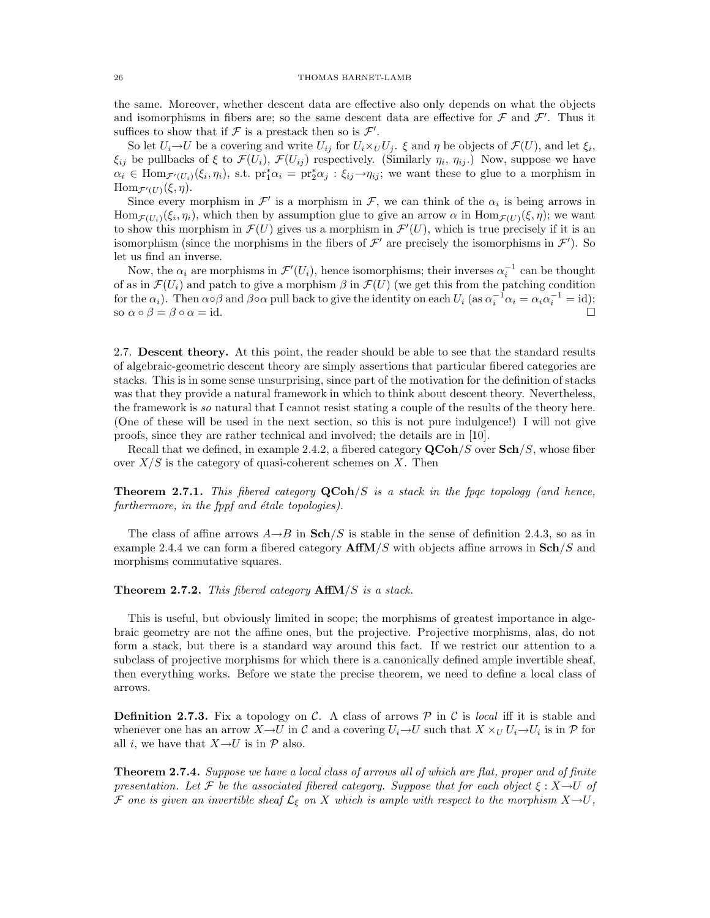the same. Moreover, whether descent data are effective also only depends on what the objects and isomorphisms in fibers are; so the same descent data are effective for  $\mathcal F$  and  $\mathcal F'$ . Thus it suffices to show that if  $\mathcal F$  is a prestack then so is  $\mathcal F'$ .

So let  $U_i \to U$  be a covering and write  $U_{ij}$  for  $U_i \times_U U_j$ .  $\xi$  and  $\eta$  be objects of  $\mathcal{F}(U)$ , and let  $\xi_i$ ,  $\xi_{ij}$  be pullbacks of  $\xi$  to  $\mathcal{F}(U_i)$ ,  $\mathcal{F}(U_{ij})$  respectively. (Similarly  $\eta_i$ ,  $\eta_{ij}$ .) Now, suppose we have  $\alpha_i \in \text{Hom}_{\mathcal{F}'(U_i)}(\xi_i, \eta_i)$ , s.t.  $\text{pr}_1^*\alpha_i = \text{pr}_2^*\alpha_j : \xi_{ij} \to \eta_{ij}$ ; we want these to glue to a morphism in  $\text{Hom}_{\mathcal{F}'(U)}(\xi, \eta).$ 

Since every morphism in  $\mathcal{F}'$  is a morphism in  $\mathcal{F}$ , we can think of the  $\alpha_i$  is being arrows in  $\text{Hom}_{\mathcal{F}(U_i)}(\xi_i,\eta_i)$ , which then by assumption glue to give an arrow  $\alpha$  in  $\text{Hom}_{\mathcal{F}(U)}(\xi,\eta)$ ; we want to show this morphism in  $\mathcal{F}(U)$  gives us a morphism in  $\mathcal{F}'(U)$ , which is true precisely if it is an isomorphism (since the morphisms in the fibers of  $\mathcal{F}'$  are precisely the isomorphisms in  $\mathcal{F}'$ ). So let us find an inverse.

Now, the  $\alpha_i$  are morphisms in  $\mathcal{F}'(U_i)$ , hence isomorphisms; their inverses  $\alpha_i^{-1}$  can be thought of as in  $\mathcal{F}(U_i)$  and patch to give a morphism  $\beta$  in  $\mathcal{F}(U)$  (we get this from the patching condition for the  $\alpha_i$ ). Then  $\alpha \circ \beta$  and  $\beta \circ \alpha$  pull back to give the identity on each  $U_i$  (as  $\alpha_i^{-1} \alpha_i = \alpha_i \alpha_i^{-1} = \text{id}$ ); so  $\alpha \circ \beta = \beta \circ \alpha = id.$ 

2.7. Descent theory. At this point, the reader should be able to see that the standard results of algebraic-geometric descent theory are simply assertions that particular fibered categories are stacks. This is in some sense unsurprising, since part of the motivation for the definition of stacks was that they provide a natural framework in which to think about descent theory. Nevertheless, the framework is so natural that I cannot resist stating a couple of the results of the theory here. (One of these will be used in the next section, so this is not pure indulgence!) I will not give proofs, since they are rather technical and involved; the details are in [10].

Recall that we defined, in example 2.4.2, a fibered category  $\mathbf{QCoh}/S$  over  $\mathbf{Sch}/S$ , whose fiber over  $X/S$  is the category of quasi-coherent schemes on X. Then

**Theorem 2.7.1.** This fibered category  $\mathbf{QCoh}/S$  is a stack in the fpqc topology (and hence,  $further more, in the *fppf* and *étale* topologies).$ 

The class of affine arrows  $A\rightarrow B$  in  $\mathbf{Sch}/S$  is stable in the sense of definition 2.4.3, so as in example 2.4.4 we can form a fibered category  $\text{AffM}/S$  with objects affine arrows in  $\text{Sch}/S$  and morphisms commutative squares.

**Theorem 2.7.2.** This fibered category  $AffM/S$  is a stack.

This is useful, but obviously limited in scope; the morphisms of greatest importance in algebraic geometry are not the affine ones, but the projective. Projective morphisms, alas, do not form a stack, but there is a standard way around this fact. If we restrict our attention to a subclass of projective morphisms for which there is a canonically defined ample invertible sheaf, then everything works. Before we state the precise theorem, we need to define a local class of arrows.

**Definition 2.7.3.** Fix a topology on C. A class of arrows P in C is local iff it is stable and whenever one has an arrow  $X \to U$  in C and a covering  $U_i \to U$  such that  $X \times_U U_i \to U_i$  is in P for all *i*, we have that  $X \rightarrow U$  is in  $\mathcal{P}$  also.

**Theorem 2.7.4.** Suppose we have a local class of arrows all of which are flat, proper and of finite presentation. Let F be the associated fibered category. Suppose that for each object  $\xi : X \rightarrow U$  of F one is given an invertible sheaf  $\mathcal{L}_{\xi}$  on X which is ample with respect to the morphism  $X\rightarrow U$ ,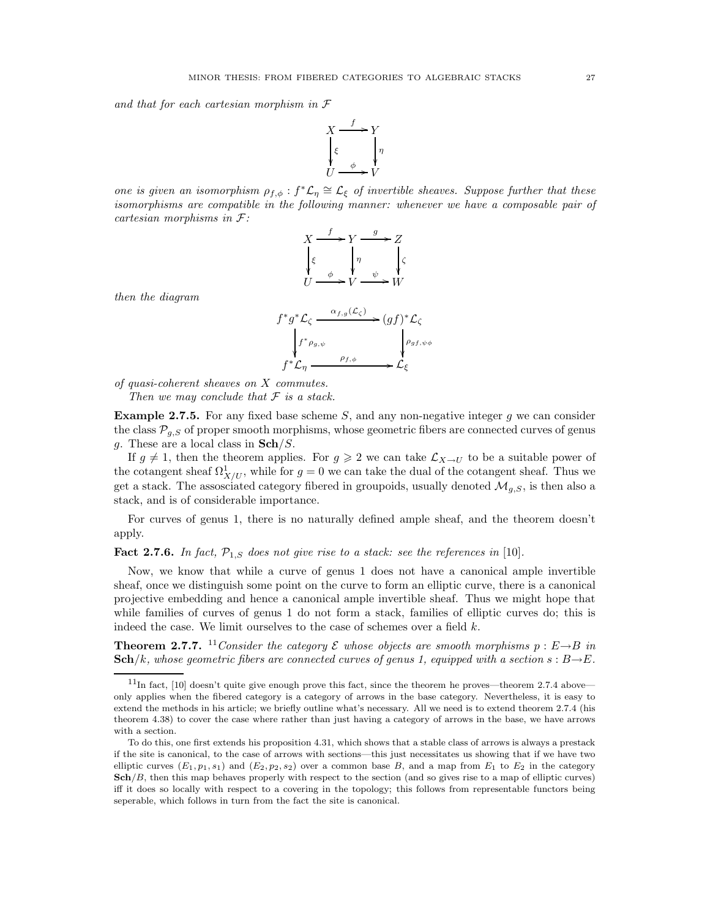and that for each cartesian morphism in F



one is given an isomorphism  $\rho_{f,\phi}: f^*\mathcal{L}_\eta \cong \mathcal{L}_\xi$  of invertible sheaves. Suppose further that these isomorphisms are compatible in the following manner: whenever we have a composable pair of cartesian morphisms in F:

$$
X \xrightarrow{f} Y \xrightarrow{g} Z
$$
  

$$
\begin{cases} \xi & \eta \\ \xi & \psi \end{cases} \xrightarrow{g} Z
$$
  

$$
U \xrightarrow{f} V \xrightarrow{g} W
$$

then the diagram

$$
f^*g^*\mathcal{L}_{\zeta} \xrightarrow{\alpha_{f,g}(\mathcal{L}_{\zeta})} (gf)^*\mathcal{L}_{\zeta}
$$
  
\n
$$
\downarrow f^*\rho_{g,\psi} \xrightarrow{\rho_{f,\phi}} \rho_{gf,\psi\phi}
$$
  
\n
$$
f^*\mathcal{L}_{\eta} \xrightarrow{\rho_{f,\phi}} \mathcal{L}_{\xi}
$$

of quasi-coherent sheaves on X commutes. Then we may conclude that  $\mathcal F$  is a stack.

**Example 2.7.5.** For any fixed base scheme  $S$ , and any non-negative integer  $g$  we can consider the class  $\mathcal{P}_{q,S}$  of proper smooth morphisms, whose geometric fibers are connected curves of genus g. These are a local class in  $\mathbf{Sch}/S$ .

If  $g \neq 1$ , then the theorem applies. For  $g \geq 2$  we can take  $\mathcal{L}_{X\to U}$  to be a suitable power of the cotangent sheaf  $\Omega^1_{X/U}$ , while for  $g=0$  we can take the dual of the cotangent sheaf. Thus we get a stack. The assosciated category fibered in groupoids, usually denoted  $\mathcal{M}_{g,S}$ , is then also a stack, and is of considerable importance.

For curves of genus 1, there is no naturally defined ample sheaf, and the theorem doesn't apply.

**Fact 2.7.6.** In fact,  $\mathcal{P}_{1,S}$  does not give rise to a stack: see the references in [10].

Now, we know that while a curve of genus 1 does not have a canonical ample invertible sheaf, once we distinguish some point on the curve to form an elliptic curve, there is a canonical projective embedding and hence a canonical ample invertible sheaf. Thus we might hope that while families of curves of genus 1 do not form a stack, families of elliptic curves do; this is indeed the case. We limit ourselves to the case of schemes over a field  $k$ .

**Theorem 2.7.7.** <sup>11</sup>Consider the category  $\mathcal E$  whose objects are smooth morphisms  $p : E \rightarrow B$  in  $\mathbf{Sch}/k$ , whose geometric fibers are connected curves of genus 1, equipped with a section s :  $B\rightarrow E$ .

 $11$ In fact, [10] doesn't quite give enough prove this fact, since the theorem he proves—theorem 2.7.4 above only applies when the fibered category is a category of arrows in the base category. Nevertheless, it is easy to extend the methods in his article; we briefly outline what's necessary. All we need is to extend theorem 2.7.4 (his theorem 4.38) to cover the case where rather than just having a category of arrows in the base, we have arrows with a section.

To do this, one first extends his proposition 4.31, which shows that a stable class of arrows is always a prestack if the site is canonical, to the case of arrows with sections—this just necessitates us showing that if we have two elliptic curves  $(E_1, p_1, s_1)$  and  $(E_2, p_2, s_2)$  over a common base B, and a map from  $E_1$  to  $E_2$  in the category  $\mathbf{Sch}/B$ , then this map behaves properly with respect to the section (and so gives rise to a map of elliptic curves) iff it does so locally with respect to a covering in the topology; this follows from representable functors being seperable, which follows in turn from the fact the site is canonical.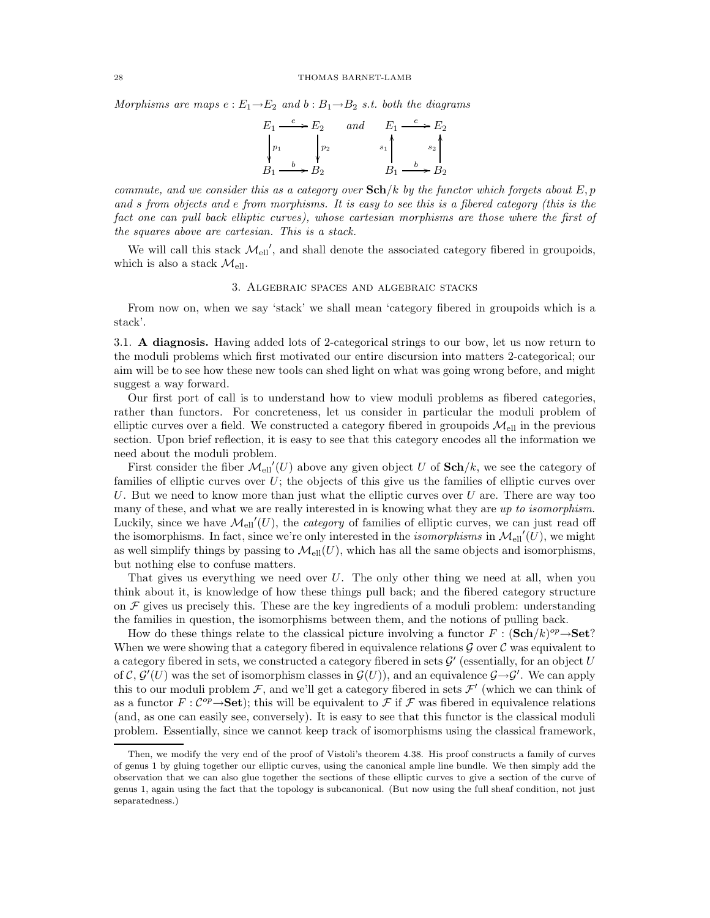Morphisms are maps  $e : E_1 \rightarrow E_2$  and  $b : B_1 \rightarrow B_2$  s.t. both the diagrams

$$
E_1 \xrightarrow{e} E_2 \quad and \quad E_1 \xrightarrow{e} E_2
$$
  
\n
$$
\downarrow{p_1} \qquad \downarrow{p_2} \qquad \qquad s_1 \qquad s_2 \qquad \qquad s_2 \qquad \qquad s_1 \qquad \qquad s_2 \qquad \qquad s_2 \qquad \qquad s_2 \qquad \qquad s_1 \xrightarrow{b} B_2
$$

commute, and we consider this as a category over  $\mathbf{Sch}/k$  by the functor which forgets about E, p and s from objects and e from morphisms. It is easy to see this is a fibered category (this is the fact one can pull back elliptic curves), whose cartesian morphisms are those where the first of the squares above are cartesian. This is a stack.

We will call this stack  $\mathcal{M}_{ell}$ , and shall denote the associated category fibered in groupoids, which is also a stack  $\mathcal{M}_{\text{ell}}$ .

#### 3. Algebraic spaces and algebraic stacks

From now on, when we say 'stack' we shall mean 'category fibered in groupoids which is a stack'.

3.1. A diagnosis. Having added lots of 2-categorical strings to our bow, let us now return to the moduli problems which first motivated our entire discursion into matters 2-categorical; our aim will be to see how these new tools can shed light on what was going wrong before, and might suggest a way forward.

Our first port of call is to understand how to view moduli problems as fibered categories, rather than functors. For concreteness, let us consider in particular the moduli problem of elliptic curves over a field. We constructed a category fibered in groupoids  $\mathcal{M}_{ell}$  in the previous section. Upon brief reflection, it is easy to see that this category encodes all the information we need about the moduli problem.

First consider the fiber  $\mathcal{M}_{ell}(U)$  above any given object U of  $\mathbf{Sch}/k$ , we see the category of families of elliptic curves over  $U$ ; the objects of this give us the families of elliptic curves over U. But we need to know more than just what the elliptic curves over  $U$  are. There are way too many of these, and what we are really interested in is knowing what they are up to isomorphism. Luckily, since we have  $\mathcal{M}_{ell}(U)$ , the *category* of families of elliptic curves, we can just read off the isomorphisms. In fact, since we're only interested in the *isomorphisms* in  $\mathcal{M}_{ell}(U)$ , we might as well simplify things by passing to  $\mathcal{M}_{ell}(U)$ , which has all the same objects and isomorphisms, but nothing else to confuse matters.

That gives us everything we need over  $U$ . The only other thing we need at all, when you think about it, is knowledge of how these things pull back; and the fibered category structure on  $\mathcal F$  gives us precisely this. These are the key ingredients of a moduli problem: understanding the families in question, the isomorphisms between them, and the notions of pulling back.

How do these things relate to the classical picture involving a functor  $F : (\mathbf{Sch}/k)^{op} \to \mathbf{Set}$ ? When we were showing that a category fibered in equivalence relations  $\mathcal G$  over  $\mathcal C$  was equivalent to a category fibered in sets, we constructed a category fibered in sets  $\mathcal{G}'$  (essentially, for an object U of C,  $\mathcal{G}'(U)$  was the set of isomorphism classes in  $\mathcal{G}(U)$ ), and an equivalence  $\mathcal{G}\rightarrow\mathcal{G}'$ . We can apply this to our moduli problem  $\mathcal{F}$ , and we'll get a category fibered in sets  $\mathcal{F}'$  (which we can think of as a functor  $F: \mathcal{C}^{op} \to \mathbf{Set}$ ; this will be equivalent to  $\mathcal F$  if  $\mathcal F$  was fibered in equivalence relations (and, as one can easily see, conversely). It is easy to see that this functor is the classical moduli problem. Essentially, since we cannot keep track of isomorphisms using the classical framework,

Then, we modify the very end of the proof of Vistoli's theorem 4.38. His proof constructs a family of curves of genus 1 by gluing together our elliptic curves, using the canonical ample line bundle. We then simply add the observation that we can also glue together the sections of these elliptic curves to give a section of the curve of genus 1, again using the fact that the topology is subcanonical. (But now using the full sheaf condition, not just separatedness.)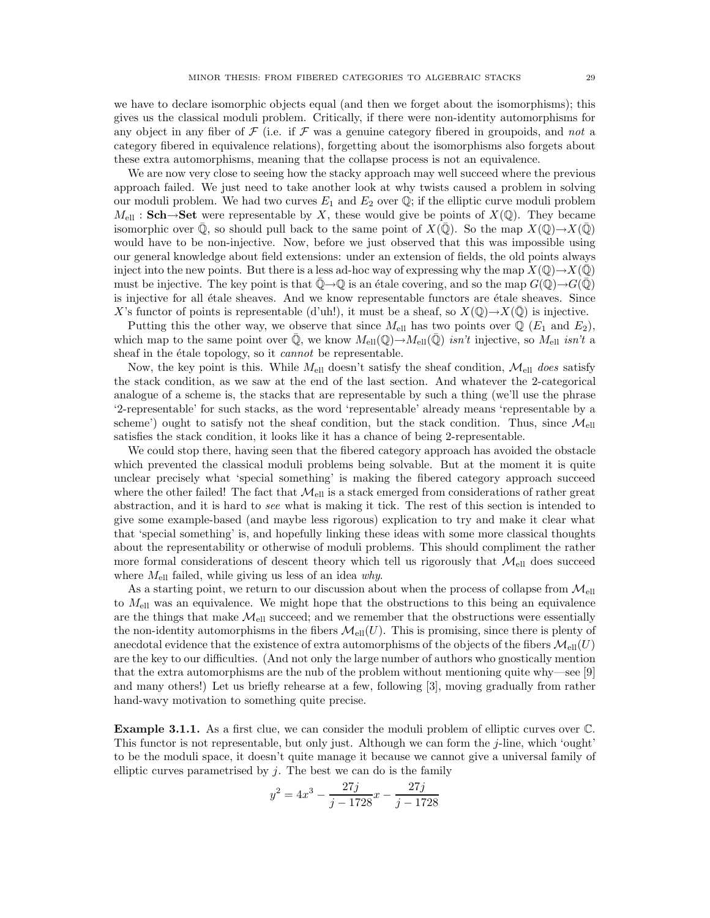we have to declare isomorphic objects equal (and then we forget about the isomorphisms); this gives us the classical moduli problem. Critically, if there were non-identity automorphisms for any object in any fiber of  $\mathcal F$  (i.e. if  $\mathcal F$  was a genuine category fibered in groupoids, and not a category fibered in equivalence relations), forgetting about the isomorphisms also forgets about these extra automorphisms, meaning that the collapse process is not an equivalence.

We are now very close to seeing how the stacky approach may well succeed where the previous approach failed. We just need to take another look at why twists caused a problem in solving our moduli problem. We had two curves  $E_1$  and  $E_2$  over  $\mathbb Q$ ; if the elliptic curve moduli problem  $M_{\text{ell}}$ : Sch→Set were representable by X, these would give be points of  $X(\mathbb{Q})$ . They became isomorphic over Q, so should pull back to the same point of  $X(\mathbb{Q})$ . So the map  $X(\mathbb{Q}) \to X(\mathbb{Q})$ would have to be non-injective. Now, before we just observed that this was impossible using our general knowledge about field extensions: under an extension of fields, the old points always inject into the new points. But there is a less ad-hoc way of expressing why the map  $X(\mathbb{Q}) \to X(\mathbb{Q})$ must be injective. The key point is that  $\mathbb{O}\rightarrow\mathbb{Q}$  is an étale covering, and so the map  $G(\mathbb{O})\rightarrow G(\mathbb{Q})$ is injective for all étale sheaves. And we know representable functors are étale sheaves. Since X's functor of points is representable (d'uh!), it must be a sheaf, so  $X(\mathbb{Q}) \to X(\mathbb{Q})$  is injective.

Putting this the other way, we observe that since  $M_{\text{ell}}$  has two points over  $\mathbb{Q}$  ( $E_1$  and  $E_2$ ), which map to the same point over  $\mathbb{Q}$ , we know  $M_{\text{ell}}(\mathbb{Q}) \to M_{\text{ell}}(\mathbb{Q})$  isn't injective, so  $M_{\text{ell}}$  isn't a sheaf in the étale topology, so it *cannot* be representable.

Now, the key point is this. While  $M_{\text{ell}}$  doesn't satisfy the sheaf condition,  $\mathcal{M}_{\text{ell}}$  does satisfy the stack condition, as we saw at the end of the last section. And whatever the 2-categorical analogue of a scheme is, the stacks that are representable by such a thing (we'll use the phrase '2-representable' for such stacks, as the word 'representable' already means 'representable by a scheme') ought to satisfy not the sheaf condition, but the stack condition. Thus, since  $\mathcal{M}_{\text{ell}}$ satisfies the stack condition, it looks like it has a chance of being 2-representable.

We could stop there, having seen that the fibered category approach has avoided the obstacle which prevented the classical moduli problems being solvable. But at the moment it is quite unclear precisely what 'special something' is making the fibered category approach succeed where the other failed! The fact that  $\mathcal{M}_{\text{ell}}$  is a stack emerged from considerations of rather great abstraction, and it is hard to see what is making it tick. The rest of this section is intended to give some example-based (and maybe less rigorous) explication to try and make it clear what that 'special something' is, and hopefully linking these ideas with some more classical thoughts about the representability or otherwise of moduli problems. This should compliment the rather more formal considerations of descent theory which tell us rigorously that  $\mathcal{M}_{\text{ell}}$  does succeed where  $M_{\text{ell}}$  failed, while giving us less of an idea why.

As a starting point, we return to our discussion about when the process of collapse from  $\mathcal{M}_{\text{ell}}$ to  $M_{\text{ell}}$  was an equivalence. We might hope that the obstructions to this being an equivalence are the things that make  $\mathcal{M}_{\text{ell}}$  succeed; and we remember that the obstructions were essentially the non-identity automorphisms in the fibers  $\mathcal{M}_{ell}(U)$ . This is promising, since there is plenty of anecdotal evidence that the existence of extra automorphisms of the objects of the fibers  $\mathcal{M}_{ell}(U)$ are the key to our difficulties. (And not only the large number of authors who gnostically mention that the extra automorphisms are the nub of the problem without mentioning quite why—see [9] and many others!) Let us briefly rehearse at a few, following [3], moving gradually from rather hand-wavy motivation to something quite precise.

Example 3.1.1. As a first clue, we can consider the moduli problem of elliptic curves over C. This functor is not representable, but only just. Although we can form the  $j$ -line, which 'ought' to be the moduli space, it doesn't quite manage it because we cannot give a universal family of elliptic curves parametrised by  $j$ . The best we can do is the family

$$
y^2 = 4x^3 - \frac{27j}{j - 1728}x - \frac{27j}{j - 1728}
$$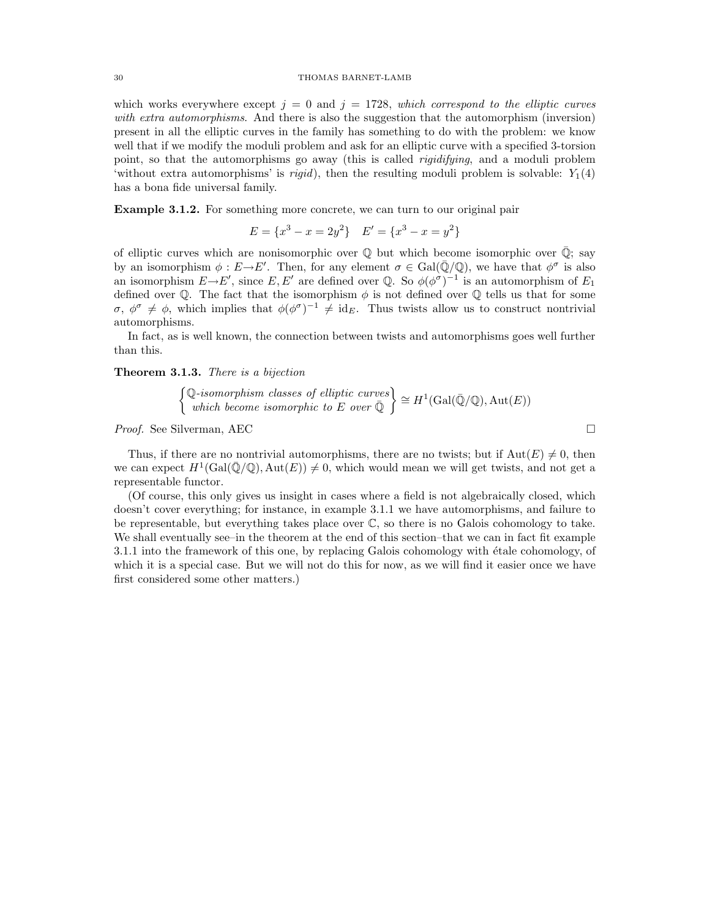### 30 THOMAS BARNET-LAMB

which works everywhere except  $j = 0$  and  $j = 1728$ , which correspond to the elliptic curves with extra automorphisms. And there is also the suggestion that the automorphism (inversion) present in all the elliptic curves in the family has something to do with the problem: we know well that if we modify the moduli problem and ask for an elliptic curve with a specified 3-torsion point, so that the automorphisms go away (this is called rigidifying, and a moduli problem 'without extra automorphisms' is *rigid*), then the resulting moduli problem is solvable:  $Y_1(4)$ has a bona fide universal family.

Example 3.1.2. For something more concrete, we can turn to our original pair

$$
E = \{x^3 - x = 2y^2\} \quad E' = \{x^3 - x = y^2\}
$$

of elliptic curves which are nonisomorphic over  $\mathbb Q$  but which become isomorphic over  $\mathbb Q$ ; say by an isomorphism  $\phi : E \to E'$ . Then, for any element  $\sigma \in Gal(\overline{\mathbb{Q}}/\mathbb{Q})$ , we have that  $\phi^{\sigma}$  is also an isomorphism  $E \to E'$ , since E, E' are defined over Q. So  $\phi(\phi^{\sigma})^{-1}$  is an automorphism of  $E_1$ defined over  $\mathbb Q$ . The fact that the isomorphism  $\phi$  is not defined over  $\mathbb Q$  tells us that for some  $\sigma, \phi^{\sigma} \neq \phi$ , which implies that  $\phi(\phi^{\sigma})^{-1} \neq id_E$ . Thus twists allow us to construct nontrivial automorphisms.

In fact, as is well known, the connection between twists and automorphisms goes well further than this.

#### Theorem 3.1.3. There is a bijection

$$
\begin{Bmatrix} \mathbb{Q}\text{-}isomorphism classes of elliptic curves \\ which become isomorphic to E over  $\overline{\mathbb{Q}} \end{Bmatrix} \cong H^1(\text{Gal}(\overline{\mathbb{Q}}/\mathbb{Q}), \text{Aut}(E))$
$$

Proof. See Silverman, AEC  $\Box$ 

Thus, if there are no nontrivial automorphisms, there are no twists; but if  $Aut(E) \neq 0$ , then we can expect  $H^1(\text{Gal}(\overline{\mathbb{Q}}/\mathbb{Q}), \text{Aut}(E)) \neq 0$ , which would mean we will get twists, and not get a representable functor.

(Of course, this only gives us insight in cases where a field is not algebraically closed, which doesn't cover everything; for instance, in example 3.1.1 we have automorphisms, and failure to be representable, but everything takes place over  $\mathbb{C}$ , so there is no Galois cohomology to take. We shall eventually see–in the theorem at the end of this section–that we can in fact fit example 3.1.1 into the framework of this one, by replacing Galois cohomology with étale cohomology, of which it is a special case. But we will not do this for now, as we will find it easier once we have first considered some other matters.)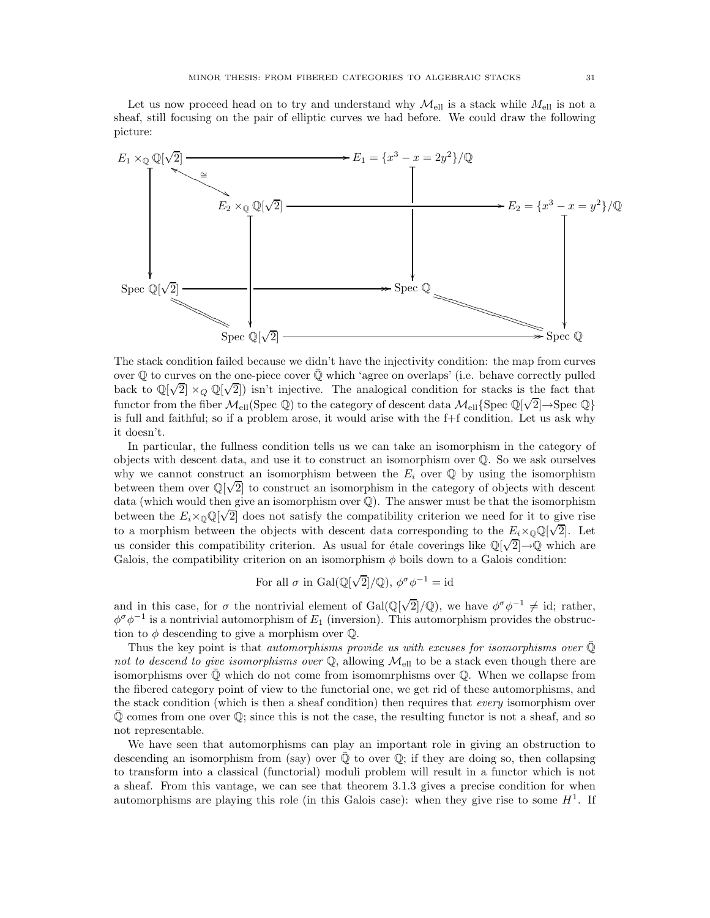Let us now proceed head on to try and understand why  $\mathcal{M}_{ell}$  is a stack while  $M_{ell}$  is not a sheaf, still focusing on the pair of elliptic curves we had before. We could draw the following picture:



The stack condition failed because we didn't have the injectivity condition: the map from curves over  $\mathbb Q$  to curves on the one-piece cover  $\mathbb Q$  which 'agree on overlaps' (i.e. behave correctly pulled back to  $\mathbb{Q}[\sqrt{2}] \times_Q \mathbb{Q}[\sqrt{2}]$  isn't injective. The analogical condition for stacks is the fact that functor from the fiber  $M_{\text{ell}}(\text{Spec } \mathbb{Q})$  to the category of descent data  $M_{\text{ell}}\{\text{Spec } \mathbb{Q}[\sqrt{2}]\rightarrow \text{Spec } \mathbb{Q}\}$ is full and faithful; so if a problem arose, it would arise with the f+f condition. Let us ask why it doesn't.

In particular, the fullness condition tells us we can take an isomorphism in the category of objects with descent data, and use it to construct an isomorphism over Q. So we ask ourselves why we cannot construct an isomorphism between the  $E_i$  over  $\mathbb Q$  by using the isomorphism between them over  $\mathbb{Q}[\sqrt{2}]$  to construct an isomorphism in the category of objects with descent data (which would then give an isomorphism over Q). The answer must be that the isomorphism between the  $E_i \times \mathbb{Q}(\sqrt{2}]$  does not satisfy the compatibility criterion we need for it to give rise to a morphism between the objects with descent data corresponding to the  $E_i \times \mathbb{Q}(\sqrt{2}]$ . Let us consider this compatibility criterion. As usual for étale coverings like  $\mathbb{Q}[\sqrt{2}] \rightarrow \mathbb{Q}$  which are Galois, the compatibility criterion on an isomorphism  $\phi$  boils down to a Galois condition:

For all 
$$
\sigma
$$
 in Gal( $\mathbb{Q}[\sqrt{2}]/\mathbb{Q}$ ),  $\phi^{\sigma} \phi^{-1} = id$ 

and in this case, for  $\sigma$  the nontrivial element of Gal(Q[ $\sqrt{2}$ ]/Q), we have  $\phi^{\sigma}\phi^{-1} \neq id$ ; rather,  $\phi^{\sigma} \phi^{-1}$  is a nontrivial automorphism of  $E_1$  (inversion). This automorphism provides the obstruction to  $\phi$  descending to give a morphism over  $\mathbb{Q}$ .

Thus the key point is that *automorphisms provide us with excuses for isomorphisms over*  $\mathbb{Q}$ not to descend to give isomorphisms over  $\mathbb{Q}$ , allowing  $\mathcal{M}_{ell}$  to be a stack even though there are isomorphisms over  $\mathbb Q$  which do not come from isomomrphisms over  $\mathbb Q$ . When we collapse from the fibered category point of view to the functorial one, we get rid of these automorphisms, and the stack condition (which is then a sheaf condition) then requires that every isomorphism over  $\overline{Q}$  comes from one over  $Q$ ; since this is not the case, the resulting functor is not a sheaf, and so not representable.

We have seen that automorphisms can play an important role in giving an obstruction to descending an isomorphism from (say) over  $\mathbb Q$  to over  $\mathbb Q$ ; if they are doing so, then collapsing to transform into a classical (functorial) moduli problem will result in a functor which is not a sheaf. From this vantage, we can see that theorem 3.1.3 gives a precise condition for when automorphisms are playing this role (in this Galois case): when they give rise to some  $H<sup>1</sup>$ . If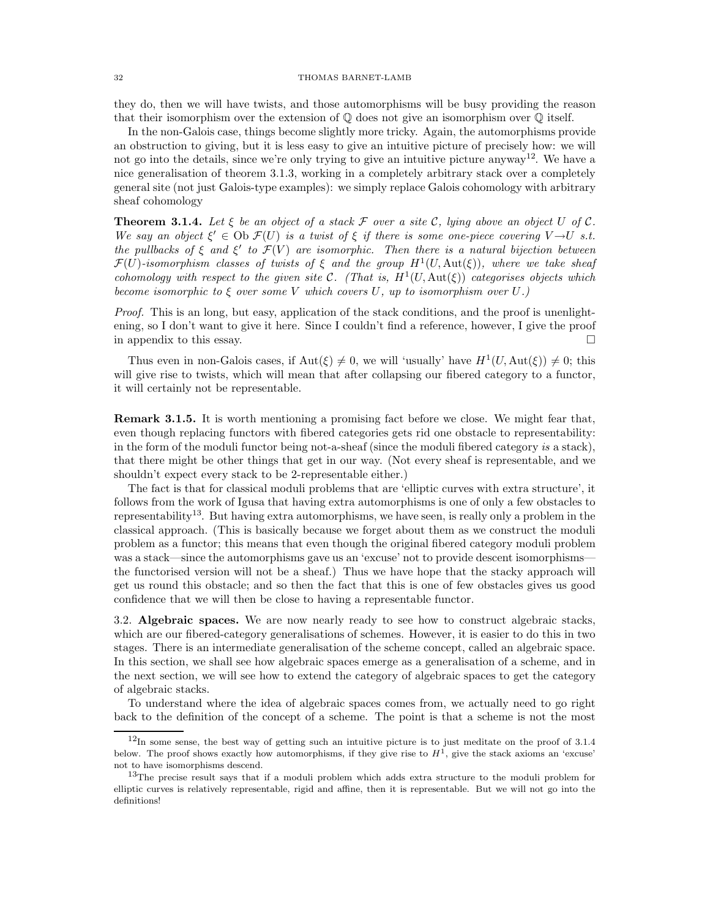### 32 THOMAS BARNET-LAMB

they do, then we will have twists, and those automorphisms will be busy providing the reason that their isomorphism over the extension of  $\mathbb Q$  does not give an isomorphism over  $\mathbb Q$  itself.

In the non-Galois case, things become slightly more tricky. Again, the automorphisms provide an obstruction to giving, but it is less easy to give an intuitive picture of precisely how: we will not go into the details, since we're only trying to give an intuitive picture anyway<sup>12</sup>. We have a nice generalisation of theorem 3.1.3, working in a completely arbitrary stack over a completely general site (not just Galois-type examples): we simply replace Galois cohomology with arbitrary sheaf cohomology

**Theorem 3.1.4.** Let  $\xi$  be an object of a stack  $\mathcal F$  over a site  $\mathcal C$ , lying above an object  $U$  of  $\mathcal C$ . We say an object  $\xi' \in \text{Ob } \mathcal{F}(U)$  is a twist of  $\xi$  if there is some one-piece covering  $V \to U$  s.t. the pullbacks of  $\xi$  and  $\xi'$  to  $\mathcal{F}(V)$  are isomorphic. Then there is a natural bijection between  $\mathcal{F}(U)$ -isomorphism classes of twists of  $\xi$  and the group  $H^1(U, \text{Aut}(\xi))$ , where we take sheaf cohomology with respect to the given site C. (That is,  $H^1(U, \text{Aut}(\xi))$  categorises objects which become isomorphic to  $\xi$  over some V which covers U, up to isomorphism over U.)

Proof. This is an long, but easy, application of the stack conditions, and the proof is unenlightening, so I don't want to give it here. Since I couldn't find a reference, however, I give the proof in appendix to this essay.  $\Box$ 

Thus even in non-Galois cases, if  $\text{Aut}(\xi) \neq 0$ , we will 'usually' have  $H^1(U, \text{Aut}(\xi)) \neq 0$ ; this will give rise to twists, which will mean that after collapsing our fibered category to a functor, it will certainly not be representable.

Remark 3.1.5. It is worth mentioning a promising fact before we close. We might fear that, even though replacing functors with fibered categories gets rid one obstacle to representability: in the form of the moduli functor being not-a-sheaf (since the moduli fibered category is a stack), that there might be other things that get in our way. (Not every sheaf is representable, and we shouldn't expect every stack to be 2-representable either.)

The fact is that for classical moduli problems that are 'elliptic curves with extra structure', it follows from the work of Igusa that having extra automorphisms is one of only a few obstacles to representability<sup>13</sup>. But having extra automorphisms, we have seen, is really only a problem in the classical approach. (This is basically because we forget about them as we construct the moduli problem as a functor; this means that even though the original fibered category moduli problem was a stack—since the automorphisms gave us an 'excuse' not to provide descent isomorphisms the functorised version will not be a sheaf.) Thus we have hope that the stacky approach will get us round this obstacle; and so then the fact that this is one of few obstacles gives us good confidence that we will then be close to having a representable functor.

3.2. Algebraic spaces. We are now nearly ready to see how to construct algebraic stacks, which are our fibered-category generalisations of schemes. However, it is easier to do this in two stages. There is an intermediate generalisation of the scheme concept, called an algebraic space. In this section, we shall see how algebraic spaces emerge as a generalisation of a scheme, and in the next section, we will see how to extend the category of algebraic spaces to get the category of algebraic stacks.

To understand where the idea of algebraic spaces comes from, we actually need to go right back to the definition of the concept of a scheme. The point is that a scheme is not the most

 $12$ In some sense, the best way of getting such an intuitive picture is to just meditate on the proof of 3.1.4 below. The proof shows exactly how automorphisms, if they give rise to  $H<sup>1</sup>$ , give the stack axioms an 'excuse' not to have isomorphisms descend.

<sup>&</sup>lt;sup>13</sup>The precise result says that if a moduli problem which adds extra structure to the moduli problem for elliptic curves is relatively representable, rigid and affine, then it is representable. But we will not go into the definitions!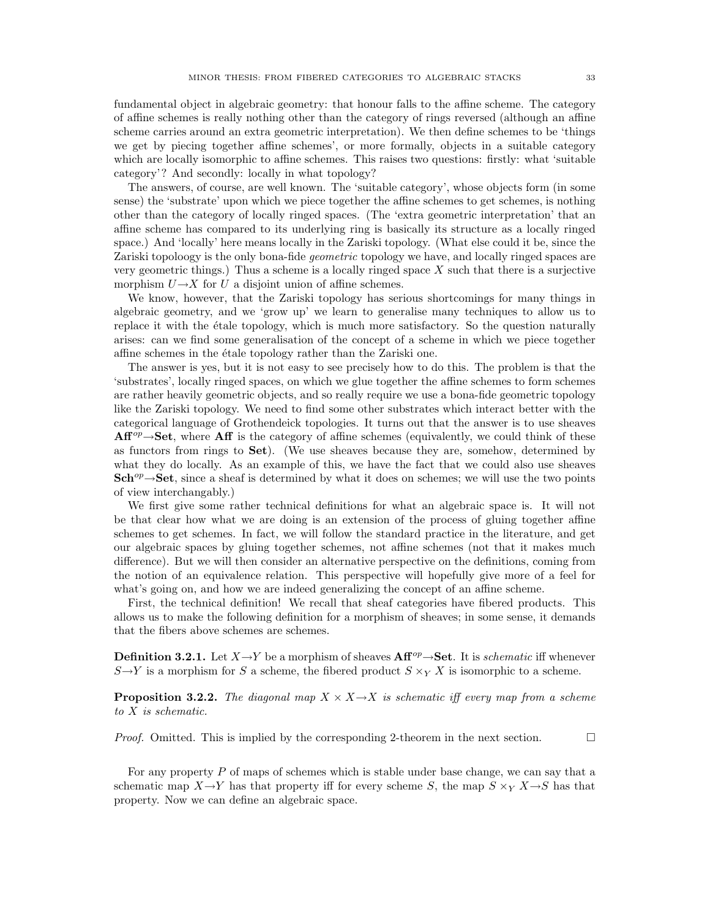fundamental object in algebraic geometry: that honour falls to the affine scheme. The category of affine schemes is really nothing other than the category of rings reversed (although an affine scheme carries around an extra geometric interpretation). We then define schemes to be 'things we get by piecing together affine schemes', or more formally, objects in a suitable category which are locally isomorphic to affine schemes. This raises two questions: firstly: what 'suitable category'? And secondly: locally in what topology?

The answers, of course, are well known. The 'suitable category', whose objects form (in some sense) the 'substrate' upon which we piece together the affine schemes to get schemes, is nothing other than the category of locally ringed spaces. (The 'extra geometric interpretation' that an affine scheme has compared to its underlying ring is basically its structure as a locally ringed space.) And 'locally' here means locally in the Zariski topology. (What else could it be, since the Zariski topoloogy is the only bona-fide geometric topology we have, and locally ringed spaces are very geometric things.) Thus a scheme is a locally ringed space  $X$  such that there is a surjective morphism  $U \rightarrow X$  for U a disjoint union of affine schemes.

We know, however, that the Zariski topology has serious shortcomings for many things in algebraic geometry, and we 'grow up' we learn to generalise many techniques to allow us to replace it with the  $\acute{e}$ tale topology, which is much more satisfactory. So the question naturally arises: can we find some generalisation of the concept of a scheme in which we piece together affine schemes in the  $\acute{e}t$  tale topology rather than the Zariski one.

The answer is yes, but it is not easy to see precisely how to do this. The problem is that the 'substrates', locally ringed spaces, on which we glue together the affine schemes to form schemes are rather heavily geometric objects, and so really require we use a bona-fide geometric topology like the Zariski topology. We need to find some other substrates which interact better with the categorical language of Grothendeick topologies. It turns out that the answer is to use sheaves  $Aff^{op} \rightarrow Set$ , where Aff is the category of affine schemes (equivalently, we could think of these as functors from rings to Set). (We use sheaves because they are, somehow, determined by what they do locally. As an example of this, we have the fact that we could also use sheaves  $Sch^{op}\rightarrow Set$ , since a sheaf is determined by what it does on schemes; we will use the two points of view interchangably.)

We first give some rather technical definitions for what an algebraic space is. It will not be that clear how what we are doing is an extension of the process of gluing together affine schemes to get schemes. In fact, we will follow the standard practice in the literature, and get our algebraic spaces by gluing together schemes, not affine schemes (not that it makes much difference). But we will then consider an alternative perspective on the definitions, coming from the notion of an equivalence relation. This perspective will hopefully give more of a feel for what's going on, and how we are indeed generalizing the concept of an affine scheme.

First, the technical definition! We recall that sheaf categories have fibered products. This allows us to make the following definition for a morphism of sheaves; in some sense, it demands that the fibers above schemes are schemes.

**Definition 3.2.1.** Let  $X \to Y$  be a morphism of sheaves  $\mathbf{Aff}^{op} \to \mathbf{Set}$ . It is *schematic* iff whenever  $S \rightarrow Y$  is a morphism for S a scheme, the fibered product  $S \times_Y X$  is isomorphic to a scheme.

**Proposition 3.2.2.** The diagonal map  $X \times X \rightarrow X$  is schematic iff every map from a scheme to X is schematic.

*Proof.* Omitted. This is implied by the corresponding 2-theorem in the next section.  $\Box$ 

For any property  $P$  of maps of schemes which is stable under base change, we can say that a schematic map  $X \to Y$  has that property iff for every scheme S, the map  $S \times_Y X \to S$  has that property. Now we can define an algebraic space.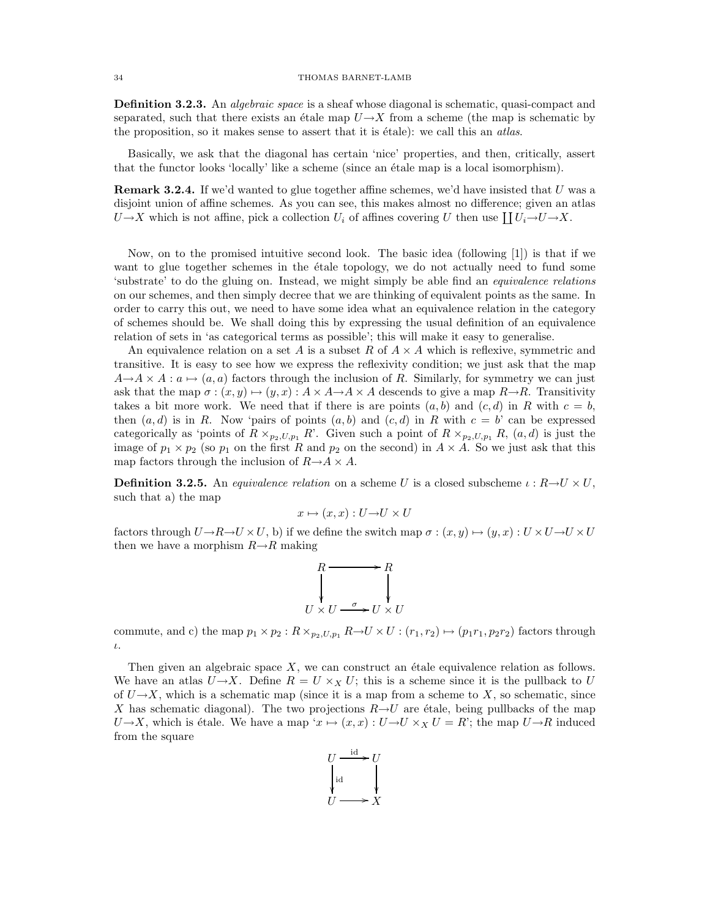**Definition 3.2.3.** An *algebraic space* is a sheaf whose diagonal is schematic, quasi-compact and separated, such that there exists an étale map  $U\rightarrow X$  from a scheme (the map is schematic by the proposition, so it makes sense to assert that it is  $\acute{e}t$  take): we call this an *atlas*.

Basically, we ask that the diagonal has certain 'nice' properties, and then, critically, assert that the functor looks 'locally' like a scheme (since an étale map is a local isomorphism).

Remark 3.2.4. If we'd wanted to glue together affine schemes, we'd have insisted that U was a disjoint union of affine schemes. As you can see, this makes almost no difference; given an atlas  $U \rightarrow X$  which is not affine, pick a collection  $U_i$  of affines covering U then use  $\prod U_i \rightarrow U \rightarrow X$ .

Now, on to the promised intuitive second look. The basic idea (following [1]) is that if we want to glue together schemes in the étale topology, we do not actually need to fund some 'substrate' to do the gluing on. Instead, we might simply be able find an equivalence relations on our schemes, and then simply decree that we are thinking of equivalent points as the same. In order to carry this out, we need to have some idea what an equivalence relation in the category of schemes should be. We shall doing this by expressing the usual definition of an equivalence relation of sets in 'as categorical terms as possible'; this will make it easy to generalise.

An equivalence relation on a set A is a subset R of  $A \times A$  which is reflexive, symmetric and transitive. It is easy to see how we express the reflexivity condition; we just ask that the map  $A \rightarrow A \times A : a \mapsto (a, a)$  factors through the inclusion of R. Similarly, for symmetry we can just ask that the map  $\sigma : (x, y) \mapsto (y, x) : A \times A \rightarrow A \times A$  descends to give a map  $R \rightarrow R$ . Transitivity takes a bit more work. We need that if there is are points  $(a, b)$  and  $(c, d)$  in R with  $c = b$ , then  $(a, d)$  is in R. Now 'pairs of points  $(a, b)$  and  $(c, d)$  in R with  $c = b$ ' can be expressed categorically as 'points of  $R \times_{p_2,U,p_1} R'$ . Given such a point of  $R \times_{p_2,U,p_1} R$ ,  $(a,d)$  is just the image of  $p_1 \times p_2$  (so  $p_1$  on the first R and  $p_2$  on the second) in  $A \times A$ . So we just ask that this map factors through the inclusion of  $R\rightarrow A\times A$ .

**Definition 3.2.5.** An equivalence relation on a scheme U is a closed subscheme  $\iota : R \rightarrow U \times U$ , such that a) the map

$$
x \mapsto (x, x) : U \to U \times U
$$

factors through  $U \to R \to U \times U$ , b) if we define the switch map  $\sigma : (x, y) \mapsto (y, x) : U \times U \to U \times U$ then we have a morphism  $R\rightarrow R$  making

$$
R \xrightarrow{\qquad R} R
$$
  
\n
$$
U \times U \xrightarrow{\sigma} U \times U
$$

commute, and c) the map  $p_1 \times p_2 : R \times_{p_2, U, p_1} R \to U \times U : (r_1, r_2) \mapsto (p_1r_1, p_2r_2)$  factors through ι.

Then given an algebraic space  $X$ , we can construct an étale equivalence relation as follows. We have an atlas  $U \rightarrow X$ . Define  $R = U \times_X U$ ; this is a scheme since it is the pullback to U of  $U\rightarrow X$ , which is a schematic map (since it is a map from a scheme to X, so schematic, since X has schematic diagonal). The two projections  $R\rightarrow U$  are étale, being pullbacks of the map  $U\rightarrow X$ , which is étale. We have a map ' $x \mapsto (x, x) : U\rightarrow U \times_X U = R'$ ; the map  $U\rightarrow R$  induced from the square

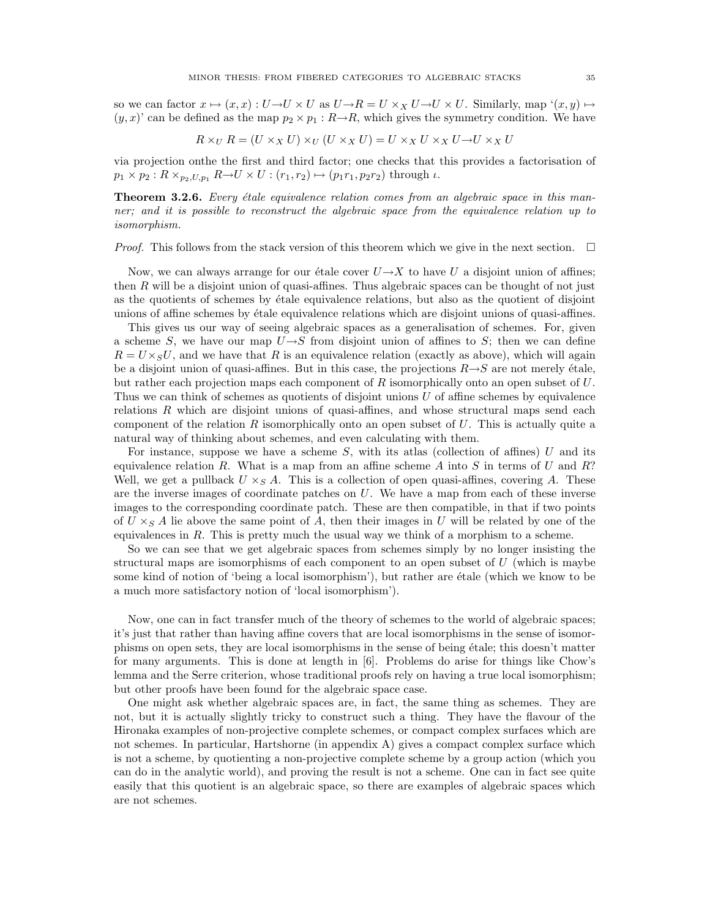so we can factor  $x \mapsto (x, x) : U \to U \times U$  as  $U \to R = U \times_X U \to U \times U$ . Similarly, map  $'(x, y) \mapsto$  $(y, x)'$  can be defined as the map  $p_2 \times p_1 : R \rightarrow R$ , which gives the symmetry condition. We have

$$
R \times_U R = (U \times_X U) \times_U (U \times_X U) = U \times_X U \times_X U \to U \times_X U
$$

via projection onthe the first and third factor; one checks that this provides a factorisation of  $p_1 \times p_2 : R \times_{p_2, U, p_1} R \rightarrow U \times U : (r_1, r_2) \mapsto (p_1 r_1, p_2 r_2)$  through  $\iota$ .

**Theorem 3.2.6.** Every étale equivalence relation comes from an algebraic space in this manner; and it is possible to reconstruct the algebraic space from the equivalence relation up to isomorphism.

*Proof.* This follows from the stack version of this theorem which we give in the next section.  $\square$ 

Now, we can always arrange for our étale cover  $U\rightarrow X$  to have U a disjoint union of affines; then  $R$  will be a disjoint union of quasi-affines. Thus algebraic spaces can be thought of not just as the quotients of schemes by étale equivalence relations, but also as the quotient of disjoint unions of affine schemes by ´etale equivalence relations which are disjoint unions of quasi-affines.

This gives us our way of seeing algebraic spaces as a generalisation of schemes. For, given a scheme S, we have our map  $U\rightarrow S$  from disjoint union of affines to S; then we can define  $R = U \times_S U$ , and we have that R is an equivalence relation (exactly as above), which will again be a disjoint union of quasi-affines. But in this case, the projections  $R \rightarrow S$  are not merely étale, but rather each projection maps each component of  $R$  isomorphically onto an open subset of  $U$ . Thus we can think of schemes as quotients of disjoint unions U of affine schemes by equivalence relations R which are disjoint unions of quasi-affines, and whose structural maps send each component of the relation  $R$  isomorphically onto an open subset of  $U$ . This is actually quite a natural way of thinking about schemes, and even calculating with them.

For instance, suppose we have a scheme  $S$ , with its atlas (collection of affines) U and its equivalence relation R. What is a map from an affine scheme A into S in terms of U and R? Well, we get a pullback  $U \times_S A$ . This is a collection of open quasi-affines, covering A. These are the inverse images of coordinate patches on U. We have a map from each of these inverse images to the corresponding coordinate patch. These are then compatible, in that if two points of  $U \times_S A$  lie above the same point of A, then their images in U will be related by one of the equivalences in R. This is pretty much the usual way we think of a morphism to a scheme.

So we can see that we get algebraic spaces from schemes simply by no longer insisting the structural maps are isomorphisms of each component to an open subset of  $U$  (which is maybe some kind of notion of 'being a local isomorphism'), but rather are etale (which we know to be a much more satisfactory notion of 'local isomorphism').

Now, one can in fact transfer much of the theory of schemes to the world of algebraic spaces; it's just that rather than having affine covers that are local isomorphisms in the sense of isomorphisms on open sets, they are local isomorphisms in the sense of being ´etale; this doesn't matter for many arguments. This is done at length in [6]. Problems do arise for things like Chow's lemma and the Serre criterion, whose traditional proofs rely on having a true local isomorphism; but other proofs have been found for the algebraic space case.

One might ask whether algebraic spaces are, in fact, the same thing as schemes. They are not, but it is actually slightly tricky to construct such a thing. They have the flavour of the Hironaka examples of non-projective complete schemes, or compact complex surfaces which are not schemes. In particular, Hartshorne (in appendix A) gives a compact complex surface which is not a scheme, by quotienting a non-projective complete scheme by a group action (which you can do in the analytic world), and proving the result is not a scheme. One can in fact see quite easily that this quotient is an algebraic space, so there are examples of algebraic spaces which are not schemes.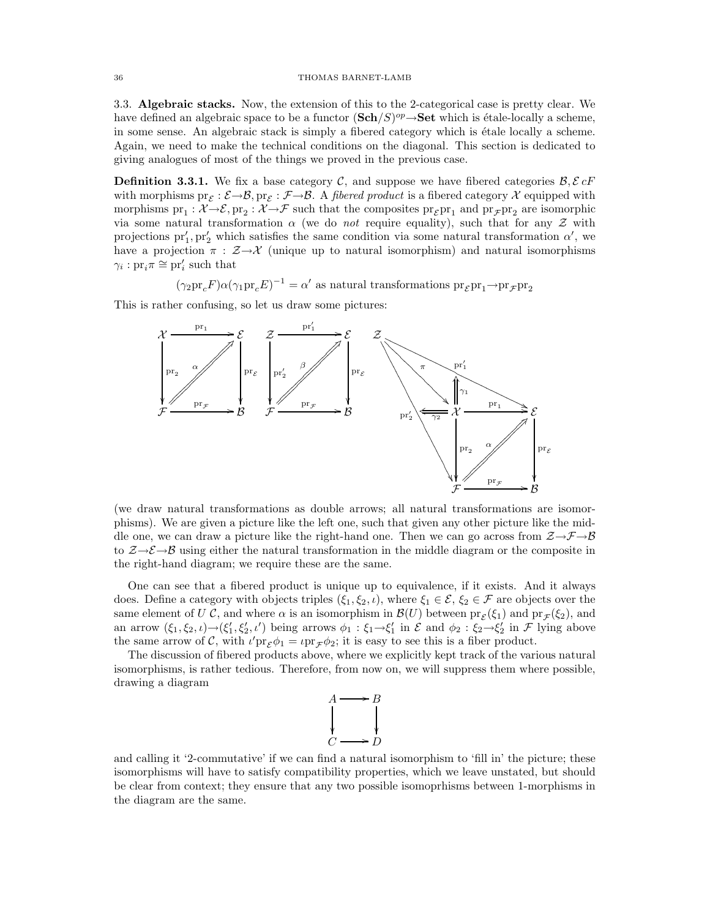3.3. Algebraic stacks. Now, the extension of this to the 2-categorical case is pretty clear. We have defined an algebraic space to be a functor  $(\mathbf{Sch}/S)^{op} \rightarrow \mathbf{Set}$  which is étale-locally a scheme, in some sense. An algebraic stack is simply a fibered category which is étale locally a scheme. Again, we need to make the technical conditions on the diagonal. This section is dedicated to giving analogues of most of the things we proved in the previous case.

**Definition 3.3.1.** We fix a base category C, and suppose we have fibered categories  $\mathcal{B}, \mathcal{E}$  cF with morphisms  $\text{pr}_{\mathcal{E}}: \mathcal{E} \to \mathcal{B}$ ,  $\text{pr}_{\mathcal{E}}: \mathcal{F} \to \mathcal{B}$ . A *fibered product* is a fibered category X equipped with morphisms  $\text{pr}_1: \mathcal{X} \to \mathcal{E}, \text{pr}_2: \mathcal{X} \to \mathcal{F}$  such that the composites  $\text{pr}_{\mathcal{E}} \text{pr}_1$  and  $\text{pr}_{\mathcal{F}} \text{pr}_2$  are isomorphic via some natural transformation  $\alpha$  (we do *not* require equality), such that for any Z with projections  $pr'_1, pr'_2$  which satisfies the same condition via some natural transformation  $\alpha'$ , we have a projection  $\pi$  :  $\mathcal{Z}\rightarrow\mathcal{X}$  (unique up to natural isomorphism) and natural isomorphisms  $\gamma_i: \text{pr}_i \pi \cong \text{pr}'_i$  such that

 $(\gamma_2 \text{pr}_c F) \alpha (\gamma_1 \text{pr}_c E)^{-1} = \alpha'$  as natural transformations  $\text{pr}_{\mathcal{E}} \text{pr}_1 \rightarrow \text{pr}_{\mathcal{F}} \text{pr}_2$ 

This is rather confusing, so let us draw some pictures:



(we draw natural transformations as double arrows; all natural transformations are isomorphisms). We are given a picture like the left one, such that given any other picture like the middle one, we can draw a picture like the right-hand one. Then we can go across from  $\mathcal{Z}\rightarrow\mathcal{F}\rightarrow\mathcal{B}$ to  $\mathcal{Z}\rightarrow\mathcal{E}\rightarrow\mathcal{B}$  using either the natural transformation in the middle diagram or the composite in the right-hand diagram; we require these are the same.

One can see that a fibered product is unique up to equivalence, if it exists. And it always does. Define a category with objects triples  $(\xi_1, \xi_2, \iota)$ , where  $\xi_1 \in \mathcal{E}, \xi_2 \in \mathcal{F}$  are objects over the same element of U C, and where  $\alpha$  is an isomorphism in  $\mathcal{B}(U)$  between  $\text{pr}_{\mathcal{E}}(\xi_1)$  and  $\text{pr}_{\mathcal{F}}(\xi_2)$ , and an arrow  $(\xi_1, \xi_2, \iota) \rightarrow (\xi'_1, \xi'_2, \iota')$  being arrows  $\phi_1 : \xi_1 \rightarrow \xi'_1$  in  $\mathcal E$  and  $\phi_2 : \xi_2 \rightarrow \xi'_2$  in  $\mathcal F$  lying above the same arrow of C, with  $\iota'pr_{\mathcal{E}}\phi_1 = \iota pr_{\mathcal{F}}\phi_2$ ; it is easy to see this is a fiber product.

The discussion of fibered products above, where we explicitly kept track of the various natural isomorphisms, is rather tedious. Therefore, from now on, we will suppress them where possible, drawing a diagram



and calling it '2-commutative' if we can find a natural isomorphism to 'fill in' the picture; these isomorphisms will have to satisfy compatibility properties, which we leave unstated, but should be clear from context; they ensure that any two possible isomoprhisms between 1-morphisms in the diagram are the same.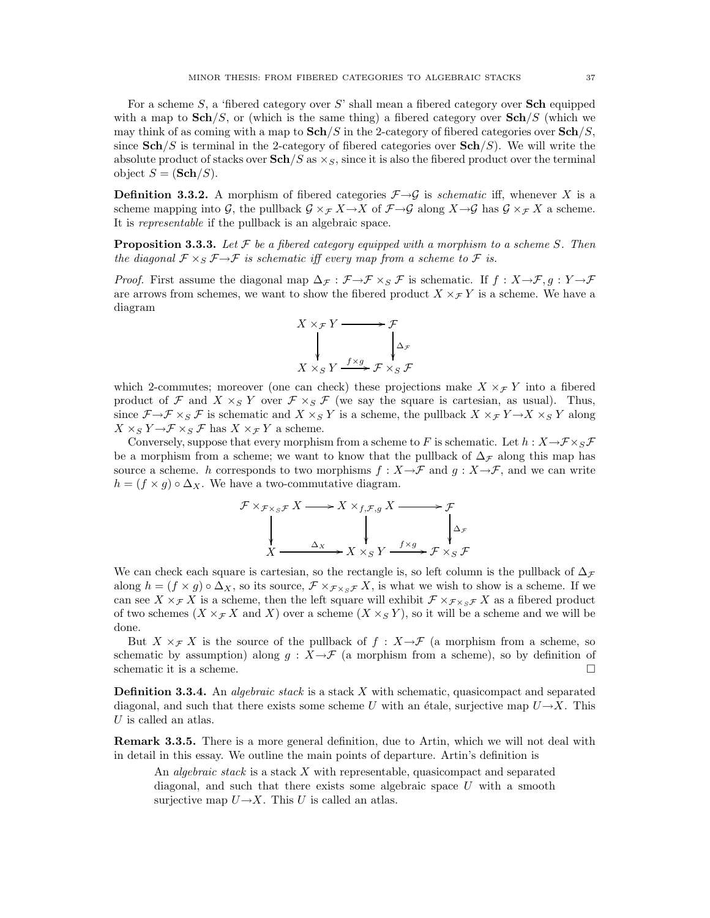For a scheme S, a 'fibered category over S' shall mean a fibered category over **Sch** equipped with a map to  $\mathbf{Sch}/S$ , or (which is the same thing) a fibered category over  $\mathbf{Sch}/S$  (which we may think of as coming with a map to  $\mathbf{Sch}/S$  in the 2-category of fibered categories over  $\mathbf{Sch}/S$ , since  $\mathbf{Sch}/S$  is terminal in the 2-category of fibered categories over  $\mathbf{Sch}/S$ ). We will write the absolute product of stacks over  $\mathbf{Sch}/S$  as  $\times_S$ , since it is also the fibered product over the terminal object  $S = (\mathbf{Sch}/S)$ .

**Definition 3.3.2.** A morphism of fibered categories  $\mathcal{F} \rightarrow \mathcal{G}$  is *schematic* iff, whenever X is a scheme mapping into G, the pullback  $\mathcal{G} \times_{\mathcal{F}} X \to X$  of  $\mathcal{F} \to \mathcal{G}$  along  $X \to \mathcal{G}$  has  $\mathcal{G} \times_{\mathcal{F}} X$  a scheme. It is representable if the pullback is an algebraic space.

**Proposition 3.3.3.** Let  $\mathcal F$  be a fibered category equipped with a morphism to a scheme S. Then the diagonal  $\mathcal{F} \times_S \mathcal{F} \rightarrow \mathcal{F}$  is schematic iff every map from a scheme to  $\mathcal{F}$  is.

*Proof.* First assume the diagonal map  $\Delta_{\mathcal{F}} : \mathcal{F} \to \mathcal{F} \times_S \mathcal{F}$  is schematic. If  $f : X \to \mathcal{F}, g : Y \to \mathcal{F}$ are arrows from schemes, we want to show the fibered product  $X \times_{\mathcal{F}} Y$  is a scheme. We have a diagram



which 2-commutes; moreover (one can check) these projections make  $X \times_{\mathcal{F}} Y$  into a fibered product of F and  $X \times_S Y$  over  $\mathcal{F} \times_S \mathcal{F}$  (we say the square is cartesian, as usual). Thus, since  $\mathcal{F}\to\mathcal{F}\times_S\mathcal{F}$  is schematic and  $X\times_S Y$  is a scheme, the pullback  $X\times_{\mathcal{F}} Y\to X\times_S Y$  along  $X \times_S Y \rightarrow \mathcal{F} \times_S \mathcal{F}$  has  $X \times_{\mathcal{F}} Y$  a scheme.

Conversely, suppose that every morphism from a scheme to F is schematic. Let  $h: X \to \mathcal{F} \times_S \mathcal{F}$ be a morphism from a scheme; we want to know that the pullback of  $\Delta_{\mathcal{F}}$  along this map has source a scheme. h corresponds to two morphisms  $f : X \to \mathcal{F}$  and  $g : X \to \mathcal{F}$ , and we can write  $h = (f \times g) \circ \Delta_X$ . We have a two-commutative diagram.

$$
\mathcal{F} \times_{\mathcal{F} \times_S \mathcal{F}} X \longrightarrow X \times_{f, \mathcal{F}, g} X \longrightarrow \mathcal{F}
$$
\n
$$
\downarrow \qquad \qquad \downarrow \qquad \qquad \downarrow \qquad \qquad \downarrow \qquad \downarrow \qquad \downarrow \qquad \downarrow \qquad \downarrow \qquad \downarrow \qquad \downarrow \qquad \downarrow \qquad \downarrow \qquad \downarrow \qquad \downarrow \qquad \downarrow \qquad \downarrow \qquad \downarrow \qquad \downarrow \qquad \downarrow \qquad \downarrow \qquad \downarrow \qquad \downarrow \qquad \downarrow \qquad \downarrow \qquad \downarrow \qquad \downarrow \qquad \downarrow \qquad \downarrow \qquad \downarrow \qquad \downarrow \qquad \downarrow \qquad \downarrow \qquad \downarrow \qquad \downarrow \qquad \downarrow \qquad \downarrow \qquad \downarrow \qquad \downarrow \qquad \downarrow \qquad \downarrow \qquad \downarrow \qquad \downarrow \qquad \downarrow \qquad \downarrow \qquad \downarrow \qquad \downarrow \qquad \downarrow \qquad \downarrow \qquad \downarrow \qquad \downarrow \qquad \downarrow \qquad \downarrow \qquad \downarrow \qquad \downarrow \qquad \downarrow \qquad \downarrow \qquad \downarrow \qquad \downarrow \qquad \downarrow \qquad \downarrow \qquad \downarrow \qquad \downarrow \qquad \downarrow \qquad \downarrow \qquad \downarrow \qquad \downarrow \qquad \downarrow \qquad \downarrow \qquad \downarrow \qquad \downarrow \qquad \downarrow \qquad \downarrow \qquad \downarrow \qquad \downarrow \qquad \downarrow \qquad \downarrow \qquad \downarrow \qquad \downarrow \qquad \downarrow \qquad \downarrow \qquad \downarrow \qquad \downarrow \qquad \downarrow \qquad \downarrow \qquad \downarrow \qquad \downarrow \qquad \downarrow \qquad \downarrow \qquad \downarrow \qquad \downarrow \qquad \downarrow \qquad \downarrow \qquad \downarrow \qquad \downarrow \qquad \downarrow \qquad \downarrow \qquad \downarrow \qquad \downarrow \qquad \downarrow \qquad \downarrow \qquad \downarrow \qquad \downarrow \qquad \downarrow \qquad \downarrow \qquad \downarrow \qquad \downarrow \qquad \downarrow \qquad \downarrow \qquad \downarrow \qquad \downarrow \qquad \downarrow \qquad \downarrow \qquad \downarrow \qquad \downarrow \qquad \downarrow \qquad \downarrow
$$

We can check each square is cartesian, so the rectangle is, so left column is the pullback of  $\Delta$ <sub>F</sub> along  $h = (f \times g) \circ \Delta_X$ , so its source,  $\mathcal{F} \times_{\mathcal{F} \times_S \mathcal{F}} X$ , is what we wish to show is a scheme. If we can see X  $\times_{\mathcal{F}} X$  is a scheme, then the left square will exhibit  $\mathcal{F} \times_{\mathcal{F}} \times_{S\mathcal{F}} X$  as a fibered product of two schemes  $(X \times_{\mathcal{F}} X$  and X) over a scheme  $(X \times_{\mathcal{S}} Y)$ , so it will be a scheme and we will be done.

But  $X \times_{\mathcal{F}} X$  is the source of the pullback of  $f : X \rightarrow \mathcal{F}$  (a morphism from a scheme, so schematic by assumption) along  $g : X \rightarrow \mathcal{F}$  (a morphism from a scheme), so by definition of schematic it is a scheme. schematic it is a scheme.

**Definition 3.3.4.** An *algebraic stack* is a stack X with schematic, quasicompact and separated diagonal, and such that there exists some scheme U with an étale, surjective map  $U\rightarrow X$ . This U is called an atlas.

Remark 3.3.5. There is a more general definition, due to Artin, which we will not deal with in detail in this essay. We outline the main points of departure. Artin's definition is

An *algebraic stack* is a stack X with representable, quasicompact and separated diagonal, and such that there exists some algebraic space  $U$  with a smooth surjective map  $U \rightarrow X$ . This U is called an atlas.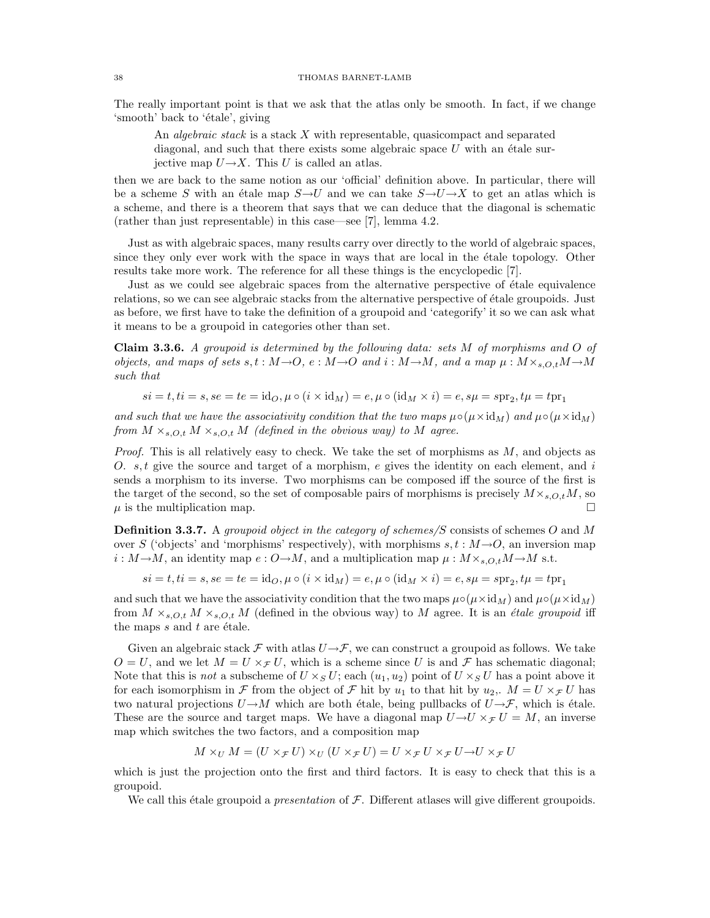The really important point is that we ask that the atlas only be smooth. In fact, if we change 'smooth' back to 'étale', giving

An *algebraic stack* is a stack X with representable, quasicompact and separated diagonal, and such that there exists some algebraic space  $U$  with an étale surjective map  $U \rightarrow X$ . This U is called an atlas.

then we are back to the same notion as our 'official' definition above. In particular, there will be a scheme S with an étale map  $S\rightarrow U$  and we can take  $S\rightarrow U\rightarrow X$  to get an atlas which is a scheme, and there is a theorem that says that we can deduce that the diagonal is schematic (rather than just representable) in this case—see [7], lemma 4.2.

Just as with algebraic spaces, many results carry over directly to the world of algebraic spaces, since they only ever work with the space in ways that are local in the etale topology. Other results take more work. The reference for all these things is the encyclopedic [7].

Just as we could see algebraic spaces from the alternative perspective of étale equivalence relations, so we can see algebraic stacks from the alternative perspective of étale groupoids. Just as before, we first have to take the definition of a groupoid and 'categorify' it so we can ask what it means to be a groupoid in categories other than set.

Claim 3.3.6. A groupoid is determined by the following data: sets M of morphisms and O of objects, and maps of sets s, t :  $M\rightarrow O$ , e :  $M\rightarrow O$  and i :  $M\rightarrow M$ , and a map  $\mu$  :  $M\times_{s,O,t}M\rightarrow M$ such that

$$
si = t, ti = s, se = te = id_O, \mu \circ (i \times id_M) = e, \mu \circ (id_M \times i) = e, s\mu = spr_2, t\mu = tpr_1
$$

and such that we have the associativity condition that the two maps  $\mu \circ (\mu \times id_M)$  and  $\mu \circ (\mu \times id_M)$ from  $M \times_{s.O.t} M \times_{s.O.t} M$  (defined in the obvious way) to M agree.

*Proof.* This is all relatively easy to check. We take the set of morphisms as  $M$ , and objects as O.  $s, t$  give the source and target of a morphism, e gives the identity on each element, and i sends a morphism to its inverse. Two morphisms can be composed iff the source of the first is the target of the second, so the set of composable pairs of morphisms is precisely  $M \times_{s,O,t} M$ , so  $\mu$  is the multiplication map  $\mu$  is the multiplication map.

**Definition 3.3.7.** A groupoid object in the category of schemes/S consists of schemes O and M over S ('objects' and 'morphisms' respectively), with morphisms  $s, t : M \rightarrow O$ , an inversion map  $i : M \rightarrow M$ , an identity map  $e : O \rightarrow M$ , and a multiplication map  $\mu : M \times_{s, O, t} M \rightarrow M$  s.t.

$$
si = t, ti = s, se = te = id_O, \mu \circ (i \times id_M) = e, \mu \circ (id_M \times i) = e, s\mu = spr_2, t\mu = tpr_1
$$

and such that we have the associativity condition that the two maps  $\mu \circ (\mu \times id_M)$  and  $\mu \circ (\mu \times id_M)$ from  $M \times_{s, O, t} M \times_{s, O, t} M$  (defined in the obvious way) to M agree. It is an *étale groupoid* iff the maps  $s$  and  $t$  are étale.

Given an algebraic stack  $\mathcal F$  with atlas  $U\rightarrow\mathcal F$ , we can construct a groupoid as follows. We take  $O = U$ , and we let  $M = U \times_{\mathcal{F}} U$ , which is a scheme since U is and F has schematic diagonal; Note that this is not a subscheme of  $U \times_S U$ ; each  $(u_1, u_2)$  point of  $U \times_S U$  has a point above it for each isomorphism in F from the object of F hit by  $u_1$  to that hit by  $u_2$ ,.  $M = U \times_{\mathcal{F}} U$  has two natural projections  $U\rightarrow M$  which are both étale, being pullbacks of  $U\rightarrow\mathcal{F}$ , which is étale. These are the source and target maps. We have a diagonal map  $U \rightarrow U \times_{\mathcal{F}} U = M$ , an inverse map which switches the two factors, and a composition map

$$
M \times_U M = (U \times_{\mathcal{F}} U) \times_U (U \times_{\mathcal{F}} U) = U \times_{\mathcal{F}} U \times_{\mathcal{F}} U \to U \times_{\mathcal{F}} U
$$

which is just the projection onto the first and third factors. It is easy to check that this is a groupoid.

We call this étale groupoid a *presentation* of  $\mathcal F$ . Different atlases will give different groupoids.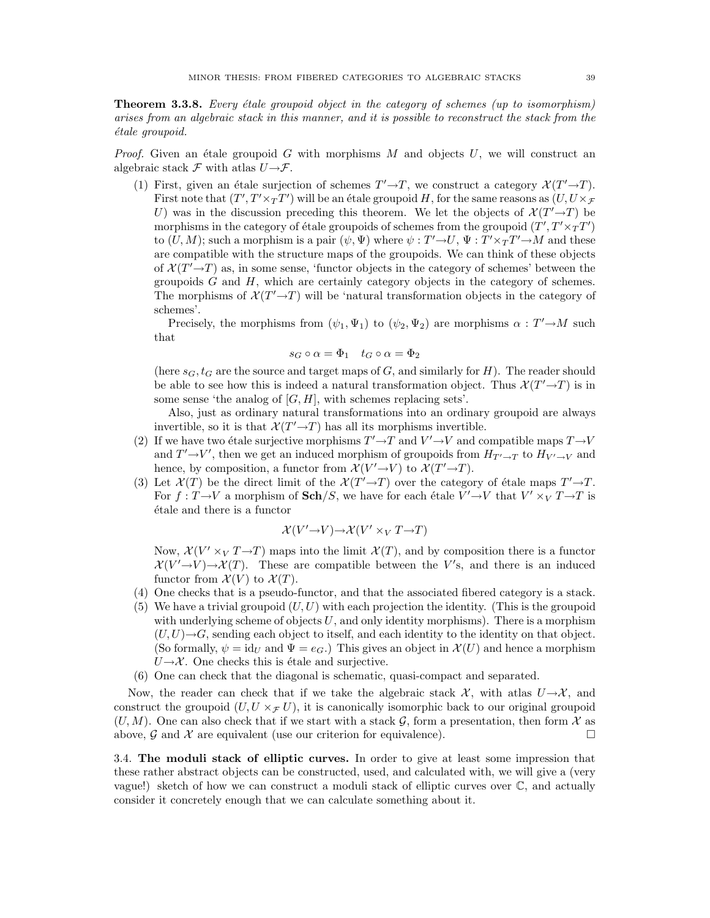**Theorem 3.3.8.** Every étale groupoid object in the category of schemes (up to isomorphism) arises from an algebraic stack in this manner, and it is possible to reconstruct the stack from the étale groupoid.

*Proof.* Given an étale groupoid G with morphisms  $M$  and objects  $U$ , we will construct an algebraic stack  $\mathcal F$  with atlas  $U\rightarrow\mathcal F$ .

(1) First, given an étale surjection of schemes  $T' \rightarrow T$ , we construct a category  $\mathcal{X}(T' \rightarrow T)$ . First note that  $(T', T' \times_T T')$  will be an étale groupoid H, for the same reasons as  $(U, U \times_F T')$ U) was in the discussion preceding this theorem. We let the objects of  $\mathcal{X}(T'\rightarrow T)$  be morphisms in the category of étale groupoids of schemes from the groupoid  $(T',T'\times_T T')$ to  $(U, M)$ ; such a morphism is a pair  $(\psi, \Psi)$  where  $\psi: T' \to U$ ,  $\Psi: T' \times_T T' \to M$  and these are compatible with the structure maps of the groupoids. We can think of these objects of  $\mathcal{X}(T'\rightarrow T)$  as, in some sense, 'functor objects in the category of schemes' between the groupoids  $G$  and  $H$ , which are certainly category objects in the category of schemes. The morphisms of  $\mathcal{X}(T'\rightarrow T)$  will be 'natural transformation objects in the category of schemes'.

Precisely, the morphisms from  $(\psi_1, \Psi_1)$  to  $(\psi_2, \Psi_2)$  are morphisms  $\alpha : T' \rightarrow M$  such that

$$
s_G \circ \alpha = \Phi_1 \quad t_G \circ \alpha = \Phi_2
$$

(here  $s_G, t_G$  are the source and target maps of G, and similarly for H). The reader should be able to see how this is indeed a natural transformation object. Thus  $\mathcal{X}(T' \rightarrow T)$  is in some sense 'the analog of  $[G, H]$ , with schemes replacing sets'.

Also, just as ordinary natural transformations into an ordinary groupoid are always invertible, so it is that  $\mathcal{X}(T'\rightarrow T)$  has all its morphisms invertible.

- (2) If we have two étale surjective morphisms  $T' \rightarrow T$  and  $V' \rightarrow V$  and compatible maps  $T \rightarrow V$ and  $T' \rightarrow V'$ , then we get an induced morphism of groupoids from  $H_{T' \rightarrow T}$  to  $H_{V' \rightarrow V}$  and hence, by composition, a functor from  $\mathcal{X}(V' \to V)$  to  $\mathcal{X}(T' \to T)$ .
- (3) Let  $\mathcal{X}(T)$  be the direct limit of the  $\mathcal{X}(T'\rightarrow T)$  over the category of étale maps  $T'\rightarrow T$ . For  $f: T \rightarrow V$  a morphism of  $\mathbf{Sch}/S$ , we have for each étale  $V' \rightarrow V$  that  $V' \times_V T \rightarrow T$  is ´etale and there is a functor

$$
\mathcal{X}(V' {\rightarrow} V) {\rightarrow} \mathcal{X}(V' \times_V T {\rightarrow} T)
$$

Now,  $\mathcal{X}(V' \times_V T \to T)$  maps into the limit  $\mathcal{X}(T)$ , and by composition there is a functor  $\mathcal{X}(V' \rightarrow V) \rightarrow \mathcal{X}(T)$ . These are compatible between the V's, and there is an induced functor from  $\mathcal{X}(V)$  to  $\mathcal{X}(T)$ .

- (4) One checks that is a pseudo-functor, and that the associated fibered category is a stack.
- (5) We have a trivial groupoid  $(U, U)$  with each projection the identity. (This is the groupoid with underlying scheme of objects  $U$ , and only identity morphisms). There is a morphism  $(U, U) \rightarrow G$ , sending each object to itself, and each identity to the identity on that object. (So formally,  $\psi = id_U$  and  $\Psi = e_G$ .) This gives an object in  $\mathcal{X}(U)$  and hence a morphism  $U\rightarrow\mathcal{X}$ . One checks this is étale and surjective.
- (6) One can check that the diagonal is schematic, quasi-compact and separated.

Now, the reader can check that if we take the algebraic stack  $\mathcal{X}$ , with atlas  $U\rightarrow\mathcal{X}$ , and construct the groupoid  $(U, U \times_{\mathcal{F}} U)$ , it is canonically isomorphic back to our original groupoid  $(U, M)$ . One can also check that if we start with a stack  $\mathcal{G}$ , form a presentation, then form  $\mathcal{X}$  as above,  $\mathcal{G}$  and  $\mathcal{X}$  are equivalent (use our criterion for equivalence). above,  $\mathcal G$  and  $\mathcal X$  are equivalent (use our criterion for equivalence).

3.4. The moduli stack of elliptic curves. In order to give at least some impression that these rather abstract objects can be constructed, used, and calculated with, we will give a (very vague!) sketch of how we can construct a moduli stack of elliptic curves over C, and actually consider it concretely enough that we can calculate something about it.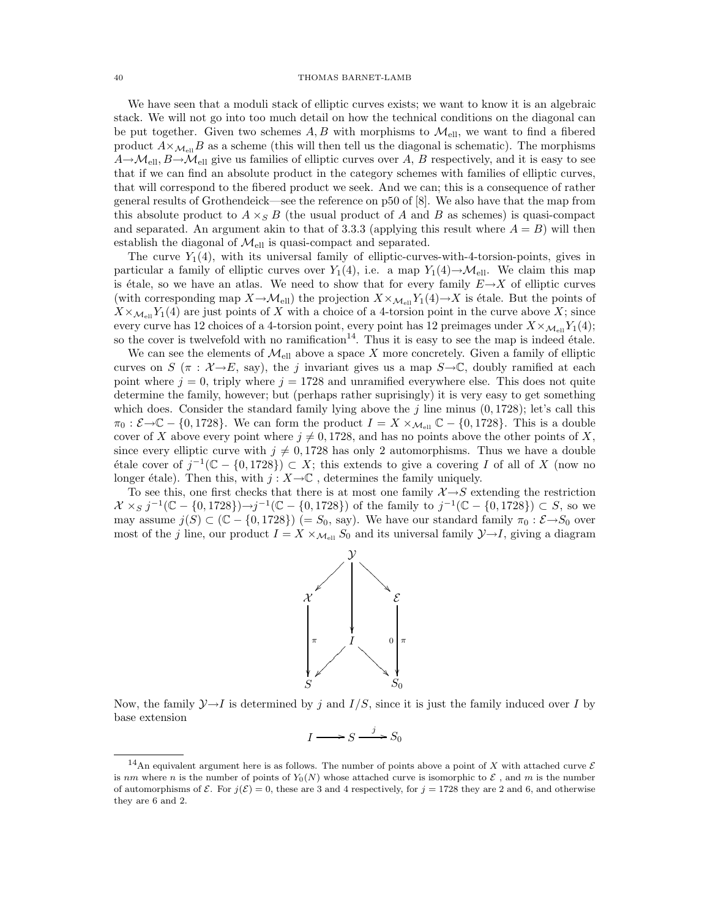We have seen that a moduli stack of elliptic curves exists; we want to know it is an algebraic stack. We will not go into too much detail on how the technical conditions on the diagonal can be put together. Given two schemes  $A, B$  with morphisms to  $\mathcal{M}_{ell}$ , we want to find a fibered product  $A\times_{\mathcal{M}_{\text{ell}}}B$  as a scheme (this will then tell us the diagonal is schematic). The morphisms  $A \rightarrow \mathcal{M}_{ell}$ ,  $B \rightarrow \mathcal{M}_{ell}$  give us families of elliptic curves over A, B respectively, and it is easy to see that if we can find an absolute product in the category schemes with families of elliptic curves, that will correspond to the fibered product we seek. And we can; this is a consequence of rather general results of Grothendeick—see the reference on p50 of [8]. We also have that the map from this absolute product to  $A \times_S B$  (the usual product of A and B as schemes) is quasi-compact and separated. An argument akin to that of 3.3.3 (applying this result where  $A = B$ ) will then establish the diagonal of  $\mathcal{M}_{\text{ell}}$  is quasi-compact and separated.

The curve  $Y_1(4)$ , with its universal family of elliptic-curves-with-4-torsion-points, gives in particular a family of elliptic curves over  $Y_1(4)$ , i.e. a map  $Y_1(4) \rightarrow M_{\text{ell}}$ . We claim this map is étale, so we have an atlas. We need to show that for every family  $E\rightarrow X$  of elliptic curves (with corresponding map  $X \to \mathcal{M}_{ell}$ ) the projection  $X \times_{\mathcal{M}_{ell}} Y_1(4) \to X$  is étale. But the points of  $X \times_{\mathcal{M}_{\text{ell}}} Y_1(4)$  are just points of X with a choice of a 4-torsion point in the curve above X; since every curve has 12 choices of a 4-torsion point, every point has 12 preimages under  $X \times_{\mathcal{M}_{\text{ell}}} Y_1(4)$ ; so the cover is twelvefold with no ramification<sup>14</sup>. Thus it is easy to see the map is indeed étale.

We can see the elements of  $\mathcal{M}_{ell}$  above a space X more concretely. Given a family of elliptic curves on S ( $\pi$  :  $\mathcal{X} \rightarrow E$ , say), the j invariant gives us a map  $S \rightarrow \mathbb{C}$ , doubly ramified at each point where  $j = 0$ , triply where  $j = 1728$  and unramified everywhere else. This does not quite determine the family, however; but (perhaps rather suprisingly) it is very easy to get something which does. Consider the standard family lying above the j line minus  $(0, 1728)$ ; let's call this  $\pi_0 : \mathcal{E} \to \mathbb{C} - \{0, 1728\}.$  We can form the product  $I = X \times_{\mathcal{M}_{\text{ell}}} \mathbb{C} - \{0, 1728\}.$  This is a double cover of X above every point where  $j \neq 0, 1728$ , and has no points above the other points of X, since every elliptic curve with  $j \neq 0,1728$  has only 2 automorphisms. Thus we have a double étale cover of  $j^{-1}$ ( $\mathbb{C}$  − {0,1728}) ⊂ X; this extends to give a covering I of all of X (now no longer étale). Then this, with  $j : X {\rightarrow} \mathbb{C}$  , determines the family uniquely.

To see this, one first checks that there is at most one family  $\mathcal{X} \rightarrow S$  extending the restriction  $\mathcal{X} \times_S j^{-1}(\mathbb{C} - \{0, 1728\}) \rightarrow j^{-1}(\mathbb{C} - \{0, 1728\})$  of the family to  $j^{-1}(\mathbb{C} - \{0, 1728\}) \subset S$ , so we may assume  $j(S) \subset (\mathbb{C} - \{0, 1728\})$  (=  $S_0$ , say). We have our standard family  $\pi_0 : \mathcal{E} \rightarrow S_0$  over most of the j line, our product  $I = X \times_{\mathcal{M}_{\text{ell}}} S_0$  and its universal family  $\mathcal{Y} \rightarrow I$ , giving a diagram



Now, the family  $\mathcal{Y}\rightarrow I$  is determined by j and  $I/S$ , since it is just the family induced over I by base extension

$$
I \longrightarrow S \xrightarrow{j} S_0
$$

<sup>&</sup>lt;sup>14</sup>An equivalent argument here is as follows. The number of points above a point of X with attached curve  $\mathcal E$ is nm where n is the number of points of  $Y_0(N)$  whose attached curve is isomorphic to  $\mathcal E$ , and m is the number of automorphisms of  $\mathcal E$ . For  $j(\mathcal E)=0$ , these are 3 and 4 respectively, for  $j=1728$  they are 2 and 6, and otherwise they are 6 and 2.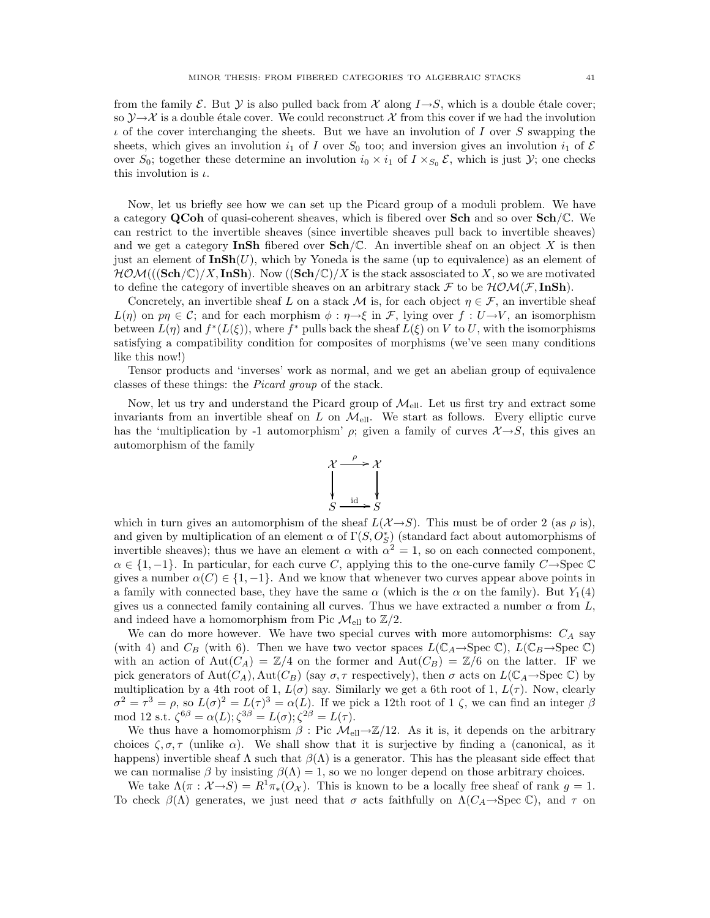from the family  $\mathcal E$ . But  $\mathcal Y$  is also pulled back from  $\mathcal X$  along  $I\rightarrow S$ , which is a double étale cover; so  $\mathcal{Y}\rightarrow\mathcal{X}$  is a double étale cover. We could reconstruct X from this cover if we had the involution  $\iota$  of the cover interchanging the sheets. But we have an involution of I over S swapping the sheets, which gives an involution  $i_1$  of I over  $S_0$  too; and inversion gives an involution  $i_1$  of E over  $S_0$ ; together these determine an involution  $i_0 \times i_1$  of  $I \times_{S_0} \mathcal{E}$ , which is just  $\mathcal{Y}$ ; one checks this involution is  $\iota$ .

Now, let us briefly see how we can set up the Picard group of a moduli problem. We have a category QCoh of quasi-coherent sheaves, which is fibered over Sch and so over Sch/C. We can restrict to the invertible sheaves (since invertible sheaves pull back to invertible sheaves) and we get a category InSh fibered over  $Sch/\mathbb{C}$ . An invertible sheaf on an object X is then just an element of  $\text{InSh}(U)$ , which by Yoneda is the same (up to equivalence) as an element of  $HOM((\mathbf{Sch}/\mathbb{C})/X, \mathbf{InSh})$ . Now  $(\mathbf{Sch}/\mathbb{C})/X$  is the stack assosciated to X, so we are motivated to define the category of invertible sheaves on an arbitrary stack F to be  $HOM(\mathcal{F}, InSh)$ .

Concretely, an invertible sheaf L on a stack M is, for each object  $\eta \in \mathcal{F}$ , an invertible sheaf  $L(\eta)$  on  $p\eta \in \mathcal{C}$ ; and for each morphism  $\phi : \eta \to \xi$  in  $\mathcal{F}$ , lying over  $f : U \to V$ , an isomorphism between  $L(\eta)$  and  $f^*(L(\xi))$ , where  $f^*$  pulls back the sheaf  $L(\xi)$  on V to U, with the isomorphisms satisfying a compatibility condition for composites of morphisms (we've seen many conditions like this now!)

Tensor products and 'inverses' work as normal, and we get an abelian group of equivalence classes of these things: the Picard group of the stack.

Now, let us try and understand the Picard group of  $\mathcal{M}_{\text{ell}}$ . Let us first try and extract some invariants from an invertible sheaf on L on  $\mathcal{M}_{\text{ell}}$ . We start as follows. Every elliptic curve has the 'multiplication by -1 automorphism'  $\rho$ ; given a family of curves  $\mathcal{X} \rightarrow S$ , this gives an automorphism of the family

![](_page_40_Figure_7.jpeg)

which in turn gives an automorphism of the sheaf  $L(\mathcal{X}\rightarrow S)$ . This must be of order 2 (as  $\rho$  is), and given by multiplication of an element  $\alpha$  of  $\Gamma(S, O_S^*)$  (standard fact about automorphisms of invertible sheaves); thus we have an element  $\alpha$  with  $\alpha^2 = 1$ , so on each connected component,  $\alpha \in \{1,-1\}$ . In particular, for each curve C, applying this to the one-curve family C $\rightarrow$ Spec  $\mathbb C$ gives a number  $\alpha(C) \in \{1, -1\}$ . And we know that whenever two curves appear above points in a family with connected base, they have the same  $\alpha$  (which is the  $\alpha$  on the family). But  $Y_1(4)$ gives us a connected family containing all curves. Thus we have extracted a number  $\alpha$  from  $L$ , and indeed have a homomorphism from Pic  $\mathcal{M}_{ell}$  to  $\mathbb{Z}/2$ .

We can do more however. We have two special curves with more automorphisms:  $C_A$  say (with 4) and  $C_B$  (with 6). Then we have two vector spaces  $L(\mathbb{C}_A\to \text{Spec }\mathbb{C})$ ,  $L(\mathbb{C}_B\to \text{Spec }\mathbb{C})$ with an action of Aut $(C_A) = \mathbb{Z}/4$  on the former and Aut $(C_B) = \mathbb{Z}/6$  on the latter. IF we pick generators of  $Aut(C_A)$ ,  $Aut(C_B)$  (say  $\sigma, \tau$  respectively), then  $\sigma$  acts on  $L(\mathbb{C}_A \rightarrow \text{Spec } \mathbb{C})$  by multiplication by a 4th root of 1,  $L(\sigma)$  say. Similarly we get a 6th root of 1,  $L(\tau)$ . Now, clearly  $\sigma^2 = \tau^3 = \rho$ , so  $L(\sigma)^2 = L(\tau)^3 = \alpha(L)$ . If we pick a 12th root of 1  $\zeta$ , we can find an integer  $\beta$ mod 12 s.t.  $\zeta^{6\beta} = \alpha(L); \zeta^{3\beta} = L(\sigma); \zeta^{2\beta} = L(\tau).$ 

We thus have a homomorphism  $\beta$ : Pic  $\mathcal{M}_{ell} \rightarrow \mathbb{Z}/12$ . As it is, it depends on the arbitrary choices  $\zeta, \sigma, \tau$  (unlike  $\alpha$ ). We shall show that it is surjective by finding a (canonical, as it happens) invertible sheaf  $\Lambda$  such that  $\beta(\Lambda)$  is a generator. This has the pleasant side effect that we can normalise  $\beta$  by insisting  $\beta(\Lambda) = 1$ , so we no longer depend on those arbitrary choices.

We take  $\Lambda(\pi : \mathcal{X} \to S) = R^1 \pi_*(O_{\mathcal{X}})$ . This is known to be a locally free sheaf of rank  $g = 1$ . To check  $\beta(\Lambda)$  generates, we just need that  $\sigma$  acts faithfully on  $\Lambda(C_A\to \text{Spec }\mathbb{C})$ , and  $\tau$  on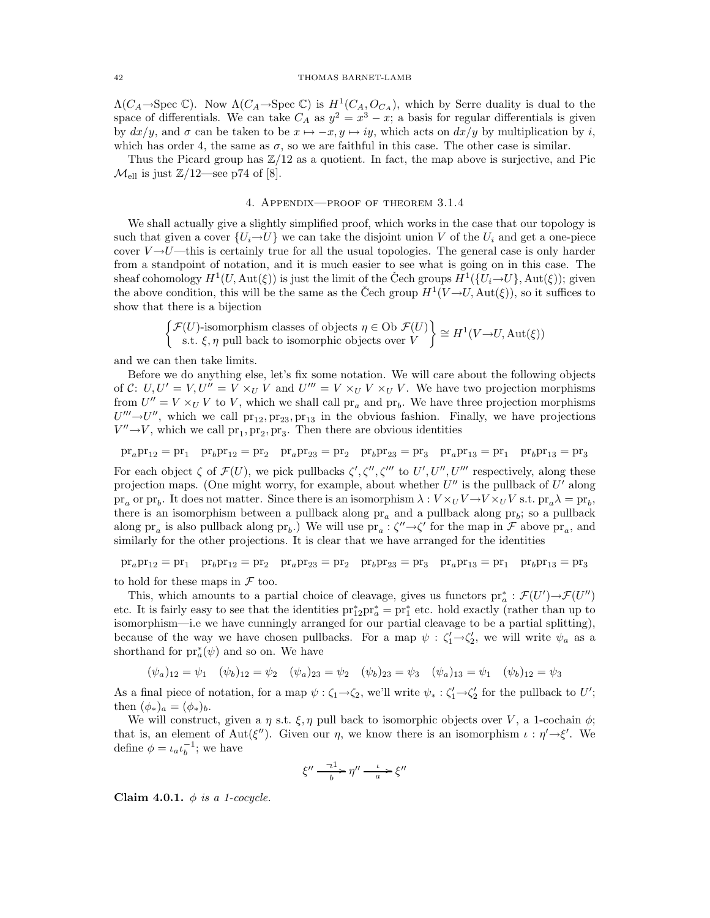$\Lambda(C_A \rightarrow \text{Spec} \mathbb{C})$ . Now  $\Lambda(C_A \rightarrow \text{Spec} \mathbb{C})$  is  $H^1(C_A, O_{C_A})$ , which by Serre duality is dual to the space of differentials. We can take  $C_A$  as  $y^2 = x^3 - x$ ; a basis for regular differentials is given by  $dx/y$ , and  $\sigma$  can be taken to be  $x \mapsto -x, y \mapsto iy$ , which acts on  $dx/y$  by multiplication by i, which has order 4, the same as  $\sigma$ , so we are faithful in this case. The other case is similar.

Thus the Picard group has  $\mathbb{Z}/12$  as a quotient. In fact, the map above is surjective, and Pic  $\mathcal{M}_{\text{ell}}$  is just  $\mathbb{Z}/12$ —see p74 of [8].

### 4. Appendix—proof of theorem 3.1.4

We shall actually give a slightly simplified proof, which works in the case that our topology is such that given a cover  $\{U_i \rightarrow U\}$  we can take the disjoint union V of the  $U_i$  and get a one-piece cover  $V \rightarrow U$ —this is certainly true for all the usual topologies. The general case is only harder from a standpoint of notation, and it is much easier to see what is going on in this case. The sheaf cohomology  $H^1(U, \text{Aut}(\xi))$  is just the limit of the Čech groups  $H^1(\{U_i \rightarrow U\}, \text{Aut}(\xi))$ ; given the above condition, this will be the same as the Čech group  $H^1(V\rightarrow U, \text{Aut}(\xi))$ , so it suffices to show that there is a bijection

$$
\begin{Bmatrix} \mathcal{F}(U)\text{-isomorphism classes of objects } \eta \in \text{Ob } \mathcal{F}(U) \\ \text{s.t. } \xi, \eta \text{ pull back to isomorphic objects over } V \end{Bmatrix} \cong H^1(V \to U, \text{Aut}(\xi))
$$

and we can then take limits.

Before we do anything else, let's fix some notation. We will care about the following objects of C:  $U, U' = V, U'' = V \times_U V$  and  $U''' = V \times_U V \times_U V$ . We have two projection morphisms from  $U'' = V \times_U V$  to V, which we shall call  $pr_a$  and  $pr_b$ . We have three projection morphisms  $U''' \rightarrow U''$ , which we call  $pr_{12}$ ,  $pr_{23}$ ,  $pr_{13}$  in the obvious fashion. Finally, we have projections  $V'' \rightarrow V$ , which we call  $\text{pr}_1, \text{pr}_2, \text{pr}_3$ . Then there are obvious identities

 $\text{pr}_a \text{pr}_{12} = \text{pr}_1 \quad \text{pr}_b \text{pr}_{12} = \text{pr}_2 \quad \text{pr}_a \text{pr}_{23} = \text{pr}_2 \quad \text{pr}_b \text{pr}_{23} = \text{pr}_3 \quad \text{pr}_a \text{pr}_{13} = \text{pr}_1 \quad \text{pr}_b \text{pr}_{13} = \text{pr}_3$ For each object  $\zeta$  of  $\mathcal{F}(U)$ , we pick pullbacks  $\zeta', \zeta'', \zeta'''$  to  $U', U'', U''''$  respectively, along these projection maps. (One might worry, for example, about whether  $U''$  is the pullback of  $U'$  along  $pr_a$  or  $pr_b$ . It does not matter. Since there is an isomorphism  $\lambda : V \times U V \to V \times U V$  s.t.  $pr_a \lambda = pr_b$ , there is an isomorphism between a pullback along  $pr_a$  and a pullback along  $pr_b$ ; so a pullback along  $pr_a$  is also pullback along  $pr_b$ .) We will use  $pr_a: \zeta'' \rightarrow \zeta'$  for the map in  $\mathcal F$  above  $pr_a$ , and similarly for the other projections. It is clear that we have arranged for the identities

 $pr_apr_{12} = pr_1$   $pr_bpr_{12} = pr_2$   $pr_apr_{23} = pr_2$   $pr_bpr_{23} = pr_3$   $pr_apr_{13} = pr_1$   $pr_bpr_{13} = pr_3$ 

to hold for these maps in  $\mathcal F$  too.

This, which amounts to a partial choice of cleavage, gives us functors  $pr_a^*: \mathcal{F}(U') \to \mathcal{F}(U'')$ etc. It is fairly easy to see that the identities  $pr_{12}^*pr_a^* = pr_1^*$  etc. hold exactly (rather than up to isomorphism—i.e we have cunningly arranged for our partial cleavage to be a partial splitting), because of the way we have chosen pullbacks. For a map  $\psi : \zeta_1' \to \zeta_2'$ , we will write  $\psi_a$  as a shorthand for  $\mathrm{pr}_a^*(\psi)$  and so on. We have

$$
(\psi_a)_{12} = \psi_1 \quad (\psi_b)_{12} = \psi_2 \quad (\psi_a)_{23} = \psi_2 \quad (\psi_b)_{23} = \psi_3 \quad (\psi_a)_{13} = \psi_1 \quad (\psi_b)_{12} = \psi_3
$$

As a final piece of notation, for a map  $\psi : \zeta_1 \to \zeta_2$ , we'll write  $\psi_* : \zeta_1' \to \zeta_2'$  for the pullback to U'; then  $(\phi_*)_a = (\phi_*)_b$ .

We will construct, given a  $\eta$  s.t.  $\xi, \eta$  pull back to isomorphic objects over V, a 1-cochain  $\phi$ ; that is, an element of Aut( $\xi''$ ). Given our  $\eta$ , we know there is an isomorphism  $\iota : \eta' \rightarrow \xi'$ . We define  $\phi = \iota_a \iota_b^{-1}$ ; we have

$$
\xi''\xrightarrow[b]{-1} \eta''\xrightarrow[a]{\iota} \xi''
$$

Claim 4.0.1.  $\phi$  is a 1-cocycle.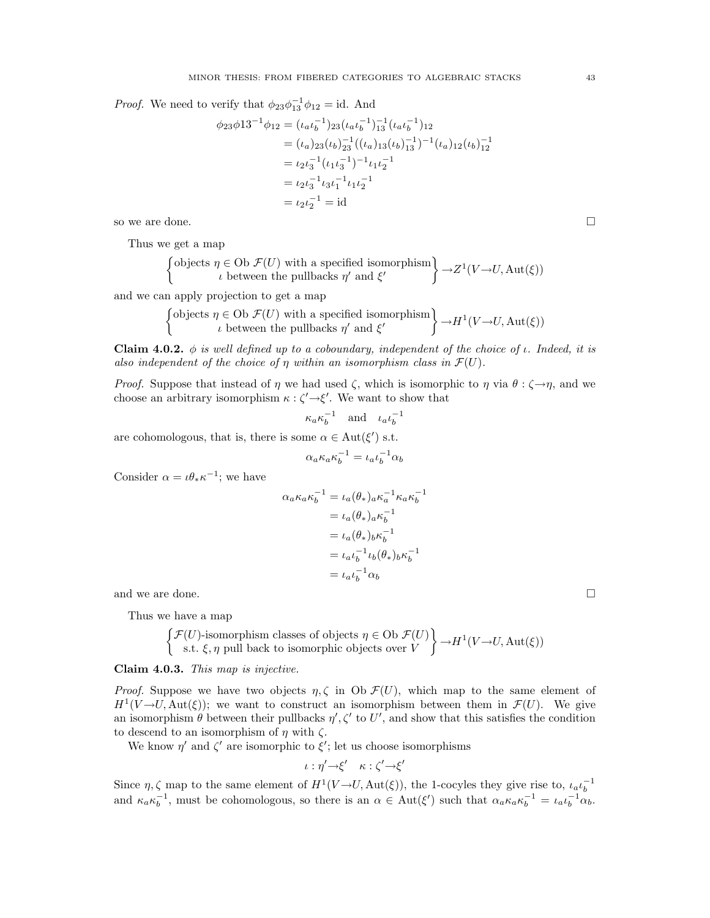*Proof.* We need to verify that  $\phi_{23}\phi_{13}^{-1}\phi_{12} = id$ . And

$$
\phi_{23}\phi_{13}^{-1}\phi_{12} = (\iota_a \iota_b^{-1})_{23} (\iota_a \iota_b^{-1})_{13}^{-1} (\iota_a \iota_b^{-1})_{12}
$$
  
\n
$$
= (\iota_a)_{23} (\iota_b)_{23}^{-1} ((\iota_a)_{13} (\iota_b)_{13}^{-1})^{-1} (\iota_a)_{12} (\iota_b)_{12}^{-1}
$$
  
\n
$$
= \iota_2 \iota_3^{-1} (\iota_1 \iota_3^{-1})^{-1} \iota_1 \iota_2^{-1}
$$
  
\n
$$
= \iota_2 \iota_3^{-1} \iota_3 \iota_1^{-1} \iota_1 \iota_2^{-1}
$$
  
\n
$$
= \iota_2 \iota_2^{-1} = \mathrm{id}
$$

so we are done.  $\Box$ 

Thus we get a map

$$
\left\{\begin{aligned} \text{objects } & \eta \in \text{Ob }\mathcal{F}(U) \text{ with a specified isomorphism} \\ & \iota \text{ between the pullbacks } \eta' \text{ and } \xi' \end{aligned} \right\} \to Z^1(V \to U, \text{Aut}(\xi))
$$

and we can apply projection to get a map

$$
\begin{Bmatrix}\n\text{objects } \eta \in \text{Ob } \mathcal{F}(U) \text{ with a specified isomorphism} \\
\iota \text{ between the pullbacks } \eta' \text{ and } \xi'\n\end{Bmatrix} \rightarrow H^1(V \rightarrow U, \text{Aut}(\xi))
$$

Claim 4.0.2. φ is well defined up to a coboundary, independent of the choice of  $\iota$ . Indeed, it is also independent of the choice of  $\eta$  within an isomorphism class in  $\mathcal{F}(U)$ .

*Proof.* Suppose that instead of  $\eta$  we had used  $\zeta$ , which is isomorphic to  $\eta$  via  $\theta : \zeta \rightarrow \eta$ , and we choose an arbitrary isomorphism  $\kappa$  :  $\zeta' \rightarrow \xi'$ . We want to show that

$$
\kappa_a \kappa_b^{-1} \quad \text{and} \quad \iota_a \iota_b^{-1}
$$

are cohomologous, that is, there is some  $\alpha \in Aut(\xi')$  s.t.

$$
\alpha_a \kappa_a \kappa_b^{-1} = \iota_a \iota_b^{-1} \alpha_b
$$

Consider  $\alpha = \iota \theta_* \kappa^{-1}$ ; we have

$$
\alpha_a \kappa_a \kappa_b^{-1} = \iota_a (\theta_*)_a \kappa_a^{-1} \kappa_a \kappa_b^{-1}
$$

$$
= \iota_a (\theta_*)_a \kappa_b^{-1}
$$

$$
= \iota_a (\theta_*)_b \kappa_b^{-1}
$$

$$
= \iota_a \iota_b^{-1} \iota_b (\theta_*)_b \kappa_b^{-1}
$$

$$
= \iota_a \iota_b^{-1} \alpha_b
$$

and we are done.

Thus we have a map

$$
\left\{\begin{aligned}\n\mathcal{F}(U)\text{-isomorphism classes of objects } & \eta \in \text{Ob }\mathcal{F}(U) \\
\text{s.t. } & \xi, \eta \text{ pull back to isomorphic objects over } V\n\end{aligned}\right\} \to H^1(V \to U, \text{Aut}(\xi))
$$

Claim 4.0.3. This map is injective.

*Proof.* Suppose we have two objects  $\eta$ ,  $\zeta$  in Ob  $\mathcal{F}(U)$ , which map to the same element of  $H^1(V \to U, \text{Aut}(\xi))$ ; we want to construct an isomorphism between them in  $\mathcal{F}(U)$ . We give an isomorphism  $\theta$  between their pullbacks  $\eta', \zeta'$  to U', and show that this satisfies the condition to descend to an isomorphism of  $\eta$  with  $\zeta$ .

We know  $\eta'$  and  $\zeta'$  are isomorphic to  $\xi'$ ; let us choose isomorphisms

$$
\iota:\eta'\rightarrow\xi'\quad \kappa:\zeta'\rightarrow\xi'
$$

Since  $\eta$ ,  $\zeta$  map to the same element of  $H^1(V \to U, \text{Aut}(\xi))$ , the 1-cocyles they give rise to,  $\iota_a \iota_b^{-1}$ <br>and  $\kappa_a \kappa_b^{-1}$ , must be cohomologous, so there is an  $\alpha \in \text{Aut}(\xi')$  such that  $\alpha_a \kappa_a \kappa_b^{-1} = \iota_a \iota_b^{-1} \$